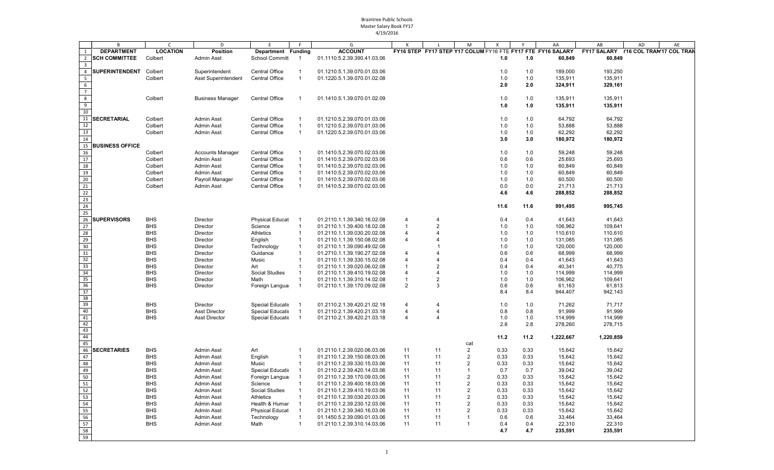|                         | B                      | $\mathsf{C}$    | D                          | E                      | F.             | G                           | К              |                       | M              | Χ    | Y    | AA                                                          | AB                 | AD<br>AE                 |
|-------------------------|------------------------|-----------------|----------------------------|------------------------|----------------|-----------------------------|----------------|-----------------------|----------------|------|------|-------------------------------------------------------------|--------------------|--------------------------|
| $\mathbf{1}$            | <b>DEPARTMENT</b>      | <b>LOCATION</b> | <b>Position</b>            | Department Funding     |                | <b>ACCOUNT</b>              |                |                       |                |      |      | FY16 STEP FY17 STEP Y17 COLUM FY16 FTE FY17 FTE FY16 SALARY | <b>FY17 SALARY</b> | Y16 COL TRAN'17 COL TRAN |
| $\overline{2}$          | <b>SCH COMMITTEE</b>   | Colbert         | <b>Admin Asst</b>          | School Committ         | $\overline{1}$ | 01.1110.5.2.39.390.41.03.06 |                |                       |                | 1.0  | 1.0  | 60,849                                                      | 60,849             |                          |
| $\overline{3}$          |                        |                 |                            |                        |                |                             |                |                       |                |      |      |                                                             |                    |                          |
| $\overline{4}$          | <b>SUPERINTENDENT</b>  | Colbert         | Superintendent             | Central Office         | $\mathbf{1}$   | 01.1210.5.1.39.070.01.03.06 |                |                       |                | 1.0  | 1.0  | 189,000                                                     | 193,250            |                          |
| $\overline{\mathbf{5}}$ |                        | Colbert         | <b>Asst Superintendent</b> | Central Office         | $\overline{1}$ | 01.1220.5.1.39.070.01.02.08 |                |                       |                | 1.0  | 1.0  | 135,911                                                     | 135,911            |                          |
| $6\overline{6}$         |                        |                 |                            |                        |                |                             |                |                       |                | 2.0  | 2.0  | 324,911                                                     | 329,161            |                          |
| $\overline{7}$          |                        |                 |                            |                        |                |                             |                |                       |                |      |      |                                                             |                    |                          |
|                         |                        |                 |                            |                        |                |                             |                |                       |                |      |      |                                                             |                    |                          |
| $\overline{8}$          |                        | Colbert         | <b>Business Manager</b>    | Central Office         | $\overline{1}$ | 01.1410.5.1.39.070.01.02.09 |                |                       |                | 1.0  | 1.0  | 135,911                                                     | 135,911            |                          |
| $\overline{9}$          |                        |                 |                            |                        |                |                             |                |                       |                | 1.0  | 1.0  | 135,911                                                     | 135,911            |                          |
| 10                      |                        |                 |                            |                        |                |                             |                |                       |                |      |      |                                                             |                    |                          |
| 11                      | <b>SECRETARIAL</b>     | Colbert         | <b>Admin Asst</b>          | Central Office         | $\mathbf{1}$   | 01.1210.5.2.39.070.01.03.06 |                |                       |                | 1.0  | 1.0  | 64,792                                                      | 64,792             |                          |
| 12                      |                        | Colbert         | <b>Admin Asst</b>          | Central Office         | $\mathbf{1}$   | 01.1210.5.2.39.070.01.03.06 |                |                       |                | 1.0  | 1.0  | 53,888                                                      | 53,888             |                          |
| 13                      |                        | Colbert         | <b>Admin Asst</b>          | Central Office         | $\mathbf{1}$   | 01.1220.5.2.39.070.01.03.06 |                |                       |                | 1.0  | 1.0  | 62,292                                                      | 62,292             |                          |
| 14                      |                        |                 |                            |                        |                |                             |                |                       |                | 3.0  | 3.0  | 180,972                                                     | 180,972            |                          |
| 15                      | <b>BUSINESS OFFICE</b> |                 |                            |                        |                |                             |                |                       |                |      |      |                                                             |                    |                          |
| 16                      |                        | Colbert         | <b>Accounts Manager</b>    | Central Office         | $\mathbf{1}$   | 01.1410.5.2.39.070.02.03.06 |                |                       |                | 1.0  | 1.0  | 59,248                                                      | 59,248             |                          |
| 17                      |                        | Colbert         | <b>Admin Asst</b>          | <b>Central Office</b>  | $\mathbf{1}$   | 01.1410.5.2.39.070.02.03.06 |                |                       |                | 0.6  | 0.6  | 25,693                                                      | 25,693             |                          |
| 18                      |                        | Colbert         | <b>Admin Asst</b>          | Central Office         | $\mathbf{1}$   | 01.1410.5.2.39.070.02.03.06 |                |                       |                | 1.0  | 1.0  | 60,849                                                      | 60,849             |                          |
| 19                      |                        | Colbert         | <b>Admin Asst</b>          | Central Office         | $\mathbf{1}$   |                             |                |                       |                | 1.0  | 1.0  | 60,849                                                      | 60,849             |                          |
|                         |                        |                 |                            |                        |                | 01.1410.5.2.39.070.02.03.06 |                |                       |                |      |      |                                                             |                    |                          |
| 20                      |                        | Colbert         | Payroll Manager            | <b>Central Office</b>  | $\mathbf{1}$   | 01.1410.5.2.39.070.02.03.06 |                |                       |                | 1.0  | 1.0  | 60,500                                                      | 60,500             |                          |
| 21                      |                        | Colbert         | <b>Admin Asst</b>          | <b>Central Office</b>  | $\mathbf{1}$   | 01.1410.5.2.39.070.02.03.06 |                |                       |                | 0.0  | 0.0  | 21,713                                                      | 21,713             |                          |
| 22                      |                        |                 |                            |                        |                |                             |                |                       |                | 4.6  | 4.6  | 288,852                                                     | 288,852            |                          |
| 23                      |                        |                 |                            |                        |                |                             |                |                       |                |      |      |                                                             |                    |                          |
| 24                      |                        |                 |                            |                        |                |                             |                |                       |                | 11.6 | 11.6 | 991,495                                                     | 995,745            |                          |
| 25                      |                        |                 |                            |                        |                |                             |                |                       |                |      |      |                                                             |                    |                          |
| 26                      | <b>SUPERVISORS</b>     | <b>BHS</b>      | Director                   | <b>Physical Educat</b> | $\overline{1}$ | 01.2110.1.1.39.340.16.02.08 | $\overline{4}$ | $\overline{4}$        |                | 0.4  | 0.4  | 41,643                                                      | 41,643             |                          |
| 27                      |                        | <b>BHS</b>      | Director                   | Science                | $\mathbf{1}$   | 01.2110.1.1.39.400.18.02.08 | $\overline{1}$ | $\overline{2}$        |                | 1.0  | 1.0  | 106,962                                                     | 109,641            |                          |
| 28                      |                        | <b>BHS</b>      | Director                   | Athletics              | $\mathbf{1}$   | 01.2110.1.1.39.030.20.02.08 | $\overline{4}$ | $\Delta$              |                | 1.0  | 1.0  | 110,610                                                     | 110,610            |                          |
| 29                      |                        | <b>BHS</b>      | Director                   | English                | $\mathbf{1}$   | 01.2110.1.1.39.150.08.02.08 | $\overline{4}$ | $\boldsymbol{\Delta}$ |                | 1.0  | 1.0  | 131,085                                                     | 131,085            |                          |
| 30                      |                        | <b>BHS</b>      | Director                   | Technology             | $\mathbf{1}$   | 01.2110.1.1.39.090.49.02.08 |                |                       |                | 1.0  | 1.0  | 120,000                                                     | 120,000            |                          |
| 31                      |                        | <b>BHS</b>      | Director                   | Guidance               | $\mathbf{1}$   | 01.2710.1.1.39.190.27.02.08 | $\overline{4}$ | $\overline{4}$        |                | 0.6  | 0.6  | 68,999                                                      | 68,999             |                          |
| 32                      |                        | <b>BHS</b>      | Director                   | Music                  | $\mathbf{1}$   | 01.2110.1.1.39.330.15.02.08 | $\overline{4}$ | $\boldsymbol{\Delta}$ |                | 0.4  | 0.4  | 41,643                                                      | 41,643             |                          |
|                         |                        | <b>BHS</b>      |                            |                        | $\mathbf{1}$   | 01.2110.1.1.39.020.06.02.08 |                | $\overline{2}$        |                | 0.4  | 0.4  | 40,341                                                      | 40,775             |                          |
| 33                      |                        | <b>BHS</b>      | Director                   | Art                    | $\mathbf{1}$   |                             |                | $\overline{4}$        |                |      |      |                                                             |                    |                          |
| 34                      |                        |                 | Director                   | <b>Social Studies</b>  |                | 01.2110.1.1.39.410.19.02.08 | $\overline{4}$ | $\overline{2}$        |                | 1.0  | 1.0  | 114,999                                                     | 114,999            |                          |
| 35                      |                        | <b>BHS</b>      | Director                   | Math                   | -1             | 01.2110.1.1.39.310.14.02.08 | -1             |                       |                | 1.0  | 1.0  | 106,962                                                     | 109,641            |                          |
| 36                      |                        | <b>BHS</b>      | Director                   | Foreign Langua         | $\mathbf 1$    | 01.2110.1.1.39.170.09.02.08 | 2              | 3                     |                | 0.6  | 0.6  | 61,163                                                      | 61,813             |                          |
| 37                      |                        |                 |                            |                        |                |                             |                |                       |                | 8.4  | 8.4  | 944,407                                                     | 942,143            |                          |
| 38                      |                        |                 |                            |                        |                |                             |                |                       |                |      |      |                                                             |                    |                          |
| 39                      |                        | <b>BHS</b>      | Director                   | Special Educatio       | -1             | 01.2110.2.1.39.420.21.02.18 | 4              | $\overline{4}$        |                | 1.0  | 1.0  | 71,262                                                      | 71,717             |                          |
| 40                      |                        | <b>BHS</b>      | <b>Asst Director</b>       | Special Educatio       | -1             | 01.2110.2.1.39.420.21.03.18 | $\overline{4}$ | $\overline{4}$        |                | 0.8  | 0.8  | 91,999                                                      | 91,999             |                          |
| 41                      |                        | <b>BHS</b>      | <b>Asst Director</b>       | Special Educatio       | -1             | 01.2110.2.1.39.420.21.03.18 | $\overline{4}$ | $\overline{4}$        |                | 1.0  | 1.0  | 114,999                                                     | 114,999            |                          |
| 42                      |                        |                 |                            |                        |                |                             |                |                       |                | 2.8  | 2.8  | 278,260                                                     | 278,715            |                          |
| 43                      |                        |                 |                            |                        |                |                             |                |                       |                |      |      |                                                             |                    |                          |
| 44                      |                        |                 |                            |                        |                |                             |                |                       |                | 11.2 | 11.2 | 1,222,667                                                   | 1,220,859          |                          |
| 45                      |                        |                 |                            |                        |                |                             |                |                       | cat            |      |      |                                                             |                    |                          |
| 46                      | <b>SECRETARIES</b>     | <b>BHS</b>      | <b>Admin Asst</b>          | Art                    | $\mathbf{1}$   | 01.2110.1.2.39.020.06.03.06 | 11             | 11                    | $\overline{2}$ | 0.33 | 0.33 | 15,642                                                      | 15,642             |                          |
| 47                      |                        | <b>BHS</b>      | <b>Admin Asst</b>          | English                | $\mathbf{1}$   | 01.2110.1.2.39.150.08.03.06 | 11             | 11                    | $\overline{2}$ | 0.33 | 0.33 | 15,642                                                      | 15,642             |                          |
| 48                      |                        | <b>BHS</b>      | <b>Admin Asst</b>          | Music                  | $\mathbf{1}$   | 01.2110.1.2.39.330.15.03.06 | 11             | 11                    | 2              | 0.33 | 0.33 | 15,642                                                      | 15,642             |                          |
| 49                      |                        | <b>BHS</b>      | <b>Admin Asst</b>          | Special Educatio       | $\overline{1}$ | 01.2110.2.2.39.420.14.03.06 | 11             | 11                    | $\overline{1}$ | 0.7  | 0.7  | 39,042                                                      | 39,042             |                          |
| 50                      |                        | <b>BHS</b>      | <b>Admin Asst</b>          | Foreign Langua         | $\overline{1}$ | 01.2110.1.2.39.170.09.03.06 | 11             | 11                    | $\overline{2}$ | 0.33 | 0.33 | 15,642                                                      | 15,642             |                          |
| 51                      |                        | <b>BHS</b>      | <b>Admin Asst</b>          | Science                | $\mathbf{1}$   | 01.2110.1.2.39.400.18.03.06 | 11             | 11                    | $\overline{2}$ | 0.33 | 0.33 | 15,642                                                      | 15,642             |                          |
| 52                      |                        | <b>BHS</b>      | Admin Asst                 | Social Studies         | $\mathbf{1}$   | 01.2110.1.2.39.410.19.03.06 | 11             | 11                    | $\overline{2}$ | 0.33 | 0.33 | 15,642                                                      | 15,642             |                          |
| 53                      |                        | <b>BHS</b>      | <b>Admin Asst</b>          | Athletics              | $\mathbf{1}$   | 01.2110.1.2.39.030.20.03.06 | 11             | 11                    | $\overline{2}$ | 0.33 | 0.33 | 15,642                                                      | 15,642             |                          |
| 54                      |                        | <b>BHS</b>      | <b>Admin Asst</b>          | Health & Humar         | $\overline{1}$ | 01.2110.1.2.39.230.12.03.06 | 11             | 11                    | $\overline{2}$ | 0.33 | 0.33 | 15,642                                                      | 15,642             |                          |
| 55                      |                        | <b>BHS</b>      | <b>Admin Asst</b>          | <b>Physical Educat</b> | $\overline{1}$ | 01.2110.1.2.39.340.16.03.06 | 11             | 11                    | $\overline{2}$ | 0.33 | 0.33 | 15,642                                                      | 15,642             |                          |
| 56                      |                        | <b>BHS</b>      | <b>Admin Asst</b>          | Technology             | $\mathbf{1}$   | 01.1450.5.2.39.090.01.03.06 | 11             | 11                    | $\overline{1}$ | 0.6  | 0.6  | 33,464                                                      | 33,464             |                          |
| 57                      |                        | <b>BHS</b>      | Admin Asst                 | Math                   | $\mathbf{1}$   | 01.2110.1.2.39.310.14.03.06 | 11             | 11                    | -1             | 0.4  | 0.4  | 22,310                                                      | 22,310             |                          |
| 58                      |                        |                 |                            |                        |                |                             |                |                       |                |      |      |                                                             |                    |                          |
|                         |                        |                 |                            |                        |                |                             |                |                       |                | 4.7  | 4.7  | 235,591                                                     | 235,591            |                          |
| 59                      |                        |                 |                            |                        |                |                             |                |                       |                |      |      |                                                             |                    |                          |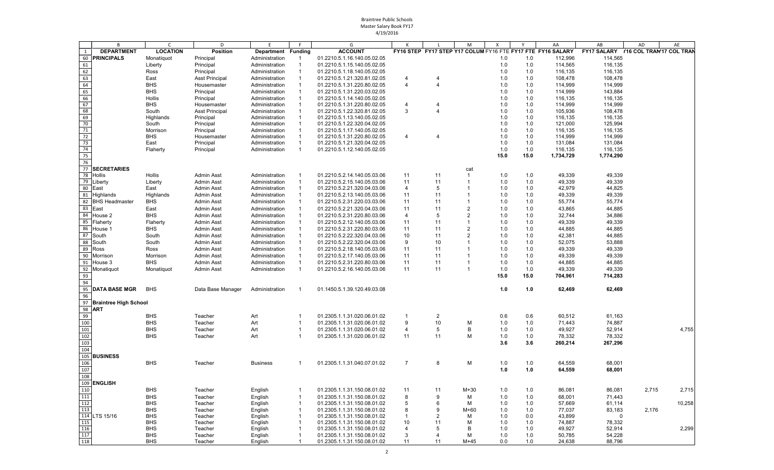|     | B                        | C               | D                     | E                  | F.             | G                           | К              | L              | M              | $\boldsymbol{\mathsf{x}}$ | Y    | AA                                                          | AB                                   | AD    | AE     |
|-----|--------------------------|-----------------|-----------------------|--------------------|----------------|-----------------------------|----------------|----------------|----------------|---------------------------|------|-------------------------------------------------------------|--------------------------------------|-------|--------|
| 1   | <b>DEPARTMENT</b>        | <b>LOCATION</b> | <b>Position</b>       | Department Funding |                | <b>ACCOUNT</b>              |                |                |                |                           |      | FY16 STEP FY17 STEP Y17 COLUM FY16 FTE FY17 FTE FY16 SALARY | FY17 SALARY Y16 COL TRAN'17 COL TRAN |       |        |
| 60  | <b>PRINCIPALS</b>        | Monatiquot      | Principal             | Administration     |                | 01.2210.5.1.16.140.05.02.05 |                |                |                | 1.0                       | 1.0  | 112,996                                                     | 114,565                              |       |        |
| 61  |                          |                 |                       |                    | $\mathbf{1}$   |                             |                |                |                |                           |      |                                                             |                                      |       |        |
|     |                          | Liberty         | Principal             | Administration     |                | 01.2210.5.1.15.140.05.02.05 |                |                |                | 1.0                       | 1.0  | 114,565                                                     | 116,135                              |       |        |
| 62  |                          | Ross            | Principal             | Administration     | $\overline{1}$ | 01.2210.5.1.18.140.05.02.05 |                |                |                | 1.0                       | 1.0  | 116,135                                                     | 116,135                              |       |        |
| 63  |                          | East            | <b>Asst Principal</b> | Administration     | -1             | 01.2210.5.1.21.320.81.02.05 | $\overline{4}$ | 4              |                | 1.0                       | 1.0  | 108,478                                                     | 108,478                              |       |        |
| 64  |                          | <b>BHS</b>      | Housemaster           | Administration     | $\overline{1}$ | 01.2210.5.1.31.220.80.02.05 | $\overline{4}$ | 4              |                | 1.0                       | 1.0  | 114,999                                                     | 114,999                              |       |        |
| 65  |                          | <b>BHS</b>      | Principal             | Administration     | -1             | 01.2210.5.1.31.220.03.02.05 |                |                |                | 1.0                       | 1.0  | 114,999                                                     | 143,884                              |       |        |
| 66  |                          | Hollis          | Principal             | Administration     | $\mathbf{1}$   | 01.2210.5.1.14.140.05.02.05 |                |                |                | 1.0                       | 1.0  | 116,135                                                     | 116,135                              |       |        |
| 67  |                          | <b>BHS</b>      | Housemaster           | Administration     | $\overline{1}$ | 01.2210.5.1.31.220.80.02.05 | $\overline{4}$ | 4              |                | 1.0                       | 1.0  | 114,999                                                     | 114,999                              |       |        |
| 68  |                          | South           | <b>Asst Principal</b> | Administration     | -1             | 01.2210.5.1.22.320.81.02.05 | 3              | 4              |                | 1.0                       | 1.0  | 105,936                                                     | 108,478                              |       |        |
| 69  |                          | Highlands       | Principal             | Administration     | $\mathbf{1}$   | 01.2210.5.1.13.140.05.02.05 |                |                |                | 1.0                       | 1.0  | 116,135                                                     | 116,135                              |       |        |
| 70  |                          | South           | Principal             | Administration     | 1              | 01.2210.5.1.22.320.04.02.05 |                |                |                | 1.0                       | 1.0  | 121,000                                                     | 125,994                              |       |        |
| 71  |                          | Morrison        | Principal             | Administration     | $\mathbf{1}$   | 01.2210.5.1.17.140.05.02.05 |                |                |                | 1.0                       | 1.0  | 116,135                                                     | 116,135                              |       |        |
| 72  |                          | <b>BHS</b>      | Housemaster           | Administration     | $\overline{1}$ | 01.2210.5.1.31.220.80.02.05 | 4              | 4              |                | 1.0                       | 1.0  | 114,999                                                     | 114,999                              |       |        |
| 73  |                          | East            | Principal             | Administration     | 1              | 01.2210.5.1.21.320.04.02.05 |                |                |                | 1.0                       | 1.0  | 131,084                                                     | 131,084                              |       |        |
| 74  |                          | Flaherty        | Principal             | Administration     | $\mathbf{1}$   | 01.2210.5.1.12.140.05.02.05 |                |                |                | 1.0                       | 1.0  | 116,135                                                     | 116,135                              |       |        |
| 75  |                          |                 |                       |                    |                |                             |                |                |                | 15.0                      | 15.0 |                                                             |                                      |       |        |
|     |                          |                 |                       |                    |                |                             |                |                |                |                           |      | 1,734,729                                                   | 1,774,290                            |       |        |
| 76  |                          |                 |                       |                    |                |                             |                |                |                |                           |      |                                                             |                                      |       |        |
| 77  | <b>SECRETARIES</b>       |                 |                       |                    |                |                             |                |                | cat            |                           |      |                                                             |                                      |       |        |
| 78  | Hollis                   | Hollis          | <b>Admin Asst</b>     | Administration     |                | 01.2210.5.2.14.140.05.03.06 | 11             | 11             | $\overline{1}$ | 1.0                       | 1.0  | 49,339                                                      | 49,339                               |       |        |
| 79  | Liberty                  | Liberty         | <b>Admin Asst</b>     | Administration     | $\mathbf{1}$   | 01.2210.5.2.15.140.05.03.06 | 11             | 11             | $\overline{1}$ | 1.0                       | 1.0  | 49,339                                                      | 49,339                               |       |        |
| 80  | East                     | East            | Admin Asst            | Administration     | 1              | 01.2210.5.2.21.320.04.03.06 | 4              | 5              | $\overline{1}$ | 1.0                       | 1.0  | 42,979                                                      | 44,825                               |       |        |
| 81  | Highlands                | Highlands       | <b>Admin Asst</b>     | Administration     | $\overline{1}$ | 01.2210.5.2.13.140.05.03.06 | 11             | 11             | -1             | 1.0                       | 1.0  | 49,339                                                      | 49,339                               |       |        |
| 82  | <b>BHS Headmaster</b>    | <b>BHS</b>      | <b>Admin Asst</b>     | Administration     | -1             | 01.2210.5.2.31.220.03.03.06 | 11             | 11             | $\overline{1}$ | 1.0                       | 1.0  | 55,774                                                      | 55,774                               |       |        |
| 83  | East                     | East            | <b>Admin Asst</b>     | Administration     | $\mathbf{1}$   | 01.2210.5.2.21.320.04.03.06 | 11             | 11             | $\overline{2}$ | 1.0                       | 1.0  | 43,865                                                      | 44,885                               |       |        |
| 84  | House 2                  | <b>BHS</b>      | <b>Admin Asst</b>     | Administration     | $\mathbf{1}$   | 01.2210.5.2.31.220.80.03.06 | $\overline{4}$ | 5              | $\overline{2}$ | 1.0                       | 1.0  | 32,744                                                      | 34,886                               |       |        |
| 85  |                          |                 |                       |                    |                |                             |                |                | $\overline{1}$ |                           |      |                                                             |                                      |       |        |
|     | Flaherty                 | Flaherty        | Admin Asst            | Administration     | $\mathbf{1}$   | 01.2210.5.2.12.140.05.03.06 | 11             | 11             |                | 1.0                       | 1.0  | 49,339                                                      | 49,339                               |       |        |
| 86  | House 1                  | <b>BHS</b>      | Admin Asst            | Administration     | $\mathbf{1}$   | 01.2210.5.2.31.220.80.03.06 | 11             | 11             | $\overline{2}$ | 1.0                       | 1.0  | 44,885                                                      | 44,885                               |       |        |
| 87  | South                    | South           | <b>Admin Asst</b>     | Administration     | $\mathbf{1}$   | 01.2210.5.2.22.320.04.03.06 | 10             | 11             | $\overline{2}$ | 1.0                       | 1.0  | 42,381                                                      | 44,885                               |       |        |
| 88  | South                    | South           | <b>Admin Asst</b>     | Administration     | $\overline{1}$ | 01.2210.5.2.22.320.04.03.06 | 9              | 10             |                | 1.0                       | 1.0  | 52,075                                                      | 53,888                               |       |        |
| 89  | Ross                     | Ross            | <b>Admin Asst</b>     | Administration     | $\mathbf 1$    | 01.2210.5.2.18.140.05.03.06 | 11             | 11             |                | 1.0                       | 1.0  | 49,339                                                      | 49,339                               |       |        |
| 90  | Morrison                 | Morrison        | <b>Admin Asst</b>     | Administration     | $\overline{1}$ | 01.2210.5.2.17.140.05.03.06 | 11             | 11             |                | 1.0                       | 1.0  | 49,339                                                      | 49,339                               |       |        |
| 91  | House 3                  | <b>BHS</b>      | Admin Asst            | Administration     | $\mathbf 1$    | 01.2210.5.2.31.220.80.03.06 | 11             | 11             |                | 1.0                       | 1.0  | 44,885                                                      | 44,885                               |       |        |
| 92  | Monatiquot               | Monatiquot      | <b>Admin Asst</b>     | Administration     | $\mathbf{1}$   | 01.2210.5.2.16.140.05.03.06 | 11             | 11             | $\overline{1}$ | 1.0                       | 1.0  | 49,339                                                      | 49,339                               |       |        |
| 93  |                          |                 |                       |                    |                |                             |                |                |                | 15.0                      | 15.0 | 704,961                                                     |                                      |       |        |
| 94  |                          |                 |                       |                    |                |                             |                |                |                |                           |      |                                                             | 714,283                              |       |        |
|     |                          |                 |                       |                    |                |                             |                |                |                |                           |      |                                                             |                                      |       |        |
| 95  | <b>DATA BASE MGR</b>     | <b>BHS</b>      | Data Base Manager     | Administration     | -1             | 01.1450.5.1.39.120.49.03.08 |                |                |                | 1.0                       | 1.0  | 62,469                                                      | 62,469                               |       |        |
| 96  |                          |                 |                       |                    |                |                             |                |                |                |                           |      |                                                             |                                      |       |        |
|     | 97 Braintree High School |                 |                       |                    |                |                             |                |                |                |                           |      |                                                             |                                      |       |        |
| 98  | <b>ART</b>               |                 |                       |                    |                |                             |                |                |                |                           |      |                                                             |                                      |       |        |
| 99  |                          | <b>BHS</b>      | Teacher               | Art                | -1             | 01.2305.1.1.31.020.06.01.02 | $\overline{1}$ | $\overline{2}$ |                | 0.6                       | 0.6  | 60,512                                                      | 61,163                               |       |        |
| 100 |                          | <b>BHS</b>      | Teacher               | Art                | 1              | 01.2305.1.1.31.020.06.01.02 | 9              | 10             | м              | 1.0                       | 1.0  | 71,443                                                      | 74,887                               |       |        |
| 101 |                          | <b>BHS</b>      | Teacher               | Art                | $\mathbf 1$    | 01.2305.1.1.31.020.06.01.02 | $\overline{4}$ | 5              | B              | 1.0                       | 1.0  | 49,927                                                      | 52,914                               |       | 4,755  |
| 102 |                          | <b>BHS</b>      | Teacher               | Art                | $\mathbf{1}$   | 01.2305.1.1.31.020.06.01.02 | 11             | 11             | M              | 1.0                       | 1.0  | 78,332                                                      | 78,332                               |       |        |
| 103 |                          |                 |                       |                    |                |                             |                |                |                | 3.6                       | 3.6  |                                                             |                                      |       |        |
|     |                          |                 |                       |                    |                |                             |                |                |                |                           |      | 260,214                                                     | 267,296                              |       |        |
| 104 |                          |                 |                       |                    |                |                             |                |                |                |                           |      |                                                             |                                      |       |        |
|     | 105 BUSINESS             |                 |                       |                    |                |                             |                |                |                |                           |      |                                                             |                                      |       |        |
| 106 |                          | <b>BHS</b>      | Teacher               | <b>Business</b>    | -1             | 01.2305.1.1.31.040.07.01.02 | $\overline{7}$ | 8              | м              | 1.0                       | 1.0  | 64,559                                                      | 68,001                               |       |        |
| 107 |                          |                 |                       |                    |                |                             |                |                |                | 1.0                       | 1.0  | 64,559                                                      | 68,001                               |       |        |
| 108 |                          |                 |                       |                    |                |                             |                |                |                |                           |      |                                                             |                                      |       |        |
|     | 109 ENGLISH              |                 |                       |                    |                |                             |                |                |                |                           |      |                                                             |                                      |       |        |
| 110 |                          | <b>BHS</b>      | Teacher               | English            | -1             | 01.2305.1.1.31.150.08.01.02 | 11             | 11             | $M+30$         | 1.0                       | 1.0  | 86,081                                                      | 86,081                               | 2,715 | 2,715  |
| 111 |                          | <b>BHS</b>      | Teacher               | English            | -1             | 01.2305.1.1.31.150.08.01.02 | 8              | 9              | М              | 1.0                       | 1.0  | 68,001                                                      | 71,443                               |       |        |
| 112 |                          |                 |                       |                    | -1             | 01.2305.1.1.31.150.08.01.02 |                |                |                |                           |      |                                                             |                                      |       |        |
|     |                          | <b>BHS</b>      | Teacher               | English            |                |                             | 5              | 6              | М              | 1.0                       | 1.0  | 57,669                                                      | 61,114                               |       | 10,258 |
| 113 |                          | <b>BHS</b>      | Teacher               | English            |                | 01.2305.1.1.31.150.08.01.02 | 8              | 9              | $M+60$         | 1.0                       | 1.0  | 77,037                                                      | 83,183                               | 2,176 |        |
| 114 | LTS 15/16                | <b>BHS</b>      | Teacher               | English            |                | 01.2305.1.1.31.150.08.01.02 | $\overline{1}$ |                | м              | 1.0                       | 0.0  | 43,899                                                      | 0                                    |       |        |
| 115 |                          | <b>BHS</b>      | Teacher               | English            |                | 01.2305.1.1.31.150.08.01.02 | 10             | 11             | м              | 1.0                       | 1.0  | 74,887                                                      | 78,332                               |       |        |
| 116 |                          | <b>BHS</b>      | Teacher               | English            |                | 01.2305.1.1.31.150.08.01.02 | $\overline{4}$ |                | B              | 1.0                       | 1.0  | 49,927                                                      | 52,914                               |       | 2,299  |
| 117 |                          | <b>BHS</b>      | Teacher               | English            | -1             | 01.2305.1.1.31.150.08.01.02 | 3              | 4              | М              | 1.0                       | 1.0  | 50,785                                                      | 54,228                               |       |        |
| 118 |                          | <b>BHS</b>      | Teacher               | English            | -1             | 01.2305.1.1.31.150.08.01.02 | 11             | 11             | $M+45$         | 0.0                       | 1.0  | 24,638                                                      | 88,796                               |       |        |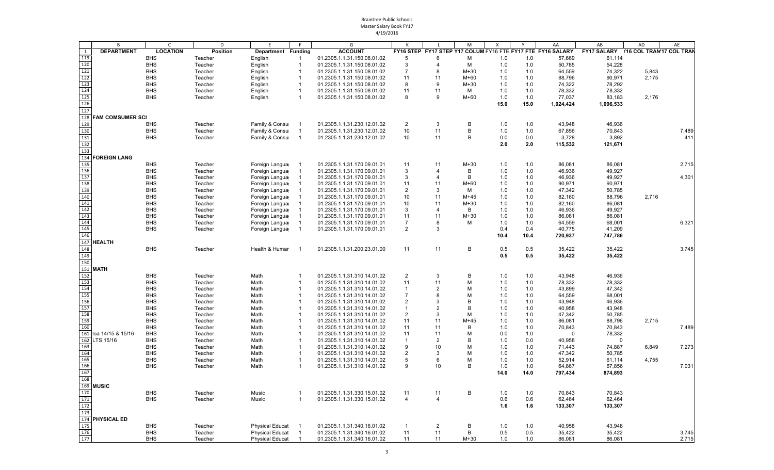|                   | B                       | $\mathsf{C}$    | D               | E                      | F.                       | G                           |                |                | M            | X    |      | AA                                                          | AB                                      | AD    | AE    |
|-------------------|-------------------------|-----------------|-----------------|------------------------|--------------------------|-----------------------------|----------------|----------------|--------------|------|------|-------------------------------------------------------------|-----------------------------------------|-------|-------|
| 1                 | <b>DEPARTMENT</b>       | <b>LOCATION</b> | <b>Position</b> | Department Funding     |                          | <b>ACCOUNT</b>              |                |                |              |      |      | FY16 STEP FY17 STEP Y17 COLUM FY16 FTE FY17 FTE FY16 SALARY | FY17 SALARY     Y16 COL TRAN17 COL TRAN |       |       |
| 119               |                         | <b>BHS</b>      | Teacher         | English                | -1                       | 01.2305.1.1.31.150.08.01.02 | 5              | 6              | М            | 1.0  | 1.0  | 57,669                                                      | 61,114                                  |       |       |
| 120               |                         | <b>BHS</b>      | Teacher         | English                | - 1                      | 01.2305.1.1.31.150.08.01.02 | 3              | 4              | М            | 1.0  | 1.0  | 50,785                                                      | 54,228                                  |       |       |
| 121               |                         | <b>BHS</b>      | Teacher         | English                | $\overline{1}$           | 01.2305.1.1.31.150.08.01.02 | $\overline{7}$ | 8              | $M+30$       | 1.0  | 1.0  | 64,559                                                      | 74,322                                  | 5,843 |       |
| 122               |                         | <b>BHS</b>      | Teacher         | English                | $\overline{1}$           | 01.2305.1.1.31.150.08.01.02 | 11             | 11             | $M+60$       | 1.0  | 1.0  | 88,796                                                      | 90,971                                  | 2,175 |       |
| 123               |                         | <b>BHS</b>      | Teacher         | English                | - 1                      | 01.2305.1.1.31.150.08.01.02 | 8              | 9              | M+30         | 1.0  | 1.0  | 74,322                                                      | 78,292                                  |       |       |
| 124               |                         | <b>BHS</b>      | Teacher         | English                | $\overline{1}$           | 01.2305.1.1.31.150.08.01.02 | 11             | 11             | M            | 1.0  | 1.0  | 78,332                                                      | 78,332                                  |       |       |
| 125               |                         | <b>BHS</b>      | Teacher         | English                | $\overline{1}$           | 01.2305.1.1.31.150.08.01.02 | 8              | 9              | M+60         | 1.0  | 1.0  | 77,037                                                      | 83,183                                  | 2,176 |       |
| 126               |                         |                 |                 |                        |                          |                             |                |                |              | 15.0 | 15.0 | 1,024,424                                                   | 1,096,533                               |       |       |
| 127               |                         |                 |                 |                        |                          |                             |                |                |              |      |      |                                                             |                                         |       |       |
| 128               | <b>FAM COMSUMER SCI</b> |                 |                 |                        |                          |                             |                |                |              |      |      |                                                             |                                         |       |       |
| 129               |                         | <b>BHS</b>      | Teacher         | Family & Consul        |                          | 01.2305.1.1.31.230.12.01.02 | $\overline{2}$ | 3              | B            | 1.0  | 1.0  | 43,948                                                      | 46,936                                  |       |       |
| 130               |                         | <b>BHS</b>      | Teacher         | Family & Consur        | -1                       | 01.2305.1.1.31.230.12.01.02 | 10             | 11             | B            | 1.0  | 1.0  | 67,856                                                      | 70,843                                  |       | 7,489 |
| 131               |                         | <b>BHS</b>      | Teacher         | Family & Consur        | $\overline{1}$           | 01.2305.1.1.31.230.12.01.02 | 10             | 11             | B            | 0.0  | 0.0  | 3,728                                                       | 3,892                                   |       | 411   |
| 132               |                         |                 |                 |                        |                          |                             |                |                |              | 2.0  | 2.0  | 115,532                                                     | 121,671                                 |       |       |
| 133               |                         |                 |                 |                        |                          |                             |                |                |              |      |      |                                                             |                                         |       |       |
| 134               | <b>FOREIGN LANG</b>     |                 |                 |                        |                          |                             |                |                |              |      |      |                                                             |                                         |       |       |
| 135               |                         | <b>BHS</b>      | Teacher         | Foreign Langua         |                          | 01.2305.1.1.31.170.09.01.01 | 11             | 11             | $M+30$       | 1.0  | 1.0  | 86,081                                                      | 86,081                                  |       | 2,715 |
| 136               |                         | <b>BHS</b>      | Teacher         | Foreign Langua         | $\overline{1}$           | 01.2305.1.1.31.170.09.01.01 | 3              | $\overline{4}$ | В            | 1.0  | 1.0  | 46,936                                                      | 49,927                                  |       |       |
| 137               |                         | <b>BHS</b>      | Teacher         | Foreign Langua         | $\mathbf{1}$             | 01.2305.1.1.31.170.09.01.01 | 3              | 4              | B            | 1.0  | 1.0  | 46,936                                                      | 49,927                                  |       | 4,301 |
| 138               |                         | <b>BHS</b>      | Teacher         | Foreign Langua         |                          | 01.2305.1.1.31.170.09.01.01 | 11             | 11             | $M+60$       | 1.0  | 1.0  | 90,971                                                      | 90,971                                  |       |       |
| 139               |                         | <b>BHS</b>      | Teacher         | Foreign Langua         | $\overline{1}$           | 01.2305.1.1.31.170.09.01.01 | 2              | 3              | м            | 1.0  | 1.0  | 47,342                                                      | 50,785                                  |       |       |
| 140               |                         | <b>BHS</b>      | Teacher         | Foreign Langua         | -1                       | 01.2305.1.1.31.170.09.01.01 | 10             | 11             | $M+45$       | 1.0  | 1.0  | 82,160                                                      | 88,796                                  | 2,716 |       |
| 141               |                         | <b>BHS</b>      | Teacher         | Foreign Langua         |                          | 01.2305.1.1.31.170.09.01.01 | 10             | 11             | $M+30$       | 1.0  | 1.0  | 82,160                                                      | 86,081                                  |       |       |
| 142               |                         | <b>BHS</b>      | Teacher         | Foreign Langua         | $\overline{1}$           | 01.2305.1.1.31.170.09.01.01 | 3              | 4              | В            | 1.0  | 1.0  | 46,936                                                      | 49,927                                  |       |       |
| 143               |                         | <b>BHS</b>      | Teacher         | Foreign Langua         |                          | 01.2305.1.1.31.170.09.01.01 | 11             | 11             | $M+30$       | 1.0  | 1.0  | 86,081                                                      | 86,081                                  |       |       |
| 144               |                         | <b>BHS</b>      | Teacher         | Foreign Langua         | -1                       | 01.2305.1.1.31.170.09.01.01 | $\overline{7}$ | 8              | м            | 1.0  | 1.0  | 64,559                                                      | 68,001                                  |       | 6,321 |
| 145               |                         | <b>BHS</b>      | Teacher         | Foreign Langua         | $\overline{1}$           | 01.2305.1.1.31.170.09.01.01 | $\overline{2}$ | 3              |              | 0.4  | 0.4  | 40,775                                                      | 41,209                                  |       |       |
| 146               |                         |                 |                 |                        |                          |                             |                |                |              | 10.4 | 10.4 | 720,937                                                     | 747,786                                 |       |       |
|                   | 147 HEALTH              |                 |                 |                        |                          |                             |                |                |              |      |      |                                                             |                                         |       |       |
| 148               |                         | <b>BHS</b>      | Teacher         | Health & Humar         | $\overline{\phantom{0}}$ | 01.2305.1.1.31.200.23.01.00 | 11             | 11             | B            | 0.5  | 0.5  | 35,422                                                      | 35,422                                  |       | 3,745 |
| 149               |                         |                 |                 |                        |                          |                             |                |                |              | 0.5  | 0.5  | 35,422                                                      | 35,422                                  |       |       |
| 150               |                         |                 |                 |                        |                          |                             |                |                |              |      |      |                                                             |                                         |       |       |
|                   | 151 MATH                |                 |                 |                        |                          |                             |                |                |              |      |      |                                                             |                                         |       |       |
| 152               |                         | <b>BHS</b>      | Teacher         | Math                   | -1                       | 01.2305.1.1.31.310.14.01.02 | 2              | 3              | B            | 1.0  | 1.0  | 43,948                                                      | 46,936                                  |       |       |
| 153               |                         | <b>BHS</b>      | Teacher         | Math                   | -1                       | 01.2305.1.1.31.310.14.01.02 | 11             | 11             | M            | 1.0  | 1.0  | 78,332                                                      | 78,332                                  |       |       |
| 154               |                         | <b>BHS</b>      | Teacher         | Math                   | $\overline{1}$           | 01.2305.1.1.31.310.14.01.02 | $\mathbf{1}$   | $\overline{2}$ | M            | 1.0  | 1.0  | 43,899                                                      | 47,342                                  |       |       |
|                   |                         | <b>BHS</b>      | Teacher         | Math                   | $\overline{1}$           | 01.2305.1.1.31.310.14.01.02 | $\overline{7}$ | 8              | M            | 1.0  | 1.0  | 64,559                                                      | 68,001                                  |       |       |
| $\frac{155}{156}$ |                         | <b>BHS</b>      | Teacher         | Math                   | $\mathbf{1}$             | 01.2305.1.1.31.310.14.01.02 | $\overline{2}$ | 3              | B            | 1.0  | 1.0  | 43,948                                                      | 46,936                                  |       |       |
| 157               |                         | <b>BHS</b>      | Teacher         | Math                   | $\overline{1}$           | 01.2305.1.1.31.310.14.01.02 | $\overline{1}$ | $\overline{2}$ | B            | 1.0  | 1.0  | 40,958                                                      | 43,948                                  |       |       |
| 158               |                         | <b>BHS</b>      | Teacher         | Math                   | -1                       | 01.2305.1.1.31.310.14.01.02 | $\overline{2}$ | 3              | M            | 1.0  | 1.0  | 47,342                                                      | 50,785                                  |       |       |
| 159               |                         | <b>BHS</b>      | Teacher         | Math                   | $\overline{1}$           | 01.2305.1.1.31.310.14.01.02 | 11             | 11             | $M+45$       | 1.0  | 1.0  | 86,081                                                      | 88,796                                  | 2,715 |       |
| 160               |                         | <b>BHS</b>      | Teacher         | Math                   | $\overline{1}$           | 01.2305.1.1.31.310.14.01.02 | 11             | 11             | В            | 1.0  | 1.0  | 70,843                                                      | 70,843                                  |       | 7,489 |
| 161               | loa 14/15 & 15/16       | <b>BHS</b>      | Teacher         | Math                   | $\overline{1}$           | 01.2305.1.1.31.310.14.01.02 | 11             | 11             | M            | 0.0  | 1.0  | $\Omega$                                                    | 78,332                                  |       |       |
| 162               | LTS 15/16               | <b>BHS</b>      | Teacher         | Math                   | $\overline{1}$           | 01.2305.1.1.31.310.14.01.02 | $\overline{1}$ | 2              | B            | 1.0  | 0.0  | 40,958                                                      | 0                                       |       |       |
| 163               |                         | <b>BHS</b>      | Teacher         | Math                   | -1                       | 01.2305.1.1.31.310.14.01.02 | 9              | 10             | M            | 1.0  | 1.0  | 71,443                                                      | 74,887                                  | 6,849 | 7,273 |
| 164               |                         | <b>BHS</b>      | Teacher         | Math                   | $\overline{1}$           | 01.2305.1.1.31.310.14.01.02 | 2              | 3              | M            | 1.0  | 1.0  | 47,342                                                      | 50,785                                  |       |       |
| 165               |                         | <b>BHS</b>      | Teacher         | Math                   | -1                       | 01.2305.1.1.31.310.14.01.02 | 5              | 6              | M            | 1.0  | 1.0  | 52,914                                                      | 61,114                                  | 4,755 |       |
| 166               |                         | <b>BHS</b>      | Teacher         | Math                   | $\overline{\mathbf{1}}$  | 01.2305.1.1.31.310.14.01.02 | 9              | 10             | B            | 1.0  | 1.0  | 64,867                                                      | 67,856                                  |       | 7,031 |
| 167               |                         |                 |                 |                        |                          |                             |                |                |              | 14.0 | 14.0 | 797,434                                                     | 874,893                                 |       |       |
| 168               |                         |                 |                 |                        |                          |                             |                |                |              |      |      |                                                             |                                         |       |       |
|                   | 169 MUSIC               |                 |                 |                        |                          |                             |                |                |              |      |      |                                                             |                                         |       |       |
| 170               |                         | <b>BHS</b>      | Teacher         | Music                  | -1                       | 01.2305.1.1.31.330.15.01.02 | 11             | 11             | B            | 1.0  | 1.0  | 70,843                                                      | 70,843                                  |       |       |
| 171               |                         | <b>BHS</b>      | Teacher         | Music                  | $\overline{1}$           | 01.2305.1.1.31.330.15.01.02 | $\overline{4}$ | $\overline{4}$ |              | 0.6  | 0.6  | 62,464                                                      | 62,464                                  |       |       |
| 172               |                         |                 |                 |                        |                          |                             |                |                |              | 1.6  | 1.6  | 133,307                                                     | 133,307                                 |       |       |
| 173               |                         |                 |                 |                        |                          |                             |                |                |              |      |      |                                                             |                                         |       |       |
|                   | 174 PHYSICAL ED         |                 |                 |                        |                          |                             |                |                |              |      |      |                                                             |                                         |       |       |
| 175               |                         | <b>BHS</b>      | Teacher         | <b>Physical Educat</b> |                          | 01.2305.1.1.31.340.16.01.02 | $\mathbf{1}$   | $\overline{2}$ | B            | 1.0  | 1.0  | 40,958                                                      | 43,948                                  |       |       |
| 176               |                         | <b>BHS</b>      | Teacher         | <b>Physical Educat</b> |                          | 01.2305.1.1.31.340.16.01.02 | 11             | 11             | $\, {\bf B}$ | 0.5  | 0.5  | 35,422                                                      | 35,422                                  |       | 3,745 |
| 177               |                         | <b>BHS</b>      | Teacher         | <b>Physical Educat</b> |                          | 01.2305.1.1.31.340.16.01.02 | 11             | 11             | $M+30$       | 1.0  | 1.0  | 86,081                                                      | 86,081                                  |       | 2,715 |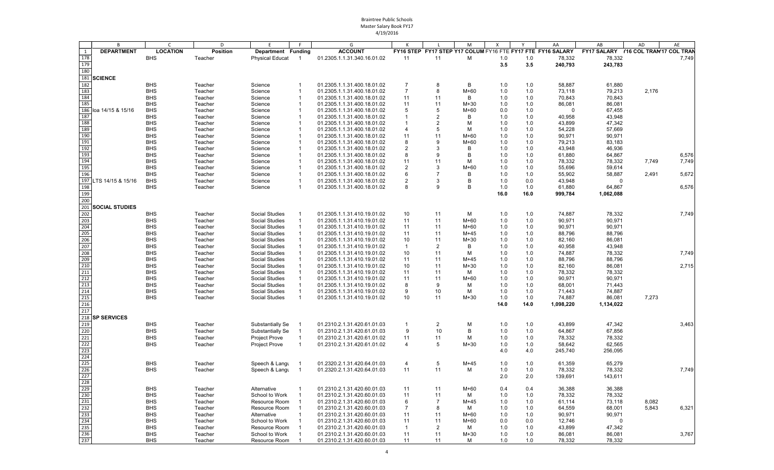|            | B                     | $\mathsf{C}$    | D        | F                       | F                       | G                           |                |                | M      | X    |      | AA                                                          | AB                                      | AD    | AE    |
|------------|-----------------------|-----------------|----------|-------------------------|-------------------------|-----------------------------|----------------|----------------|--------|------|------|-------------------------------------------------------------|-----------------------------------------|-------|-------|
| 1          | <b>DEPARTMENT</b>     | <b>LOCATION</b> | Position | Department Funding      |                         | <b>ACCOUNT</b>              |                |                |        |      |      | FY16 STEP FY17 STEP Y17 COLUM FY16 FTE FY17 FTE FY16 SALARY | FY17 SALARY     Y16 COL TRAN17 COL TRAN |       |       |
| 178        |                       | <b>BHS</b>      | Teacher  | <b>Physical Educat</b>  | $\overline{1}$          | 01.2305.1.1.31.340.16.01.02 | 11             | 11             | М      | 1.0  | 1.0  | 78,332                                                      | 78,332                                  |       | 7,749 |
| 179        |                       |                 |          |                         |                         |                             |                |                |        | 3.5  | 3.5  | 240,793                                                     | 243,783                                 |       |       |
| 180        |                       |                 |          |                         |                         |                             |                |                |        |      |      |                                                             |                                         |       |       |
| 181        | <b>SCIENCE</b>        |                 |          |                         |                         |                             |                |                |        |      |      |                                                             |                                         |       |       |
| 182        |                       | <b>BHS</b>      | Teacher  | Science                 | -1                      | 01.2305.1.1.31.400.18.01.02 | $\overline{7}$ | 8              | В      | 1.0  | 1.0  | 58,887                                                      | 61,880                                  |       |       |
| 183        |                       | <b>BHS</b>      | Teacher  | Science                 | -1                      | 01.2305.1.1.31.400.18.01.02 | $\overline{7}$ | 8              | $M+60$ | 1.0  | 1.0  | 73,118                                                      | 79,213                                  | 2,176 |       |
| 184        |                       | <b>BHS</b>      | Teacher  | Science                 | -1                      | 01.2305.1.1.31.400.18.01.02 | 11             | 11             | B      | 1.0  | 1.0  | 70,843                                                      | 70,843                                  |       |       |
| 185        |                       | <b>BHS</b>      | Teacher  | Science                 |                         | 01.2305.1.1.31.400.18.01.02 | 11             | 11             | $M+30$ | 1.0  | 1.0  | 86,081                                                      | 86,081                                  |       |       |
|            | 186 loa 14/15 & 15/16 | <b>BHS</b>      | Teacher  | Science                 |                         | 01.2305.1.1.31.400.18.01.02 | 5              | 5              | $M+60$ | 0.0  | 1.0  | $\Omega$                                                    | 67,455                                  |       |       |
| 187        |                       | <b>BHS</b>      | Teacher  | Science                 | -1                      | 01.2305.1.1.31.400.18.01.02 | $\overline{1}$ | 2              | В      | 1.0  | 1.0  | 40,958                                                      | 43,948                                  |       |       |
| 188        |                       | <b>BHS</b>      | Teacher  | Science                 |                         | 01.2305.1.1.31.400.18.01.02 | $\overline{1}$ | 2              | м      | 1.0  | 1.0  | 43,899                                                      | 47,342                                  |       |       |
| 189        |                       | <b>BHS</b>      | Teacher  | Science                 |                         | 01.2305.1.1.31.400.18.01.02 | $\overline{4}$ | 5              | M      | 1.0  | 1.0  | 54,228                                                      | 57,669                                  |       |       |
| 190        |                       | <b>BHS</b>      | Teacher  | Science                 | $\overline{\mathbf{1}}$ | 01.2305.1.1.31.400.18.01.02 | 11             | 11             | $M+60$ | 1.0  | 1.0  | 90,971                                                      | 90,971                                  |       |       |
| 191        |                       | <b>BHS</b>      | Teacher  | Science                 |                         | 01.2305.1.1.31.400.18.01.02 | 8              | 9              | $M+60$ | 1.0  | 1.0  | 79,213                                                      | 83,183                                  |       |       |
| 192        |                       | <b>BHS</b>      | Teacher  | Science                 | -1                      | 01.2305.1.1.31.400.18.01.02 | $\overline{2}$ | 3              | B      | 1.0  | 1.0  | 43,948                                                      | 46,936                                  |       |       |
| 193        |                       | <b>BHS</b>      | Teacher  | Science                 |                         | 01.2305.1.1.31.400.18.01.02 | 8              | 9              | B      | 1.0  | 1.0  | 61,880                                                      | 64,867                                  |       | 6,576 |
| 194        |                       | <b>BHS</b>      | Teacher  | Science                 | -1                      | 01.2305.1.1.31.400.18.01.02 | 11             | 11             | М      | 1.0  | 1.0  | 78,332                                                      | 78,332                                  | 7,749 | 7,749 |
| 195        |                       | <b>BHS</b>      | Teacher  | Science                 | -1                      | 01.2305.1.1.31.400.18.01.02 | $\overline{2}$ | 3              | $M+60$ | 1.0  | 1.0  | 55,696                                                      | 59,614                                  |       |       |
| 196        |                       | <b>BHS</b>      | Teacher  | Science                 | $\overline{1}$          | 01.2305.1.1.31.400.18.01.02 | 6              | $\overline{7}$ | В      | 1.0  | 1.0  | 55,902                                                      | 58,887                                  | 2,491 | 5,672 |
| 197        | TS 14/15 & 15/16      | <b>BHS</b>      | Teacher  | Science                 |                         | 01.2305.1.1.31.400.18.01.02 | $\overline{2}$ | 3              | B      | 1.0  | 0.0  | 43,948                                                      | $\Omega$                                |       |       |
| 198        |                       | <b>BHS</b>      | Teacher  | Science                 | $\overline{\mathbf{1}}$ | 01.2305.1.1.31.400.18.01.02 | 8              | 9              | B      | 1.0  | 1.0  | 61,880                                                      | 64,867                                  |       | 6,576 |
| 199        |                       |                 |          |                         |                         |                             |                |                |        | 16.0 | 16.0 | 999,784                                                     | 1,062,088                               |       |       |
| 200        |                       |                 |          |                         |                         |                             |                |                |        |      |      |                                                             |                                         |       |       |
| 201        | <b>SOCIAL STUDIES</b> |                 |          |                         |                         |                             |                |                |        |      |      |                                                             |                                         |       |       |
| 202        |                       | <b>BHS</b>      | Teacher  | Social Studies          |                         | 01.2305.1.1.31.410.19.01.02 | 10             | 11             | м      | 1.0  | 1.0  | 74,887                                                      | 78,332                                  |       | 7,749 |
| 203        |                       | <b>BHS</b>      | Teacher  | Social Studies          |                         | 01.2305.1.1.31.410.19.01.02 | 11             | 11             | $M+60$ | 1.0  | 1.0  | 90,971                                                      | 90,971                                  |       |       |
| 204        |                       | <b>BHS</b>      | Teacher  | Social Studies          | $\overline{\mathbf{1}}$ | 01.2305.1.1.31.410.19.01.02 | 11             | 11             | $M+60$ | 1.0  | 1.0  | 90,971                                                      | 90,971                                  |       |       |
| 205        |                       | <b>BHS</b>      | Teacher  | <b>Social Studies</b>   |                         | 01.2305.1.1.31.410.19.01.02 | 11             | 11             | $M+45$ | 1.0  | 1.0  | 88,796                                                      | 88,796                                  |       |       |
| 206        |                       | <b>BHS</b>      | Teacher  | Social Studies          |                         | 01.2305.1.1.31.410.19.01.02 | 10             | 11             | $M+30$ | 1.0  | 1.0  | 82,160                                                      | 86,081                                  |       |       |
| 207        |                       | <b>BHS</b>      | Teacher  | Social Studies          |                         | 01.2305.1.1.31.410.19.01.02 | $\mathbf{1}$   | $\overline{2}$ | В      | 1.0  | 1.0  | 40,958                                                      | 43,948                                  |       |       |
| 208        |                       | <b>BHS</b>      | Teacher  | <b>Social Studies</b>   |                         | 01.2305.1.1.31.410.19.01.02 | 10             | 11             | м      | 1.0  | 1.0  | 74,887                                                      | 78,332                                  |       | 7,749 |
| 209        |                       | <b>BHS</b>      | Teacher  | Social Studies          |                         | 01.2305.1.1.31.410.19.01.02 | 11             | 11             | $M+45$ | 1.0  | 1.0  | 88,796                                                      | 88,796                                  |       |       |
| 210        |                       | <b>BHS</b>      | Teacher  | Social Studies          |                         | 01.2305.1.1.31.410.19.01.02 | 10             | 11             | $M+30$ | 1.0  | 1.0  | 82,160                                                      | 86,081                                  |       | 2,715 |
| 211        |                       | <b>BHS</b>      | Teacher  | Social Studies          |                         | 01.2305.1.1.31.410.19.01.02 | 11             | 11             | M      | 1.0  | 1.0  | 78,332                                                      | 78,332                                  |       |       |
| 212        |                       | <b>BHS</b>      | Teacher  | Social Studies          |                         | 01.2305.1.1.31.410.19.01.02 | 11             | 11             | $M+60$ | 1.0  | 1.0  | 90,971                                                      | 90,971                                  |       |       |
| 213        |                       | <b>BHS</b>      | Teacher  | Social Studies          |                         | 01.2305.1.1.31.410.19.01.02 | 8              | 9              | м      | 1.0  | 1.0  | 68,001                                                      | 71,443                                  |       |       |
| 214        |                       | <b>BHS</b>      | Teacher  | Social Studies          |                         | 01.2305.1.1.31.410.19.01.02 | 9              | 10             | м      | 1.0  | 1.0  | 71,443                                                      | 74,887                                  |       |       |
| 215        |                       | <b>BHS</b>      | Teacher  | Social Studies          |                         | 01.2305.1.1.31.410.19.01.02 | 10             | 11             | $M+30$ | 1.0  | 1.0  | 74,887                                                      | 86,081                                  | 7,273 |       |
| 216        |                       |                 |          |                         |                         |                             |                |                |        | 14.0 | 14.0 | 1,098,220                                                   | 1,134,022                               |       |       |
| 217        |                       |                 |          |                         |                         |                             |                |                |        |      |      |                                                             |                                         |       |       |
|            | 218 SP SERVICES       |                 |          |                         |                         |                             |                |                |        |      |      |                                                             |                                         |       |       |
| 219        |                       | <b>BHS</b>      | Teacher  | Substantially Se        | - 1                     | 01.2310.2.1.31.420.61.01.03 | $\mathbf{1}$   | 2              | M      | 1.0  | 1.0  | 43,899                                                      | 47,342                                  |       | 3,463 |
| 220        |                       | <b>BHS</b>      | Teacher  | <b>Substantially Se</b> | $\overline{1}$          | 01.2310.2.1.31.420.61.01.03 | 9              | 10             | B      | 1.0  | 1.0  | 64,867                                                      | 67,856                                  |       |       |
| 221        |                       | <b>BHS</b>      | Teacher  | <b>Project Prove</b>    | $\overline{1}$          | 01.2310.2.1.31.420.61.01.02 | 11             | 11             | м      | 1.0  | 1.0  | 78,332                                                      | 78,332                                  |       |       |
| 222        |                       | <b>BHS</b>      | Teacher  | <b>Project Prove</b>    |                         | 01.2310.2.1.31.420.61.01.02 | $\overline{4}$ | 5              | $M+30$ | 1.0  | 1.0  | 58,642                                                      | 62,565                                  |       |       |
| 223        |                       |                 |          |                         |                         |                             |                |                |        | 4.0  | 4.0  | 245,740                                                     | 256,095                                 |       |       |
| 224        |                       |                 |          |                         |                         |                             |                |                |        |      |      |                                                             |                                         |       |       |
| 225        |                       | <b>BHS</b>      | Teacher  | Speech & Langu          |                         | 01.2320.2.1.31.420.64.01.03 | $\overline{4}$ | 5              | $M+45$ | 1.0  | 1.0  | 61,359                                                      | 65,279                                  |       |       |
| 226        |                       | <b>BHS</b>      | Teacher  | Speech & Langu          |                         | 01.2320.2.1.31.420.64.01.03 | 11             | 11             | м      | 1.0  | 1.0  | 78,332                                                      | 78,332                                  |       | 7,749 |
| 227        |                       |                 |          |                         |                         |                             |                |                |        | 2.0  | 2.0  | 139,691                                                     | 143,611                                 |       |       |
| 228        |                       |                 |          |                         |                         |                             |                |                |        |      |      |                                                             |                                         |       |       |
| 229        |                       | <b>BHS</b>      | Teacher  | Alternative             | -1                      | 01.2310.2.1.31.420.60.01.03 | 11             | 11             | $M+60$ | 0.4  | 0.4  | 36,388                                                      | 36,388                                  |       |       |
| 230        |                       | <b>BHS</b>      | Teacher  | School to Work          |                         | 01.2310.2.1.31.420.60.01.03 | 11             | 11             | М      | 1.0  | 1.0  | 78,332                                                      | 78,332                                  |       |       |
| 231        |                       | <b>BHS</b>      | Teacher  | Resource Room           |                         | 01.2310.2.1.31.420.60.01.03 | 6              | 7              | M+45   | 1.0  | 1.0  | 61,114                                                      | 73,118                                  | 8,082 |       |
| 232        |                       | <b>BHS</b>      | Teacher  | Resource Room           |                         | 01.2310.2.1.31.420.60.01.03 | $\overline{7}$ | 8              | М      | 1.0  | 1.0  | 64,559                                                      | 68,001                                  | 5,843 | 6,321 |
| 233<br>234 |                       | <b>BHS</b>      | Teacher  | Alternative             |                         | 01.2310.2.1.31.420.60.01.03 | 11             | 11             | $M+60$ | 1.0  | 1.0  | 90,971                                                      | 90,971                                  |       |       |
|            |                       | <b>BHS</b>      | Teacher  | School to Work          |                         | 01.2310.2.1.31.420.60.01.03 | 11             | 11             | $M+60$ | 0.0  | 0.0  | 12,746                                                      | $\mathbf 0$                             |       |       |
| 235        |                       | <b>BHS</b>      | Teacher  | Resource Room           |                         | 01.2310.2.1.31.420.60.01.03 | $\overline{1}$ | 2              | М      | 1.0  | 1.0  | 43,899                                                      | 47,342                                  |       |       |
| 236        |                       | <b>BHS</b>      | Teacher  | School to Work          |                         | 01.2310.2.1.31.420.60.01.03 | 11             | 11             | $M+30$ | 1.0  | 1.0  | 86,081                                                      | 86,081                                  |       | 3,767 |
| 237        |                       | BHS             | Teacher  | Resource Room           |                         | 01.2310.2.1.31.420.60.01.03 | 11             | 11             | М      | 1.0  | 1.0  | 78,332                                                      | 78,332                                  |       |       |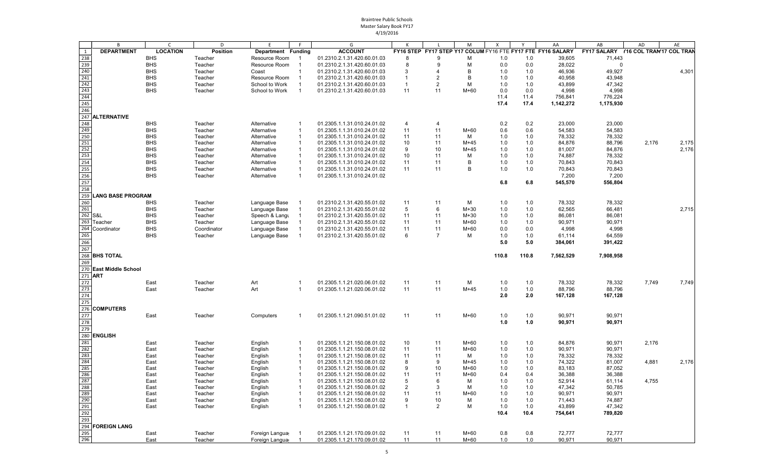|                   | B                        | $\mathsf{C}$    | D               | E                  |                | G                           |                |                | M      | X     |       | AA                                                          | AB                                   | AD    | AE    |
|-------------------|--------------------------|-----------------|-----------------|--------------------|----------------|-----------------------------|----------------|----------------|--------|-------|-------|-------------------------------------------------------------|--------------------------------------|-------|-------|
| 1                 | <b>DEPARTMENT</b>        | <b>LOCATION</b> | <b>Position</b> | Department Funding |                | <b>ACCOUNT</b>              |                |                |        |       |       | FY16 STEP FY17 STEP Y17 COLUM FY16 FTE FY17 FTE FY16 SALARY | FY17 SALARY Y16 COL TRAN'17 COL TRAN |       |       |
| 238               |                          | <b>BHS</b>      | Teacher         | Resource Room      | -1             | 01.2310.2.1.31.420.60.01.03 | 8              | 9              | м      | 1.0   | 1.0   | 39,605                                                      | 71,443                               |       |       |
| 239               |                          | <b>BHS</b>      | Teacher         | Resource Room      |                | 01.2310.2.1.31.420.60.01.03 | -8             | 9              | м      | 0.0   | 0.0   | 28,022                                                      | $\mathbf 0$                          |       |       |
| 240               |                          | <b>BHS</b>      | Teacher         | Coast              | -1             | 01.2310.2.1.31.420.60.01.03 | 3              | 4              | B      | 1.0   | 1.0   | 46,936                                                      | 49,927                               |       | 4,301 |
| 241               |                          | <b>BHS</b>      | Teacher         | Resource Room      |                | 01.2310.2.1.31.420.60.01.03 | $\overline{1}$ | 2              | B      | 1.0   | 1.0   | 40,958                                                      | 43,948                               |       |       |
| 242               |                          | <b>BHS</b>      | Teacher         | School to Work     |                | 01.2310.2.1.31.420.60.01.03 | $\mathbf{1}$   | 2              | M      | 1.0   | 1.0   | 43,899                                                      | 47,342                               |       |       |
| 243               |                          | <b>BHS</b>      | Teacher         | School to Work     | $\overline{1}$ | 01.2310.2.1.31.420.60.01.03 | 11             | 11             | $M+60$ | 0.0   | 0.0   | 4,998                                                       | 4,998                                |       |       |
| 244               |                          |                 |                 |                    |                |                             |                |                |        | 11.4  | 11.4  | 756,841                                                     | 776,224                              |       |       |
| 245               |                          |                 |                 |                    |                |                             |                |                |        | 17.4  | 17.4  | 1,142,272                                                   | 1,175,930                            |       |       |
| 246               |                          |                 |                 |                    |                |                             |                |                |        |       |       |                                                             |                                      |       |       |
|                   | 247 ALTERNATIVE          |                 |                 |                    |                |                             |                |                |        |       |       |                                                             |                                      |       |       |
| 248               |                          | <b>BHS</b>      | Teacher         | Alternative        | -1             | 01.2305.1.1.31.010.24.01.02 | $\overline{4}$ | 4              |        | 0.2   | 0.2   | 23,000                                                      | 23,000                               |       |       |
| 249               |                          | <b>BHS</b>      | Teacher         | Alternative        | $\mathbf{1}$   | 01.2305.1.1.31.010.24.01.02 | 11             | 11             | M+60   | 0.6   | 0.6   | 54,583                                                      | 54,583                               |       |       |
| 250               |                          | <b>BHS</b>      | Teacher         | Alternative        | $\mathbf{1}$   | 01.2305.1.1.31.010.24.01.02 | 11             | 11             | м      | 1.0   | 1.0   | 78,332                                                      | 78,332                               |       |       |
| 251               |                          | <b>BHS</b>      | Teacher         | Alternative        | $\mathbf{1}$   | 01.2305.1.1.31.010.24.01.02 | 10             | 11             | $M+45$ | 1.0   | 1.0   | 84,876                                                      | 88,796                               | 2,176 | 2,175 |
| 252               |                          | <b>BHS</b>      | Teacher         | Alternative        | $\mathbf{1}$   | 01.2305.1.1.31.010.24.01.02 | 9              | 10             | $M+45$ | 1.0   | 1.0   | 81,007                                                      | 84,876                               |       | 2,176 |
| 253               |                          | <b>BHS</b>      | Teacher         | Alternative        | $\mathbf{1}$   | 01.2305.1.1.31.010.24.01.02 | 10             | 11             | м      | 1.0   | 1.0   | 74,887                                                      | 78,332                               |       |       |
| $\frac{254}{255}$ |                          | <b>BHS</b>      | Teacher         | Alternative        | $\mathbf{1}$   | 01.2305.1.1.31.010.24.01.02 | 11             | 11             | B      | 1.0   | 1.0   | 70,843                                                      | 70,843                               |       |       |
|                   |                          | <b>BHS</b>      | Teacher         | Alternative        | $\overline{1}$ | 01.2305.1.1.31.010.24.01.02 | 11             | 11             | B      | 1.0   | 1.0   | 70,843                                                      | 70,843                               |       |       |
| 256               |                          | <b>BHS</b>      | Teacher         | Alternative        | $\mathbf{1}$   | 01.2305.1.1.31.010.24.01.02 |                |                |        |       |       | 7,200                                                       | 7,200                                |       |       |
| 257               |                          |                 |                 |                    |                |                             |                |                |        | 6.8   | 6.8   | 545,570                                                     | 556,804                              |       |       |
| 258               |                          |                 |                 |                    |                |                             |                |                |        |       |       |                                                             |                                      |       |       |
| 259               | <b>LANG BASE PROGRAM</b> |                 |                 |                    |                |                             |                |                |        |       |       |                                                             |                                      |       |       |
| 260               |                          | <b>BHS</b>      | Teacher         | Language Base      |                | 01.2310.2.1.31.420.55.01.02 | 11             | 11             | М      | 1.0   | 1.0   | 78,332                                                      | 78,332                               |       |       |
| 261               |                          | <b>BHS</b>      | Teacher         | Language Base      | - 1            | 01.2310.2.1.31.420.55.01.02 | 5              | 6              | $M+30$ | 1.0   | 1.0   | 62,565                                                      | 66,481                               |       | 2,715 |
| 262 S&L           |                          | <b>BHS</b>      | Teacher         | Speech & Langu     | $\mathbf{1}$   | 01.2310.2.1.31.420.55.01.02 | 11             | 11             | $M+30$ | 1.0   | 1.0   | 86,081                                                      | 86,081                               |       |       |
| 263               | Teacher                  | <b>BHS</b>      | Teacher         | Language Base      | $\mathbf{1}$   | 01.2310.2.1.31.420.55.01.02 | 11             | 11             | M+60   | 1.0   | 1.0   | 90,971                                                      | 90,971                               |       |       |
| 264               | Coordinator              | <b>BHS</b>      | Coordinator     | Language Base      | $\mathbf{1}$   | 01.2310.2.1.31.420.55.01.02 | 11             | 11             | M+60   | 0.0   | 0.0   | 4,998                                                       | 4,998                                |       |       |
| 265               |                          | <b>BHS</b>      | Teacher         | Language Base      |                | 01.2310.2.1.31.420.55.01.02 | 6              | $\overline{7}$ | м      | 1.0   | 1.0   | 61,114                                                      | 64,559                               |       |       |
| 266               |                          |                 |                 |                    |                |                             |                |                |        | 5.0   | 5.0   | 384,061                                                     | 391,422                              |       |       |
| 267               |                          |                 |                 |                    |                |                             |                |                |        |       |       |                                                             |                                      |       |       |
|                   | 268 BHS TOTAL            |                 |                 |                    |                |                             |                |                |        | 110.8 | 110.8 | 7,562,529                                                   | 7,908,958                            |       |       |
| 269               |                          |                 |                 |                    |                |                             |                |                |        |       |       |                                                             |                                      |       |       |
|                   | 270 East Middle School   |                 |                 |                    |                |                             |                |                |        |       |       |                                                             |                                      |       |       |
| 271 ART           |                          |                 |                 |                    |                |                             |                |                |        |       |       |                                                             |                                      |       |       |
| 272               |                          | East            | Teacher         | Art                | -1             | 01.2305.1.1.21.020.06.01.02 | 11             | 11             | М      | 1.0   | 1.0   | 78,332                                                      | 78,332                               | 7,749 | 7,749 |
| 273               |                          | East            | Teacher         | Art                | $\overline{1}$ | 01.2305.1.1.21.020.06.01.02 | 11             | 11             | $M+45$ | 1.0   | 1.0   | 88,796                                                      | 88,796                               |       |       |
| 274               |                          |                 |                 |                    |                |                             |                |                |        | 2.0   | 2.0   | 167,128                                                     | 167,128                              |       |       |
| 275               |                          |                 |                 |                    |                |                             |                |                |        |       |       |                                                             |                                      |       |       |
| 276               | <b>COMPUTERS</b>         |                 |                 |                    |                |                             |                |                |        |       |       |                                                             |                                      |       |       |
| 277               |                          | East            | Teacher         | Computers          | -1             | 01.2305.1.1.21.090.51.01.02 | 11             | 11             | M+60   | 1.0   | 1.0   | 90,971                                                      | 90,971                               |       |       |
| 278               |                          |                 |                 |                    |                |                             |                |                |        | 1.0   | 1.0   | 90,971                                                      | 90,971                               |       |       |
| 279               |                          |                 |                 |                    |                |                             |                |                |        |       |       |                                                             |                                      |       |       |
| 280               | <b>ENGLISH</b>           |                 |                 |                    |                |                             |                |                |        |       |       |                                                             |                                      |       |       |
| 281               |                          |                 | Teacher         | English            | -1             | 01.2305.1.1.21.150.08.01.02 | 10             | 11             | M+60   | 1.0   | 1.0   | 84,876                                                      | 90,971                               | 2,176 |       |
| 282               |                          | East<br>East    | Teacher         | English            | -1             | 01.2305.1.1.21.150.08.01.02 | 11             | 11             | M+60   | 1.0   | 1.0   | 90,971                                                      | 90,971                               |       |       |
| 283               |                          | East            | Teacher         | English            | -1             | 01.2305.1.1.21.150.08.01.02 | 11             | 11             | м      | 1.0   | 1.0   | 78,332                                                      | 78,332                               |       |       |
| 284               |                          | East            | Teacher         | English            | $\mathbf{1}$   | 01.2305.1.1.21.150.08.01.02 | 8              | 9              | $M+45$ | 1.0   | 1.0   | 74,322                                                      | 81,007                               | 4,881 | 2,176 |
| 285               |                          | East            | Teacher         | English            | -1             | 01.2305.1.1.21.150.08.01.02 | 9              | 10             | M+60   | 1.0   | 1.0   | 83,183                                                      | 87,052                               |       |       |
| 286               |                          | East            | Teacher         | English            | -1             | 01.2305.1.1.21.150.08.01.02 | 11             | 11             | $M+60$ | 0.4   | 0.4   | 36,388                                                      | 36,388                               |       |       |
| 287               |                          | East            | Teacher         | English            | -1             | 01.2305.1.1.21.150.08.01.02 | 5              | 6              | M      | 1.0   | 1.0   | 52,914                                                      | 61,114                               | 4,755 |       |
| 288               |                          | East            | Teacher         | English            | -1             | 01.2305.1.1.21.150.08.01.02 | $\overline{2}$ | 3              | М      | 1.0   | 1.0   | 47,342                                                      | 50,785                               |       |       |
| 289               |                          | East            | Teacher         | English            | $\mathbf{1}$   | 01.2305.1.1.21.150.08.01.02 | 11             | 11             | M+60   | 1.0   | 1.0   | 90,971                                                      | 90,971                               |       |       |
|                   |                          | East            | Teacher         | English            | $\overline{1}$ | 01.2305.1.1.21.150.08.01.02 | 9              | 10             | М      | 1.0   | 1.0   | 71,443                                                      | 74,887                               |       |       |
| $\frac{290}{291}$ |                          | East            | Teacher         | English            | $\overline{1}$ | 01.2305.1.1.21.150.08.01.02 | $\mathbf{1}$   | $\overline{2}$ | M      | 1.0   | 1.0   | 43,899                                                      | 47,342                               |       |       |
| 292               |                          |                 |                 |                    |                |                             |                |                |        | 10.4  | 10.4  | 754,641                                                     | 789,820                              |       |       |
| 293               |                          |                 |                 |                    |                |                             |                |                |        |       |       |                                                             |                                      |       |       |
| 294               | <b>FOREIGN LANG</b>      |                 |                 |                    |                |                             |                |                |        |       |       |                                                             |                                      |       |       |
| 295               |                          | East            | Teacher         | Foreign Langua     | $\overline{1}$ | 01.2305.1.1.21.170.09.01.02 | 11             | 11             | M+60   | 0.8   | 0.8   | 72,777                                                      | 72,777                               |       |       |
| 296               |                          | East            | Teacher         | Foreign Langua     | $\overline{1}$ | 01.2305.1.1.21.170.09.01.02 | 11             | 11             | M+60   | 1.0   | 1.0   | 90,971                                                      | 90,971                               |       |       |
|                   |                          |                 |                 |                    |                |                             |                |                |        |       |       |                                                             |                                      |       |       |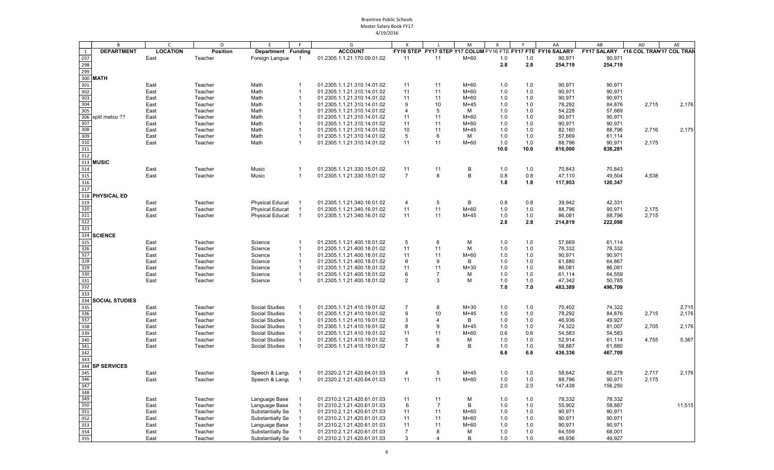|                                                                                                    | B                     | $\mathsf{C}$    | D                  | E                                                |                | G                                                          |                |          | M                | X          |            | AA                                                          | AB                                       | AD    | AE             |
|----------------------------------------------------------------------------------------------------|-----------------------|-----------------|--------------------|--------------------------------------------------|----------------|------------------------------------------------------------|----------------|----------|------------------|------------|------------|-------------------------------------------------------------|------------------------------------------|-------|----------------|
| 1                                                                                                  | <b>DEPARTMENT</b>     | <b>LOCATION</b> | <b>Position</b>    | Department Funding                               |                | <b>ACCOUNT</b>                                             |                |          |                  |            |            | FY16 STEP FY17 STEP Y17 COLUM FY16 FTE FY17 FTE FY16 SALARY | FY17 SALARY     Y16 COL TRAN'17 COL TRAN |       |                |
| 297                                                                                                |                       | East            | Teacher            | Foreign Langua                                   | $\overline{1}$ | 01.2305.1.1.21.170.09.01.02                                | 11             | 11       | $M+60$           | 1.0        | 1.0        | 90,971                                                      | 90,971                                   |       |                |
| 298                                                                                                |                       |                 |                    |                                                  |                |                                                            |                |          |                  | 2.8        | 2.8        | 254,719                                                     | 254,719                                  |       |                |
| 299                                                                                                |                       |                 |                    |                                                  |                |                                                            |                |          |                  |            |            |                                                             |                                          |       |                |
|                                                                                                    | 300 MATH              |                 |                    |                                                  |                |                                                            |                |          |                  |            |            |                                                             |                                          |       |                |
| 301                                                                                                |                       | East            | Teacher            | Math                                             | -1             | 01.2305.1.1.21.310.14.01.02                                | 11             | 11       | M+60             | 1.0        | 1.0        | 90,971                                                      | 90,971                                   |       |                |
| 302<br>303                                                                                         |                       | East            | Teacher            | Math                                             | -1             | 01.2305.1.1.21.310.14.01.02                                | 11             | 11       | $M+60$           | 1.0        | 1.0        | 90,971                                                      | 90,971                                   |       |                |
| 304                                                                                                |                       | East<br>East    | Teacher<br>Teacher | Math<br>Math                                     | -1<br>-1       | 01.2305.1.1.21.310.14.01.02<br>01.2305.1.1.21.310.14.01.02 | 11<br>9        | 11<br>10 | $M+60$<br>$M+45$ | 1.0<br>1.0 | 1.0        | 90,971<br>78,292                                            | 90,971<br>84,876                         | 2,715 | 2,176          |
| 305                                                                                                |                       | East            | Teacher            | Math                                             | $\mathbf 1$    | 01.2305.1.1.21.310.14.01.02                                | $\overline{4}$ | 5        | М                | 1.0        | 1.0<br>1.0 | 54,228                                                      | 57,669                                   |       |                |
| 306                                                                                                | split metco ??        | East            | Teacher            | Math                                             | $\mathbf{1}$   | 01.2305.1.1.21.310.14.01.02                                | 11             | 11       | $M+60$           | 1.0        | 1.0        | 90,971                                                      | 90,971                                   |       |                |
| 307                                                                                                |                       | East            | Teacher            | Math                                             | -1             | 01.2305.1.1.21.310.14.01.02                                | 11             | 11       | $M+60$           | 1.0        | 1.0        | 90,971                                                      | 90,971                                   |       |                |
| 308                                                                                                |                       | East            | Teacher            | Math                                             | $\mathbf 1$    | 01.2305.1.1.21.310.14.01.02                                | 10             | 11       | $M+45$           | 1.0        | 1.0        | 82,160                                                      | 88,796                                   | 2,716 | 2,175          |
| 309                                                                                                |                       | East            | Teacher            | Math                                             | $\overline{1}$ | 01.2305.1.1.21.310.14.01.02                                | 5              | 6        | М                | 1.0        | 1.0        | 57,669                                                      | 61,114                                   |       |                |
| 310                                                                                                |                       | East            | Teacher            | Math                                             | $\overline{1}$ | 01.2305.1.1.21.310.14.01.02                                | 11             | 11       | $M+60$           | 1.0        | 1.0        | 88,796                                                      | 90,971                                   | 2,175 |                |
| 311                                                                                                |                       |                 |                    |                                                  |                |                                                            |                |          |                  | 10.0       | 10.0       | 816,000                                                     | 838,281                                  |       |                |
| 312                                                                                                |                       |                 |                    |                                                  |                |                                                            |                |          |                  |            |            |                                                             |                                          |       |                |
|                                                                                                    | 313 MUSIC             |                 |                    |                                                  |                |                                                            |                |          |                  |            |            |                                                             |                                          |       |                |
| 314                                                                                                |                       | East            | Teacher            | Music                                            | $\mathbf 1$    | 01.2305.1.1.21.330.15.01.02                                | 11             | 11       | В                | 1.0        | 1.0        | 70,843                                                      | 70,843                                   |       |                |
| 315                                                                                                |                       | East            | Teacher            | Music                                            | $\overline{1}$ | 01.2305.1.1.21.330.15.01.02                                | $\overline{7}$ | 8        | В                | 0.8        | 0.8        | 47,110                                                      | 49,504                                   | 4,538 |                |
| 316                                                                                                |                       |                 |                    |                                                  |                |                                                            |                |          |                  | 1.8        | 1.8        | 117,953                                                     | 120,347                                  |       |                |
| 317                                                                                                |                       |                 |                    |                                                  |                |                                                            |                |          |                  |            |            |                                                             |                                          |       |                |
|                                                                                                    | 318 PHYSICAL ED       |                 |                    |                                                  |                |                                                            |                |          |                  |            |            |                                                             |                                          |       |                |
| 319<br>320                                                                                         |                       | East<br>East    | Teacher<br>Teacher | <b>Physical Educat</b><br><b>Physical Educat</b> | $\overline{1}$ | 01.2305.1.1.21.340.16.01.02<br>01.2305.1.1.21.340.16.01.02 | 4<br>11        | 5<br>11  | В<br>$M+60$      | 0.8<br>1.0 | 0.8<br>1.0 | 39,942<br>88,796                                            | 42,331<br>90,971                         | 2,175 |                |
| 321                                                                                                |                       | East            | Teacher            | <b>Physical Educat</b>                           | $\overline{1}$ | 01.2305.1.1.21.340.16.01.02                                | 11             | 11       | $M+45$           | 1.0        | 1.0        | 86,081                                                      | 88,796                                   | 2,715 |                |
| 322                                                                                                |                       |                 |                    |                                                  |                |                                                            |                |          |                  | 2.8        | 2.8        | 214,819                                                     | 222,098                                  |       |                |
| 323                                                                                                |                       |                 |                    |                                                  |                |                                                            |                |          |                  |            |            |                                                             |                                          |       |                |
| 324                                                                                                | <b>SCIENCE</b>        |                 |                    |                                                  |                |                                                            |                |          |                  |            |            |                                                             |                                          |       |                |
| 325                                                                                                |                       | East            | Teacher            | Science                                          | $\mathbf 1$    | 01.2305.1.1.21.400.18.01.02                                | 5              | 6        | M                | 1.0        | 1.0        | 57,669                                                      | 61,114                                   |       |                |
| 326                                                                                                |                       | East            | Teacher            | Science                                          | $\mathbf{1}$   | 01.2305.1.1.21.400.18.01.02                                | 11             | 11       | M                | 1.0        | 1.0        | 78,332                                                      | 78,332                                   |       |                |
| 327                                                                                                |                       | East            | Teacher            | Science                                          | $\mathbf{1}$   | 01.2305.1.1.21.400.18.01.02                                | 11             | 11       | $M+60$           | 1.0        | 1.0        | 90,971                                                      | 90,971                                   |       |                |
| 328                                                                                                |                       | East            | Teacher            | Science                                          | $\mathbf{1}$   | 01.2305.1.1.21.400.18.01.02                                | 8              | 9        | В                | 1.0        | 1.0        | 61,880                                                      | 64,867                                   |       |                |
| 329                                                                                                |                       | East            | Teacher            | Science                                          | -1             | 01.2305.1.1.21.400.18.01.02                                | 11             | 11       | $M+30$           | 1.0        | 1.0        | 86,081                                                      | 86,081                                   |       |                |
| 330                                                                                                |                       | East            | Teacher            | Science                                          | $\mathbf{1}$   | 01.2305.1.1.21.400.18.01.02                                | 6              | 7        | M                | 1.0        | 1.0        | 61,114                                                      | 64,559                                   |       |                |
| 331                                                                                                |                       | East            | Teacher            | Science                                          | $\overline{1}$ | 01.2305.1.1.21.400.18.01.02                                | 2              | 3        | M                | 1.0        | 1.0        | 47,342                                                      | 50,785                                   |       |                |
| 332                                                                                                |                       |                 |                    |                                                  |                |                                                            |                |          |                  | 7.0        | 7.0        | 483,389                                                     | 496,709                                  |       |                |
| 333                                                                                                |                       |                 |                    |                                                  |                |                                                            |                |          |                  |            |            |                                                             |                                          |       |                |
| 334<br>335                                                                                         | <b>SOCIAL STUDIES</b> |                 |                    | <b>Social Studies</b>                            |                |                                                            | $\overline{7}$ | 8        | $M+30$           |            |            |                                                             |                                          |       |                |
| 336                                                                                                |                       | East<br>East    | Teacher<br>Teacher | <b>Social Studies</b>                            |                | 01.2305.1.1.21.410.19.01.02<br>01.2305.1.1.21.410.19.01.02 | 9              | 10       | $M+45$           | 1.0<br>1.0 | 1.0<br>1.0 | 70,402<br>78,292                                            | 74,322<br>84,876                         | 2,715 | 2,715<br>2,176 |
| 337                                                                                                |                       | East            | Teacher            | <b>Social Studies</b>                            | $\mathbf{1}$   | 01.2305.1.1.21.410.19.01.02                                | 3              | 4        | В                | 1.0        | 1.0        | 46,936                                                      | 49,927                                   |       |                |
| 338                                                                                                |                       | East            | Teacher            | <b>Social Studies</b>                            | -1             | 01.2305.1.1.21.410.19.01.02                                | 8              | 9        | $M+45$           | 1.0        | 1.0        | 74,322                                                      | 81,007                                   | 2,705 | 2,176          |
| 339                                                                                                |                       | East            | Teacher            | <b>Social Studies</b>                            | $\overline{1}$ | 01.2305.1.1.21.410.19.01.02                                | 11             | 11       | $M+60$           | 0.6        | 0.6        | 54,583                                                      | 54,583                                   |       |                |
| 340                                                                                                |                       | East            | Teacher            | <b>Social Studies</b>                            | $\mathbf{1}$   | 01.2305.1.1.21.410.19.01.02                                | $\sqrt{5}$     | 6        | М                | 1.0        | 1.0        | 52,914                                                      | 61,114                                   | 4,755 | 5,367          |
| 341                                                                                                |                       | East            | Teacher            | <b>Social Studies</b>                            | -1             | 01.2305.1.1.21.410.19.01.02                                | $\overline{7}$ | 8        | B                | 1.0        | 1.0        | 58,887                                                      | 61,880                                   |       |                |
| 342                                                                                                |                       |                 |                    |                                                  |                |                                                            |                |          |                  | 6.6        | 6.6        | 436,336                                                     | 467,709                                  |       |                |
| 343                                                                                                |                       |                 |                    |                                                  |                |                                                            |                |          |                  |            |            |                                                             |                                          |       |                |
| 344                                                                                                | <b>SP SERVICES</b>    |                 |                    |                                                  |                |                                                            |                |          |                  |            |            |                                                             |                                          |       |                |
| 345                                                                                                |                       | East            | Teacher            | Speech & Langu                                   |                | 01.2320.2.1.21.420.64.01.03                                | 4              | 5        | $M+45$           | 1.0        | 1.0        | 58,642                                                      | 65,279                                   | 2,717 | 2,176          |
| 346                                                                                                |                       | East            | Teacher            | Speech & Langu                                   | $\overline{1}$ | 01.2320.2.1.21.420.64.01.03                                | 11             | 11       | M+60             | 1.0        | 1.0        | 88,796                                                      | 90,971                                   | 2,175 |                |
| 347                                                                                                |                       |                 |                    |                                                  |                |                                                            |                |          |                  | 2.0        | 2.0        | 147,438                                                     | 156,250                                  |       |                |
| $\begin{array}{r} \hline 348 \\ 349 \\ \hline 350 \\ 351 \end{array}$                              |                       |                 |                    |                                                  |                |                                                            |                |          |                  |            |            |                                                             |                                          |       |                |
|                                                                                                    |                       | East            | Teacher            | Language Base                                    |                | 01.2310.2.1.21.420.61.01.03                                | 11             | 11       | M                | 1.0        | 1.0        | 78,332                                                      | 78,332                                   |       |                |
|                                                                                                    |                       | East<br>East    | Teacher<br>Teacher | Language Base<br>Substantially Se                | -1             | 01.2310.2.1.21.420.61.01.03<br>01.2310.2.1.21.420.61.01.03 | 6<br>11        | 7<br>11  | В<br>$M+60$      | 1.0<br>1.0 | 1.0<br>1.0 | 55,902<br>90,971                                            | 58,887<br>90,971                         |       | 11,515         |
|                                                                                                    |                       | East            | Teacher            | Substantially Se                                 |                | 01.2310.2.1.21.420.61.01.03                                | 11             | 11       | $M+60$           | 1.0        | 1.0        | 90,971                                                      | 90,971                                   |       |                |
|                                                                                                    |                       | East            | Teacher            | Language Base                                    | $\overline{1}$ | 01.2310.2.1.21.420.61.01.03                                | 11             | 11       | M+60             | 1.0        | 1.0        | 90,971                                                      | 90,971                                   |       |                |
| $\begin{array}{r} \underline{352} \\ 352 \\ \underline{353} \\ 354 \\ \underline{355} \end{array}$ |                       | East            | Teacher            | Substantially Se                                 | $\overline{1}$ | 01.2310.2.1.21.420.61.01.03                                | $\overline{7}$ | 8        | М                | 1.0        | 1.0        | 64,559                                                      | 68,001                                   |       |                |
|                                                                                                    |                       | East            | Teacher            | Substantially Se                                 | $\overline{1}$ | 01.2310.2.1.21.420.61.01.03                                | 3              | 4        | В                | 1.0        | 1.0        | 46,936                                                      | 49,927                                   |       |                |
|                                                                                                    |                       |                 |                    |                                                  |                |                                                            |                |          |                  |            |            |                                                             |                                          |       |                |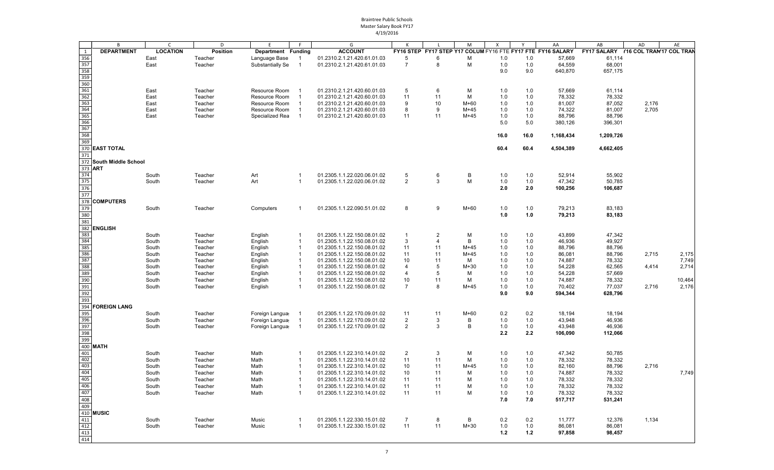|               | B                       | $\mathsf{C}$    | D               | E                  | E                       | G                           |                |                | M            | X     | Y    | AA                                                          | AB                                  | AD    | AE     |
|---------------|-------------------------|-----------------|-----------------|--------------------|-------------------------|-----------------------------|----------------|----------------|--------------|-------|------|-------------------------------------------------------------|-------------------------------------|-------|--------|
| 1             | <b>DEPARTMENT</b>       | <b>LOCATION</b> | <b>Position</b> | Department Funding |                         | <b>ACCOUNT</b>              |                |                |              |       |      | FY16 STEP FY17 STEP Y17 COLUM FY16 FTE FY17 FTE FY16 SALARY | FY17 SALARY Y16 COL TRAM17 COL TRAM |       |        |
| 356           |                         | East            | Teacher         | Language Base      | -1                      | 01.2310.2.1.21.420.61.01.03 | 5              | 6              | М            | $1.0$ | 1.0  | 57,669                                                      | 61,114                              |       |        |
| 357           |                         | East            | Teacher         | Substantially Se   | $\overline{\mathbf{1}}$ | 01.2310.2.1.21.420.61.01.03 | $\overline{7}$ | 8              | M            | 1.0   | 1.0  | 64,559                                                      | 68,001                              |       |        |
| 358           |                         |                 |                 |                    |                         |                             |                |                |              | 9.0   | 9.0  | 640,870                                                     | 657,175                             |       |        |
| 359           |                         |                 |                 |                    |                         |                             |                |                |              |       |      |                                                             |                                     |       |        |
| 360           |                         |                 |                 |                    |                         |                             |                |                |              |       |      |                                                             |                                     |       |        |
| 361           |                         | East            | Teacher         | Resource Room      |                         | 01.2310.2.1.21.420.60.01.03 | 5              | 6              | M            | 1.0   | 1.0  | 57,669                                                      | 61,114                              |       |        |
| 362           |                         | East            | Teacher         | Resource Room      | -1                      | 01.2310.2.1.21.420.60.01.03 | 11             | 11             | м            | 1.0   | 1.0  | 78,332                                                      | 78,332                              |       |        |
| 363           |                         | East            | Teacher         | Resource Room      | $\overline{\mathbf{1}}$ | 01.2310.2.1.21.420.60.01.03 | 9              | 10             | $M+60$       | 1.0   | 1.0  | 81,007                                                      | 87,052                              | 2,176 |        |
| 364           |                         | East            | Teacher         | Resource Room      | $\overline{1}$          | 01.2310.2.1.21.420.60.01.03 | 8              | 9              | $M+45$       | 1.0   | 1.0  | 74,322                                                      | 81,007                              | 2,705 |        |
| 365           |                         | East            | Teacher         | Specialized Rea    | $\overline{1}$          | 01.2310.2.1.21.420.60.01.03 | 11             | 11             | $M+45$       | 1.0   | 1.0  | 88,796                                                      | 88,796                              |       |        |
| 366           |                         |                 |                 |                    |                         |                             |                |                |              | 5.0   | 5.0  | 380,126                                                     | 396,301                             |       |        |
| 367           |                         |                 |                 |                    |                         |                             |                |                |              |       |      |                                                             |                                     |       |        |
| 368           |                         |                 |                 |                    |                         |                             |                |                |              | 16.0  | 16.0 | 1,168,434                                                   | 1,209,726                           |       |        |
| 369           |                         |                 |                 |                    |                         |                             |                |                |              |       |      |                                                             |                                     |       |        |
| 371           | 370 EAST TOTAL          |                 |                 |                    |                         |                             |                |                |              | 60.4  | 60.4 | 4,504,389                                                   | 4,662,405                           |       |        |
|               | 372 South Middle School |                 |                 |                    |                         |                             |                |                |              |       |      |                                                             |                                     |       |        |
| 373 ART       |                         |                 |                 |                    |                         |                             |                |                |              |       |      |                                                             |                                     |       |        |
| 374           |                         | South           | Teacher         | Art                | $\overline{1}$          | 01.2305.1.1.22.020.06.01.02 | 5              | 6              | B            | 1.0   | 1.0  | 52,914                                                      | 55.902                              |       |        |
| 375           |                         | South           | Teacher         | Art                | $\overline{1}$          | 01.2305.1.1.22.020.06.01.02 | $\overline{2}$ | 3              | M            | 1.0   | 1.0  | 47,342                                                      | 50,785                              |       |        |
| 376           |                         |                 |                 |                    |                         |                             |                |                |              | 2.0   | 2.0  | 100,256                                                     | 106,687                             |       |        |
| 377           |                         |                 |                 |                    |                         |                             |                |                |              |       |      |                                                             |                                     |       |        |
| 378           | <b>COMPUTERS</b>        |                 |                 |                    |                         |                             |                |                |              |       |      |                                                             |                                     |       |        |
| 379           |                         | South           | Teacher         | Computers          | $\mathbf 1$             | 01.2305.1.1.22.090.51.01.02 | 8              | 9              | $M+60$       | $1.0$ | 1.0  | 79,213                                                      | 83,183                              |       |        |
| 380           |                         |                 |                 |                    |                         |                             |                |                |              | 1.0   | 1.0  | 79,213                                                      | 83,183                              |       |        |
| 381           |                         |                 |                 |                    |                         |                             |                |                |              |       |      |                                                             |                                     |       |        |
|               | 382 ENGLISH             |                 |                 |                    |                         |                             |                |                |              |       |      |                                                             |                                     |       |        |
| 383           |                         | South           | Teacher         | English            | -1                      | 01.2305.1.1.22.150.08.01.02 | $\mathbf{1}$   | $\overline{2}$ | M            | $1.0$ | 1.0  | 43,899                                                      | 47,342                              |       |        |
| 384           |                         | South           | Teacher         | English            | $\overline{\mathbf{1}}$ | 01.2305.1.1.22.150.08.01.02 | 3              | $\overline{4}$ | $\mathsf{B}$ | 1.0   | 1.0  | 46,936                                                      | 49,927                              |       |        |
| 385           |                         | South           | Teacher         | English            | $\overline{1}$          | 01.2305.1.1.22.150.08.01.02 | 11             | 11             | $M+45$       | 1.0   | 1.0  | 88,796                                                      | 88,796                              |       |        |
| 386           |                         | South           | Teacher         | English            | $\overline{1}$          | 01.2305.1.1.22.150.08.01.02 | 11             | 11             | $M+45$       | 1.0   | 1.0  | 86,081                                                      | 88,796                              | 2,715 | 2,175  |
| $rac{1}{387}$ |                         | South           | Teacher         | English            | $\overline{1}$          | 01.2305.1.1.22.150.08.01.02 | 10             | 11             | м            | 1.0   | 1.0  | 74,887                                                      | 78,332                              |       | 7,749  |
| 388           |                         | South           | Teacher         | English            | $\overline{1}$          | 01.2305.1.1.22.150.08.01.02 | $\overline{4}$ | 5              | $M+30$       | 1.0   | 1.0  | 54,228                                                      | 62,565                              | 4,414 | 2,714  |
| 389           |                         | South           | Teacher         | English            | -1                      | 01.2305.1.1.22.150.08.01.02 | $\overline{4}$ | 5              | M            | 1.0   | 1.0  | 54,228                                                      | 57,669                              |       |        |
| 390           |                         | South           | Teacher         | English            | $\overline{\mathbf{1}}$ | 01.2305.1.1.22.150.08.01.02 | 10             | 11             | M            | 1.0   | 1.0  | 74,887                                                      | 78,332                              |       | 10,464 |
| 391           |                         | South           | Teacher         | English            | $\overline{1}$          | 01.2305.1.1.22.150.08.01.02 | $\overline{7}$ | 8              | $M+45$       | 1.0   | 1.0  | 70,402                                                      | 77,037                              | 2,716 | 2,176  |
| 392           |                         |                 |                 |                    |                         |                             |                |                |              | 9.0   | 9.0  | 594,344                                                     | 628,796                             |       |        |
| 393           |                         |                 |                 |                    |                         |                             |                |                |              |       |      |                                                             |                                     |       |        |
| 394           | <b>FOREIGN LANG</b>     |                 |                 |                    |                         |                             |                |                |              |       |      |                                                             |                                     |       |        |
| 395           |                         | South           | Teacher         | Foreign Langua     | $\overline{\mathbf{1}}$ | 01.2305.1.1.22.170.09.01.02 | 11             | 11             | $M+60$       | 0.2   | 0.2  | 18,194                                                      | 18.194                              |       |        |
| 396           |                         | South           | Teacher         | Foreign Langua     | $\overline{1}$          | 01.2305.1.1.22.170.09.01.02 | $\overline{2}$ | 3              | B            | 1.0   | 1.0  | 43,948                                                      | 46,936                              |       |        |
| 397           |                         | South           | Teacher         | Foreign Langua     | $\overline{1}$          | 01.2305.1.1.22.170.09.01.02 | $\overline{2}$ | 3              | $\, {\bf B}$ | 1.0   | 1.0  | 43,948                                                      | 46,936                              |       |        |
| 398           |                         |                 |                 |                    |                         |                             |                |                |              | 2.2   | 2.2  | 106,090                                                     | 112,066                             |       |        |
| 399           |                         |                 |                 |                    |                         |                             |                |                |              |       |      |                                                             |                                     |       |        |
|               | 400 MATH                |                 |                 |                    |                         |                             |                |                |              |       |      |                                                             |                                     |       |        |
| 401           |                         | South           | Teacher         | Math               | $\overline{1}$          | 01.2305.1.1.22.310.14.01.02 | 2              | 3              | М            | 1.0   | 1.0  | 47,342                                                      | 50,785                              |       |        |
| 402           |                         | South           | Teacher         | Math               | $\overline{1}$          | 01.2305.1.1.22.310.14.01.02 | 11             | 11             | M            | 1.0   | 1.0  | 78,332                                                      | 78,332                              |       |        |
| 403           |                         | South           | Teacher         | Math               | $\overline{1}$          | 01.2305.1.1.22.310.14.01.02 | 10             | 11             | $M+45$       | 1.0   | 1.0  | 82,160                                                      | 88,796                              | 2,716 |        |
| 404           |                         | South           | Teacher         | Math               | $\overline{1}$          | 01.2305.1.1.22.310.14.01.02 | 10             | 11             | м            | 1.0   | 1.0  | 74,887                                                      | 78,332                              |       | 7,749  |
| 405           |                         | South           | Teacher         | Math               | $\overline{1}$          | 01.2305.1.1.22.310.14.01.02 | 11             | 11             | M            | 1.0   | 1.0  | 78,332                                                      | 78,332                              |       |        |
| 406           |                         | South           | Teacher         | Math               | $\overline{1}$          | 01.2305.1.1.22.310.14.01.02 | 11             | 11             | M            | 1.0   | 1.0  | 78,332                                                      | 78,332                              |       |        |
| 407           |                         | South           | Teacher         | Math               | $\mathbf{1}$            | 01.2305.1.1.22.310.14.01.02 | 11             | 11             | M            | 1.0   | 1.0  | 78,332                                                      | 78,332                              |       |        |
| 408           |                         |                 |                 |                    |                         |                             |                |                |              | 7.0   | 7.0  | 517,717                                                     | 531,241                             |       |        |
| 409           |                         |                 |                 |                    |                         |                             |                |                |              |       |      |                                                             |                                     |       |        |
|               | 410 MUSIC               |                 |                 |                    |                         |                             |                |                |              |       |      |                                                             |                                     |       |        |
| 411           |                         | South           | Teacher         | Music              | $\overline{1}$          | 01.2305.1.1.22.330.15.01.02 | $\overline{7}$ | 8              | В            | 0.2   | 0.2  | 11,777                                                      | 12,376                              | 1,134 |        |
| 412           |                         | South           | Teacher         | Music              | -1                      | 01.2305.1.1.22.330.15.01.02 | 11             | 11             | $M+30$       | 1.0   | 1.0  | 86,081                                                      | 86,081                              |       |        |
| 413           |                         |                 |                 |                    |                         |                             |                |                |              | 1.2   | 1.2  | 97,858                                                      | 98,457                              |       |        |
| 414           |                         |                 |                 |                    |                         |                             |                |                |              |       |      |                                                             |                                     |       |        |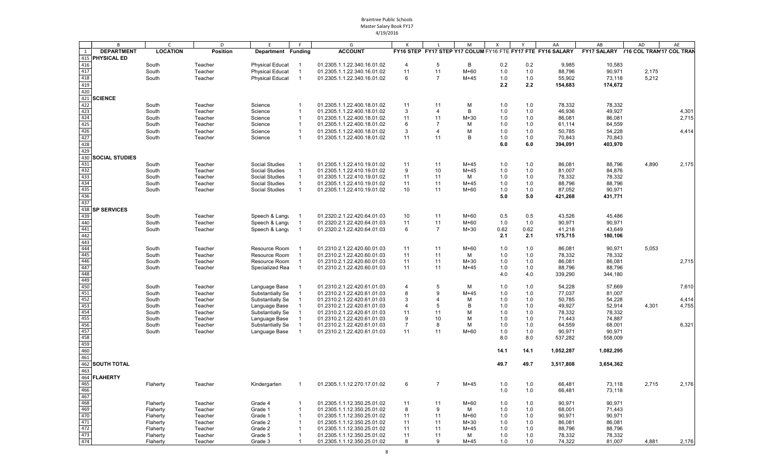|                          | B                  | C               | D               | E                      | F.             | G                           | К              | L              | M      | $\mathsf{x}$ | Y    | AA                                                          | AB                                   | AD    | AE    |
|--------------------------|--------------------|-----------------|-----------------|------------------------|----------------|-----------------------------|----------------|----------------|--------|--------------|------|-------------------------------------------------------------|--------------------------------------|-------|-------|
| 1                        | <b>DEPARTMENT</b>  | <b>LOCATION</b> | <b>Position</b> | Department Funding     |                | <b>ACCOUNT</b>              |                |                |        |              |      | FY16 STEP FY17 STEP Y17 COLUM FY16 FTE FY17 FTE FY16 SALARY | FY17 SALARY Y16 COL TRAN'17 COL TRAN |       |       |
|                          | 415 PHYSICAL ED    |                 |                 |                        |                |                             |                |                |        |              |      |                                                             |                                      |       |       |
| 416                      |                    | South           | Teacher         | <b>Physical Educat</b> |                | 01.2305.1.1.22.340.16.01.02 | 4              | 5              | B      | 0.2          | 0.2  | 9,985                                                       | 10,583                               |       |       |
| 417                      |                    | South           | Teacher         | <b>Physical Educat</b> | $\overline{1}$ | 01.2305.1.1.22.340.16.01.02 | 11             | 11             | M+60   | 1.0          | 1.0  | 88,796                                                      | 90,971                               | 2,175 |       |
|                          |                    |                 |                 |                        |                |                             |                |                |        |              |      |                                                             |                                      |       |       |
| 418                      |                    | South           | Teacher         | <b>Physical Educat</b> | $\overline{1}$ | 01.2305.1.1.22.340.16.01.02 | 6              | 7              | $M+45$ | 1.0          | 1.0  | 55,902                                                      | 73,118                               | 5,212 |       |
| 419                      |                    |                 |                 |                        |                |                             |                |                |        | 2.2          | 2.2  | 154,683                                                     | 174,672                              |       |       |
| 420                      |                    |                 |                 |                        |                |                             |                |                |        |              |      |                                                             |                                      |       |       |
|                          | 421 SCIENCE        |                 |                 |                        |                |                             |                |                |        |              |      |                                                             |                                      |       |       |
| 422                      |                    | South           | Teacher         | Science                | -1             | 01.2305.1.1.22.400.18.01.02 | 11             | 11             | М      | 1.0          | 1.0  | 78,332                                                      | 78,332                               |       |       |
| 423                      |                    | South           | Teacher         | Science                | $\overline{1}$ | 01.2305.1.1.22.400.18.01.02 | 3              | $\overline{4}$ | B      | 1.0          | 1.0  | 46,936                                                      | 49,927                               |       | 4,301 |
| 424                      |                    | South           | Teacher         | Science                | $\overline{1}$ | 01.2305.1.1.22.400.18.01.02 | 11             | 11             | $M+30$ | 1.0          | 1.0  | 86,081                                                      | 86,081                               |       | 2,715 |
| 425                      |                    | South           | Teacher         | Science                | $\mathbf{1}$   | 01.2305.1.1.22.400.18.01.02 | 6              | $\overline{7}$ | м      | 1.0          | 1.0  | 61,114                                                      | 64,559                               |       |       |
| $\frac{426}{427}$        |                    | South           | Teacher         | Science                | $\overline{1}$ | 01.2305.1.1.22.400.18.01.02 | 3              | $\overline{4}$ | м      | 1.0          | 1.0  | 50,785                                                      | 54,228                               |       | 4,414 |
|                          |                    | South           | Teacher         | Science                | $\overline{1}$ | 01.2305.1.1.22.400.18.01.02 | 11             | 11             | B      | 1.0          | 1.0  | 70,843                                                      | 70,843                               |       |       |
| 428                      |                    |                 |                 |                        |                |                             |                |                |        | 6.0          | 6.0  | 394,091                                                     | 403,970                              |       |       |
| 429                      |                    |                 |                 |                        |                |                             |                |                |        |              |      |                                                             |                                      |       |       |
|                          |                    |                 |                 |                        |                |                             |                |                |        |              |      |                                                             |                                      |       |       |
|                          | 430 SOCIAL STUDIES |                 |                 |                        |                |                             |                |                |        |              |      |                                                             |                                      |       |       |
| 431                      |                    | South           | Teacher         | <b>Social Studies</b>  |                | 01.2305.1.1.22.410.19.01.02 | 11             | 11             | $M+45$ | 1.0          | 1.0  | 86,081                                                      | 88,796                               | 4,890 | 2,175 |
| 432                      |                    | South           | Teacher         | <b>Social Studies</b>  |                | 01.2305.1.1.22.410.19.01.02 | 9              | 10             | $M+45$ | 1.0          | 1.0  | 81,007                                                      | 84,876                               |       |       |
| 433                      |                    | South           | Teacher         | <b>Social Studies</b>  | $\overline{1}$ | 01.2305.1.1.22.410.19.01.02 | 11             | 11             | м      | 1.0          | 1.0  | 78,332                                                      | 78,332                               |       |       |
| 434                      |                    | South           | Teacher         | <b>Social Studies</b>  | $\overline{1}$ | 01.2305.1.1.22.410.19.01.02 | 11             | 11             | $M+45$ | 1.0          | 1.0  | 88,796                                                      | 88,796                               |       |       |
| 435                      |                    | South           | Teacher         | <b>Social Studies</b>  | $\overline{1}$ | 01.2305.1.1.22.410.19.01.02 | 10             | 11             | M+60   | 1.0          | 1.0  | 87,052                                                      | 90,971                               |       |       |
| 436                      |                    |                 |                 |                        |                |                             |                |                |        | 5.0          | 5.0  | 421,268                                                     | 431,771                              |       |       |
| 437                      |                    |                 |                 |                        |                |                             |                |                |        |              |      |                                                             |                                      |       |       |
|                          | 438 SP SERVICES    |                 |                 |                        |                |                             |                |                |        |              |      |                                                             |                                      |       |       |
| 439                      |                    | South           | Teacher         | Speech & Langu         |                | 01.2320.2.1.22.420.64.01.03 | 10             | 11             | M+60   | 0.5          | 0.5  | 43,526                                                      | 45,486                               |       |       |
|                          |                    | South           | Teacher         | Speech & Langu         | $\overline{1}$ | 01.2320.2.1.22.420.64.01.03 | 11             | 11             | $M+60$ | 1.0          | 1.0  | 90,971                                                      | 90,971                               |       |       |
| 440<br>441               |                    | South           | Teacher         | Speech & Langu         | $\overline{1}$ | 01.2320.2.1.22.420.64.01.03 | 6              | $\overline{7}$ | $M+30$ | 0.62         | 0.62 | 41,218                                                      | 43,649                               |       |       |
| 442                      |                    |                 |                 |                        |                |                             |                |                |        | 2.1          | 2.1  | 175,715                                                     | 180,106                              |       |       |
|                          |                    |                 |                 |                        |                |                             |                |                |        |              |      |                                                             |                                      |       |       |
| 443<br>444               |                    | South           | Teacher         | Resource Room          |                | 01.2310.2.1.22.420.60.01.03 | 11             | 11             | M+60   | 1.0          | 1.0  | 86,081                                                      | 90,971                               | 5,053 |       |
| 445                      |                    | South           | Teacher         | Resource Room          |                | 01.2310.2.1.22.420.60.01.03 | 11             | 11             | м      | 1.0          | 1.0  | 78,332                                                      | 78,332                               |       |       |
| 446                      |                    |                 | Teacher         | Resource Room          |                | 01.2310.2.1.22.420.60.01.03 | 11             | 11             | $M+30$ | 1.0          | 1.0  | 86,081                                                      | 86,081                               |       | 2,715 |
| 447                      |                    | South           |                 |                        | $\overline{1}$ |                             | 11             |                |        |              |      |                                                             |                                      |       |       |
| 448                      |                    | South           | Teacher         | Specialized Rea        |                | 01.2310.2.1.22.420.60.01.03 |                | 11             | M+45   | 1.0          | 1.0  | 88,796                                                      | 88,796                               |       |       |
|                          |                    |                 |                 |                        |                |                             |                |                |        | 4.0          | 4.0  | 339,290                                                     | 344,180                              |       |       |
| 449                      |                    |                 |                 |                        |                |                             |                |                |        |              |      |                                                             |                                      |       |       |
| 450                      |                    | South           | Teacher         | Language Base          |                | 01.2310.2.1.22.420.61.01.03 | $\overline{4}$ | 5              | М      | 1.0          | 1.0  | 54,228                                                      | 57,669                               |       | 7,610 |
| 451                      |                    | South           | Teacher         | Substantially Se       |                | 01.2310.2.1.22.420.61.01.03 | 8              | 9              | $M+45$ | 1.0          | 1.0  | 77,037                                                      | 81,007                               |       |       |
| 452                      |                    | South           | Teacher         | Substantially Se       | - 1            | 01.2310.2.1.22.420.61.01.03 | 3              |                | М      | 1.0          | 1.0  | 50,785                                                      | 54,228                               |       | 4,414 |
| 453                      |                    | South           | Teacher         | Language Base          | $\mathbf{1}$   | 01.2310.2.1.22.420.61.01.03 | $\overline{4}$ | 5              | B      | 1.0          | 1.0  | 49,927                                                      | 52,914                               | 4,301 | 4,755 |
| 454                      |                    | South           | Teacher         | Substantially Se       |                | 01.2310.2.1.22.420.61.01.03 | 11             | 11             | M      | 1.0          | 1.0  | 78,332                                                      | 78,332                               |       |       |
| $\frac{455}{456}$        |                    | South           | Teacher         | Language Base          | $\overline{1}$ | 01.2310.2.1.22.420.61.01.03 | 9              | 10             | M      | 1.0          | 1.0  | 71,443                                                      | 74,887                               |       |       |
|                          |                    | South           | Teacher         | Substantially Se       | -1             | 01.2310.2.1.22.420.61.01.03 | $\overline{7}$ | 8              | M      | 1.0          | 1.0  | 64,559                                                      | 68,001                               |       | 6,321 |
| $\frac{457}{458}$        |                    | South           | Teacher         | Language Base          | $\overline{1}$ | 01.2310.2.1.22.420.61.01.03 | 11             | 11             | M+60   | 1.0          | 1.0  | 90,971                                                      | 90,971                               |       |       |
|                          |                    |                 |                 |                        |                |                             |                |                |        | 8.0          | 8.0  | 537,282                                                     | 558,009                              |       |       |
| 459                      |                    |                 |                 |                        |                |                             |                |                |        |              |      |                                                             |                                      |       |       |
| 460                      |                    |                 |                 |                        |                |                             |                |                |        | 14.1         | 14.1 | 1,052,287                                                   | 1,082,295                            |       |       |
| 461                      |                    |                 |                 |                        |                |                             |                |                |        |              |      |                                                             |                                      |       |       |
|                          | 462 SOUTH TOTAL    |                 |                 |                        |                |                             |                |                |        | 49.7         | 49.7 | 3,517,808                                                   | 3,654,362                            |       |       |
| 463                      |                    |                 |                 |                        |                |                             |                |                |        |              |      |                                                             |                                      |       |       |
|                          | 464 FLAHERTY       |                 |                 |                        |                |                             |                |                |        |              |      |                                                             |                                      |       |       |
| 465                      |                    | Flaherty        |                 | Kindergarten           |                | 01.2305.1.1.12.270.17.01.02 |                |                | M+45   |              |      | 66,481                                                      | 73,118                               | 2,715 | 2,176 |
| 466                      |                    |                 | Teacher         |                        |                |                             |                |                |        | 1.0          | 1.0  | 66,481                                                      |                                      |       |       |
|                          |                    |                 |                 |                        |                |                             |                |                |        | 1.0          | 1.0  |                                                             | 73,118                               |       |       |
| 467<br>468<br>469<br>470 |                    |                 |                 |                        |                |                             |                |                |        |              |      |                                                             |                                      |       |       |
|                          |                    | Flaherty        | Teacher         | Grade 4                | $\mathbf{1}$   | 01.2305.1.1.12.350.25.01.02 | 11             | 11             | M+60   | 1.0          | 1.0  | 90,971                                                      | 90,971                               |       |       |
|                          |                    | Flaherty        | Teacher         | Grade 1                | $\mathbf{1}$   | 01.2305.1.1.12.350.25.01.02 | 8              | 9              | М      | 1.0          | 1.0  | 68,001                                                      | 71,443                               |       |       |
|                          |                    | Flaherty        | Teacher         | Grade 1                | $\overline{1}$ | 01.2305.1.1.12.350.25.01.02 | 11             | 11             | M+60   | 1.0          | 1.0  | 90,971                                                      | 90,971                               |       |       |
| $\frac{471}{472}$        |                    | Flaherty        | Teacher         | Grade 2                | $\mathbf 1$    | 01.2305.1.1.12.350.25.01.02 | 11             | 11             | $M+30$ | 1.0          | 1.0  | 86,081                                                      | 86,081                               |       |       |
|                          |                    | Flaherty        | Teacher         | Grade 2                | 1              | 01.2305.1.1.12.350.25.01.02 | 11             | 11             | $M+45$ | 1.0          | 1.0  | 88,796                                                      | 88,796                               |       |       |
| 473                      |                    | Flaherty        | Teacher         | Grade 5                | $\mathbf{1}$   | 01.2305.1.1.12.350.25.01.02 | 11             | 11             | М      | 1.0          | 1.0  | 78,332                                                      | 78,332                               |       |       |
| 474                      |                    | Flaherty        | Teacher         | Grade 3                | $\overline{1}$ | 01.2305.1.1.12.350.25.01.02 | 8              | 9              | $M+45$ | 1.0          | 1.0  | 74,322                                                      | 81,007                               | 4,881 | 2,176 |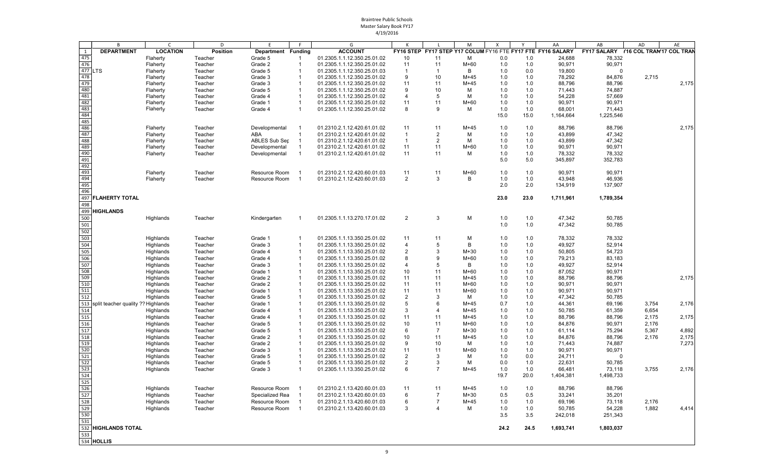|                   | B                                  | C.              | D               | E                    |                          | G                           | К              |                | M           | Χ    |      | AA                                                          | AB                                   | AD    | AE    |
|-------------------|------------------------------------|-----------------|-----------------|----------------------|--------------------------|-----------------------------|----------------|----------------|-------------|------|------|-------------------------------------------------------------|--------------------------------------|-------|-------|
| 1                 | <b>DEPARTMENT</b>                  | <b>LOCATION</b> | <b>Position</b> | Department Funding   |                          | <b>ACCOUNT</b>              |                |                |             |      |      | FY16 STEP FY17 STEP Y17 COLUM FY16 FTE FY17 FTE FY16 SALARY | FY17 SALARY Y16 COL TRAN'17 COL TRAN |       |       |
| 475               |                                    | Flaherty        | Teacher         | Grade 5              | $\overline{1}$           | 01.2305.1.1.12.350.25.01.02 | 10             | 11             | м           | 0.0  | 1.0  | 24,688                                                      | 78,332                               |       |       |
| 476               |                                    | Flaherty        | Teacher         | Grade 2              | $\overline{1}$           | 01.2305.1.1.12.350.25.01.02 | 11             | 11             | $M+60$      | 1.0  | 1.0  | 90,971                                                      | 90,971                               |       |       |
| 477 LTS           |                                    | Flaherty        | Teacher         | Grade 5              | $\overline{1}$           | 01.2305.1.1.12.350.25.01.03 | $\mathbf{1}$   | -1             | B           | 1.0  | 0.0  | 19,800                                                      | $\Omega$                             |       |       |
| 478               |                                    | Flaherty        | Teacher         | Grade 3              | -1                       | 01.2305.1.1.12.350.25.01.02 | 9              | 10             | $M+45$      | 1.0  | 1.0  | 78,292                                                      | 84,876                               | 2,715 |       |
| 479               |                                    | Flaherty        | Teacher         | Grade 3              | $\overline{1}$           | 01.2305.1.1.12.350.25.01.02 | 11             | 11             | $M+45$      | 1.0  | 1.0  | 88,796                                                      | 88,796                               |       | 2,175 |
| 480               |                                    | Flaherty        | Teacher         | Grade 5              | $\overline{1}$           | 01.2305.1.1.12.350.25.01.02 | 9              | 10             | м           | 1.0  | 1.0  | 71,443                                                      | 74,887                               |       |       |
| 481               |                                    | Flaherty        | Teacher         | Grade 4              | $\overline{1}$           | 01.2305.1.1.12.350.25.01.02 | $\overline{4}$ | 5              | M           | 1.0  | 1.0  | 54,228                                                      | 57,669                               |       |       |
| 482               |                                    | Flaherty        | Teacher         | Grade 1              | -1                       | 01.2305.1.1.12.350.25.01.02 | 11             | 11             | $M+60$      | 1.0  | 1.0  | 90,971                                                      | 90,971                               |       |       |
| 483               |                                    | Flaherty        | Teacher         | Grade 4              | $\overline{1}$           | 01.2305.1.1.12.350.25.01.02 | 8              | 9              | M           | 1.0  | 1.0  | 68,001                                                      | 71,443                               |       |       |
| 484               |                                    |                 |                 |                      |                          |                             |                |                |             | 15.0 | 15.0 | 1,164,664                                                   | 1,225,546                            |       |       |
| 485               |                                    |                 |                 |                      |                          |                             |                |                |             |      |      |                                                             |                                      |       |       |
| 486               |                                    | Flaherty        | Teacher         | Developmental        | - 1                      | 01.2310.2.1.12.420.61.01.02 | 11             | 11             | $M+45$      | 1.0  | 1.0  | 88,796                                                      | 88,796                               |       | 2,175 |
| 487               |                                    | Flaherty        | Teacher         | ABA                  | $\overline{1}$           | 01.2310.2.1.12.420.61.01.02 | $\overline{1}$ | $\overline{2}$ | м           | 1.0  | 1.0  | 43,899                                                      | 47,342                               |       |       |
| 488               |                                    | Flaherty        | Teacher         | <b>ABLES Sub Sep</b> | $\overline{1}$           | 01.2310.2.1.12.420.61.01.02 | $\overline{1}$ | $\overline{2}$ | M           | 1.0  | 1.0  | 43,899                                                      | 47,342                               |       |       |
| 489               |                                    | Flaherty        | Teacher         | Developmental        | -1                       | 01.2310.2.1.12.420.61.01.02 | 11             | 11             | $M+60$      | 1.0  | 1.0  | 90,971                                                      | 90,971                               |       |       |
| 490               |                                    | Flaherty        | Teacher         | Developmental        | $\overline{1}$           | 01.2310.2.1.12.420.61.01.02 | 11             | 11             | м           | 1.0  | 1.0  | 78,332                                                      | 78,332                               |       |       |
| 491               |                                    |                 |                 |                      |                          |                             |                |                |             | 5.0  | 5.0  | 345,897                                                     | 352,783                              |       |       |
| 492               |                                    |                 |                 |                      |                          |                             |                |                |             |      |      |                                                             |                                      |       |       |
| 493               |                                    |                 |                 | Resource Room        |                          |                             |                |                |             |      |      |                                                             |                                      |       |       |
| 494               |                                    | Flaherty        | Teacher         |                      | - 1                      | 01.2310.2.1.12.420.60.01.03 | 11             | 11             | $M+60$<br>B | 1.0  | 1.0  | 90,971<br>43,948                                            | 90,971<br>46,936                     |       |       |
|                   |                                    | Flaherty        | Teacher         | Resource Room        |                          | 01.2310.2.1.12.420.60.01.03 | 2              | 3              |             | 1.0  | 1.0  |                                                             |                                      |       |       |
| 495<br>496        |                                    |                 |                 |                      |                          |                             |                |                |             | 2.0  | 2.0  | 134,919                                                     | 137,907                              |       |       |
|                   |                                    |                 |                 |                      |                          |                             |                |                |             |      |      |                                                             |                                      |       |       |
| 497               | <b>FLAHERTY TOTAL</b>              |                 |                 |                      |                          |                             |                |                |             | 23.0 | 23.0 | 1,711,961                                                   | 1,789,354                            |       |       |
| 498               |                                    |                 |                 |                      |                          |                             |                |                |             |      |      |                                                             |                                      |       |       |
|                   | 499 HIGHLANDS                      |                 |                 |                      |                          |                             |                |                |             |      |      |                                                             |                                      |       |       |
| 500               |                                    | Highlands       | Teacher         | Kindergarten         | -1                       | 01.2305.1.1.13.270.17.01.02 | $\overline{2}$ | 3              | М           | 1.0  | 1.0  | 47,342                                                      | 50,785                               |       |       |
| 501               |                                    |                 |                 |                      |                          |                             |                |                |             | 1.0  | 1.0  | 47,342                                                      | 50,785                               |       |       |
| 502               |                                    |                 |                 |                      |                          |                             |                |                |             |      |      |                                                             |                                      |       |       |
| 503               |                                    | Highlands       | Teacher         | Grade 1              | -1                       | 01.2305.1.1.13.350.25.01.02 | 11             | 11             | M           | 1.0  | 1.0  | 78,332                                                      | 78,332                               |       |       |
| 504               |                                    | Highlands       | Teacher         | Grade 3              | $\overline{1}$           | 01.2305.1.1.13.350.25.01.02 | $\overline{4}$ | 5              | B           | 1.0  | 1.0  | 49,927                                                      | 52,914                               |       |       |
| 505               |                                    | Highlands       | Teacher         | Grade 4              | $\overline{1}$           | 01.2305.1.1.13.350.25.01.02 | $\overline{2}$ | 3              | $M+30$      | 1.0  | 1.0  | 50,805                                                      | 54,723                               |       |       |
| 506               |                                    | Highlands       | Teacher         | Grade 4              | $\overline{1}$           | 01.2305.1.1.13.350.25.01.02 | 8              | 9              | $M+60$      | 1.0  | 1.0  | 79,213                                                      | 83,183                               |       |       |
| 507               |                                    | Highlands       | Teacher         | Grade 3              | $\overline{1}$           | 01.2305.1.1.13.350.25.01.02 | $\overline{4}$ | 5              | B           | 1.0  | 1.0  | 49,927                                                      | 52,914                               |       |       |
| 508               |                                    | Highlands       |                 | Grade 1              | $\overline{1}$           | 01.2305.1.1.13.350.25.01.02 | 10             | 11             | $M+60$      | 1.0  | 1.0  | 87,052                                                      | 90,971                               |       |       |
| 509               |                                    |                 | Teacher         |                      | $\overline{1}$           |                             | 11             | 11             | $M+45$      |      |      |                                                             |                                      |       |       |
| 510               |                                    | Highlands       | Teacher         | Grade 2              | $\overline{1}$           | 01.2305.1.1.13.350.25.01.02 |                |                |             | 1.0  | 1.0  | 88,796                                                      | 88,796                               |       | 2,175 |
|                   |                                    | Highlands       | Teacher         | Grade 2              |                          | 01.2305.1.1.13.350.25.01.02 | 11             | 11             | $M+60$      | 1.0  | 1.0  | 90,971                                                      | 90,971                               |       |       |
| 511               |                                    | Highlands       | Teacher         | Grade 1              | $\overline{1}$           | 01.2305.1.1.13.350.25.01.02 | 11             | 11             | M+60        | 1.0  | 1.0  | 90,971                                                      | 90,971                               |       |       |
| 512               |                                    | Highlands       | Teacher         | Grade 5              | $\overline{1}$           | 01.2305.1.1.13.350.25.01.02 | 2              | 3              | м           | 1.0  | 1.0  | 47,342                                                      | 50,785                               |       |       |
| 513               | split teacher quality ?? Highlands |                 | Teacher         | Grade 1              | $\overline{1}$           | 01.2305.1.1.13.350.25.01.02 | 5              | 6              | $M+45$      | 0.7  | 1.0  | 44,361                                                      | 69,196                               | 3,754 | 2,176 |
| 514               |                                    | Highlands       | Teacher         | Grade 4              | $\overline{1}$           | 01.2305.1.1.13.350.25.01.02 | 3              | $\overline{4}$ | $M+45$      | 1.0  | 1.0  | 50,785                                                      | 61,359                               | 6,654 |       |
| 515               |                                    | Highlands       | Teacher         | Grade 4              | $\overline{1}$           | 01.2305.1.1.13.350.25.01.02 | 11             | 11             | $M+45$      | 1.0  | 1.0  | 88,796                                                      | 88,796                               | 2,175 | 2,175 |
| 516               |                                    | Highlands       | Teacher         | Grade 5              | -1                       | 01.2305.1.1.13.350.25.01.02 | 10             | 11             | $M+60$      | 1.0  | 1.0  | 84,876                                                      | 90,971                               | 2,176 |       |
| 517               |                                    | Highlands       | Teacher         | Grade 5              | $\overline{1}$           | 01.2305.1.1.13.350.25.01.02 | 6              | $\overline{7}$ | $M+30$      | 1.0  | 1.0  | 61,114                                                      | 75,294                               | 5,367 | 4,892 |
| 518               |                                    | Highlands       | Teacher         | Grade 2              | -1                       | 01.2305.1.1.13.350.25.01.02 | 10             | 11             | $M+45$      | 1.0  | 1.0  | 84,876                                                      | 88,796                               | 2,176 | 2,175 |
| 519               |                                    | Highlands       | Teacher         | Grade 2              | $\overline{1}$           | 01.2305.1.1.13.350.25.01.02 | 9              | 10             | м           | 1.0  | 1.0  | 71,443                                                      | 74,887                               |       | 7,273 |
| 520               |                                    | Highlands       | Teacher         | Grade 3              | -1                       | 01.2305.1.1.13.350.25.01.02 | 11             | 11             | $M+60$      | 1.0  | 1.0  | 90,971                                                      | 90,971                               |       |       |
| 521               |                                    | Highlands       | Teacher         | Grade 5              | $\overline{1}$           | 01.2305.1.1.13.350.25.01.02 | 2              | 3              | м           | 1.0  | 0.0  | 24,711                                                      | $\Omega$                             |       |       |
| 522               |                                    | Highlands       | Teacher         | Grade 5              | -1                       | 01.2305.1.1.13.350.25.01.02 | $\overline{2}$ | 3              | м           | 0.0  | 1.0  | 22,631                                                      | 50,785                               |       |       |
| 523               |                                    | Highlands       | Teacher         | Grade 3              | $\overline{1}$           | 01.2305.1.1.13.350.25.01.02 | 6              | $\overline{7}$ | $M+45$      | 1.0  | 1.0  | 66,481                                                      | 73,118                               | 3,755 | 2,176 |
| 524               |                                    |                 |                 |                      |                          |                             |                |                |             | 19.7 | 20.0 | 1,404,381                                                   | 1,498,733                            |       |       |
| 525               |                                    |                 |                 |                      |                          |                             |                |                |             |      |      |                                                             |                                      |       |       |
|                   |                                    | Highlands       | Teacher         | Resource Room        | - 1                      | 01.2310.2.1.13.420.60.01.03 | 11             | 11             | $M+45$      | 1.0  | 1.0  | 88,796                                                      | 88,796                               |       |       |
| $\frac{526}{527}$ |                                    | Highlands       | Teacher         | Specialized Rea      | - 1                      | 01.2310.2.1.13.420.60.01.03 | 6              | -7             | $M+30$      | 0.5  | 0.5  | 33,241                                                      | 35,201                               |       |       |
|                   |                                    | Highlands       |                 | Resource Room        | - 1                      | 01.2310.2.1.13.420.60.01.03 |                |                |             |      |      |                                                             |                                      |       |       |
|                   |                                    |                 | Teacher         |                      |                          |                             | 6<br>3         |                | $M+45$      | 1.0  | 1.0  | 69,196                                                      | 73,118                               | 2,176 |       |
| 529<br>530        |                                    | Highlands       | Teacher         | Resource Room        | $\overline{\phantom{1}}$ | 01.2310.2.1.13.420.60.01.03 |                | $\overline{4}$ | м           | 1.0  | 1.0  | 50,785                                                      | 54,228                               | 1,882 | 4,414 |
| 531               |                                    |                 |                 |                      |                          |                             |                |                |             | 3.5  | 3.5  | 242,018                                                     | 251,343                              |       |       |
|                   |                                    |                 |                 |                      |                          |                             |                |                |             |      |      |                                                             |                                      |       |       |
|                   | 532 HIGHLANDS TOTAL                |                 |                 |                      |                          |                             |                |                |             | 24.2 | 24.5 | 1,693,741                                                   | 1,803,037                            |       |       |
| 533               |                                    |                 |                 |                      |                          |                             |                |                |             |      |      |                                                             |                                      |       |       |
|                   | 534 HOLLIS                         |                 |                 |                      |                          |                             |                |                |             |      |      |                                                             |                                      |       |       |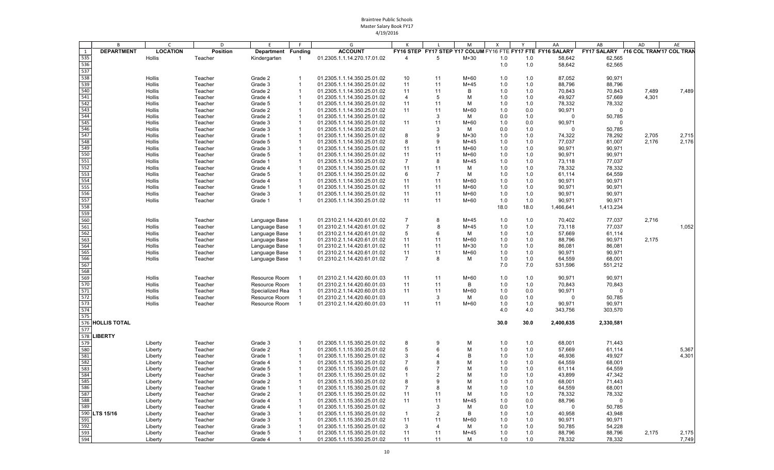|            | B                 | C               | D               | E               | F.             | G                           | К              | L  | M            | $\boldsymbol{\mathsf{X}}$ | Y    | AA                                                          | AB                                   | AD    | AE    |
|------------|-------------------|-----------------|-----------------|-----------------|----------------|-----------------------------|----------------|----|--------------|---------------------------|------|-------------------------------------------------------------|--------------------------------------|-------|-------|
| 1          | <b>DEPARTMENT</b> | <b>LOCATION</b> | <b>Position</b> | Department      | <b>Funding</b> | <b>ACCOUNT</b>              |                |    |              |                           |      | FY16 STEP FY17 STEP Y17 COLUM FY16 FTE FY17 FTE FY16 SALARY | FY17 SALARY Y16 COL TRAN'17 COL TRAN |       |       |
| 535        |                   | Hollis          | Teacher         | Kindergarten    |                | 01.2305.1.1.14.270.17.01.02 | $\overline{4}$ | 5  | $M+30$       | 1.0                       | 1.0  | 58,642                                                      | 62,565                               |       |       |
| 536        |                   |                 |                 |                 |                |                             |                |    |              | 1.0                       | 1.0  | 58,642                                                      | 62,565                               |       |       |
| 537        |                   |                 |                 |                 |                |                             |                |    |              |                           |      |                                                             |                                      |       |       |
| 538        |                   | Hollis          | Teacher         | Grade 2         | $\overline{1}$ | 01.2305.1.1.14.350.25.01.02 | 10             | 11 | M+60         | 1.0                       | 1.0  | 87,052                                                      | 90,971                               |       |       |
| 539        |                   | Hollis          | Teacher         | Grade 3         | $\overline{1}$ | 01.2305.1.1.14.350.25.01.02 | 11             | 11 | $M+45$       | 1.0                       | 1.0  | 88,796                                                      | 88,796                               |       |       |
| 540<br>541 |                   | Hollis          | Teacher         | Grade 2         | $\overline{1}$ | 01.2305.1.1.14.350.25.01.02 | 11             | 11 | B            | 1.0                       | 1.0  | 70,843                                                      | 70,843                               | 7,489 | 7,489 |
|            |                   | Hollis          | Teacher         | Grade 4         | $\mathbf{1}$   | 01.2305.1.1.14.350.25.01.02 | 4              | 5  | M            | 1.0                       | 1.0  | 49,927                                                      | 57,669                               | 4,301 |       |
| 542        |                   | Hollis          | Teacher         | Grade 5         | $\mathbf{1}$   | 01.2305.1.1.14.350.25.01.02 | 11             | 11 | M            | 1.0                       | 1.0  | 78,332                                                      | 78,332                               |       |       |
| 543        |                   | Hollis          | Teacher         | Grade 2         | $\mathbf{1}$   | 01.2305.1.1.14.350.25.01.02 | 11             | 11 | $M+60$       | 1.0                       | 0.0  | 90,971                                                      | 0                                    |       |       |
| 544        |                   | Hollis          | Teacher         | Grade 2         | $\mathbf{1}$   | 01.2305.1.1.14.350.25.01.02 |                | 3  | М            | 0.0                       | 1.0  | $\Omega$                                                    | 50,785                               |       |       |
| 545        |                   | Hollis          | Teacher         | Grade 3         | -1             | 01.2305.1.1.14.350.25.01.02 | 11             | 11 | $M+60$       | 1.0                       | 0.0  | 90,971                                                      | $\Omega$                             |       |       |
| 546        |                   | Hollis          | Teacher         | Grade 3         | $\mathbf{1}$   | 01.2305.1.1.14.350.25.01.02 |                | 3  | М            | 0.0                       | 1.0  | $\Omega$                                                    | 50,785                               |       |       |
| 547        |                   | Hollis          | Teacher         | Grade 1         | $\overline{1}$ | 01.2305.1.1.14.350.25.01.02 | 8              | 9  | $M+30$       | 1.0                       | 1.0  | 74,322                                                      | 78,292                               | 2,705 | 2,715 |
| 548        |                   | Hollis          | Teacher         | Grade 5         | $\overline{1}$ | 01.2305.1.1.14.350.25.01.02 | 8              | 9  | $M+45$       | 1.0                       | 1.0  | 77,037                                                      | 81,007                               | 2,176 | 2,176 |
| 549        |                   | Hollis          | Teacher         | Grade 3         | -1             | 01.2305.1.1.14.350.25.01.02 | 11             | 11 | M+60         | 1.0                       | 1.0  | 90,971                                                      | 90,971                               |       |       |
| 550        |                   | Hollis          | Teacher         | Grade 5         | $\overline{1}$ | 01.2305.1.1.14.350.25.01.02 | 11             | 11 | M+60         | 1.0                       | 1.0  | 90,971                                                      | 90,971                               |       |       |
| 551        |                   | Hollis          | Teacher         | Grade 1         | $\mathbf{1}$   | 01.2305.1.1.14.350.25.01.02 | $\overline{7}$ | 8  | $M+45$       | 1.0                       | 1.0  | 73,118                                                      | 77,037                               |       |       |
| 552        |                   | Hollis          | Teacher         | Grade 4         | $\overline{1}$ | 01.2305.1.1.14.350.25.01.02 | 11             | 11 | М            | 1.0                       | 1.0  | 78,332                                                      | 78,332                               |       |       |
| 553        |                   | Hollis          | Teacher         | Grade 5         | $\overline{1}$ | 01.2305.1.1.14.350.25.01.02 | 6              | 7  | M            | 1.0                       | 1.0  | 61,114                                                      | 64,559                               |       |       |
| 554        |                   | Hollis          | Teacher         | Grade 4         | $\overline{1}$ | 01.2305.1.1.14.350.25.01.02 | 11             | 11 | $M+60$       | 1.0                       | 1.0  | 90,971                                                      | 90,971                               |       |       |
| 555        |                   | Hollis          | Teacher         | Grade 1         | -1             | 01.2305.1.1.14.350.25.01.02 | 11             | 11 | M+60         | 1.0                       | 1.0  | 90,971                                                      | 90,971                               |       |       |
| 556        |                   | Hollis          | Teacher         | Grade 3         | -1             | 01.2305.1.1.14.350.25.01.02 | 11             | 11 | M+60         | 1.0                       | 1.0  | 90,971                                                      | 90,971                               |       |       |
| 557        |                   | Hollis          | Teacher         | Grade 1         | $\overline{1}$ | 01.2305.1.1.14.350.25.01.02 | 11             | 11 | M+60         | 1.0                       | 1.0  | 90,971                                                      | 90,971                               |       |       |
| 558        |                   |                 |                 |                 |                |                             |                |    |              | 18.0                      | 18.0 | 1,466,641                                                   | 1,413,234                            |       |       |
| 559        |                   |                 |                 |                 |                |                             |                |    |              |                           |      |                                                             |                                      |       |       |
| 560        |                   | Hollis          | Teacher         | Language Base   |                | 01.2310.2.1.14.420.61.01.02 | $\overline{7}$ | 8  | $M+45$       | 1.0                       | 1.0  | 70,402                                                      | 77,037                               | 2,716 |       |
| 561        |                   | Hollis          | Teacher         | Language Base   | $\overline{1}$ | 01.2310.2.1.14.420.61.01.02 | $\overline{7}$ | 8  | $M+45$       | 1.0                       | 1.0  | 73,118                                                      | 77,037                               |       | 1,052 |
| 562        |                   | Hollis          | Teacher         | Language Base   | $\overline{1}$ | 01.2310.2.1.14.420.61.01.02 | 5              | 6  | м            | 1.0                       | 1.0  | 57,669                                                      | 61,114                               |       |       |
| 563        |                   | Hollis          | Teacher         | Language Base   | -1             | 01.2310.2.1.14.420.61.01.02 | 11             | 11 | $M+60$       | 1.0                       | 1.0  | 88,796                                                      | 90,971                               | 2,175 |       |
| 564        |                   | Hollis          | Teacher         | Language Base   | $\mathbf{1}$   | 01.2310.2.1.14.420.61.01.02 | 11             | 11 | $M+30$       | 1.0                       | 1.0  | 86,081                                                      | 86,081                               |       |       |
| 565        |                   | Hollis          | Teacher         | Language Base   |                | 01.2310.2.1.14.420.61.01.02 | 11             | 11 | $M+60$       | 1.0                       | 1.0  | 90,971                                                      | 90,971                               |       |       |
| 566        |                   | Hollis          | Teacher         | Language Base   | $\mathbf{1}$   | 01.2310.2.1.14.420.61.01.02 | $\overline{7}$ | 8  | м            | 1.0                       | 1.0  | 64,559                                                      | 68,001                               |       |       |
| 567        |                   |                 |                 |                 |                |                             |                |    |              | 7.0                       | 7.0  | 531,596                                                     | 551,212                              |       |       |
| 568        |                   |                 |                 |                 |                |                             |                |    |              |                           |      |                                                             |                                      |       |       |
| 569        |                   | Hollis          | Teacher         | Resource Room   |                | 01.2310.2.1.14.420.60.01.03 | 11             | 11 | M+60         | 1.0                       | 1.0  | 90,971                                                      | 90,971                               |       |       |
| 570        |                   | Hollis          | Teacher         | Resource Room   |                | 01.2310.2.1.14.420.60.01.03 | 11             | 11 | B            | 1.0                       | 1.0  | 70,843                                                      | 70,843                               |       |       |
| 571        |                   | Hollis          | Teacher         | Specialized Rea |                | 01.2310.2.1.14.420.60.01.03 | 11             | 11 | $M+60$       | 1.0                       | 0.0  | 90,971                                                      | $\Omega$                             |       |       |
| 572        |                   | Hollis          | Teacher         | Resource Room   | $\overline{1}$ | 01.2310.2.1.14.420.60.01.03 |                | 3  | м            | 0.0                       | 1.0  | $\overline{0}$                                              | 50,785                               |       |       |
| 573        |                   | Hollis          | Teacher         | Resource Room   | $\overline{1}$ | 01.2310.2.1.14.420.60.01.03 | 11             | 11 | M+60         | 1.0                       | 1.0  | 90,971                                                      | 90,971                               |       |       |
| 574        |                   |                 |                 |                 |                |                             |                |    |              | 4.0                       | 4.0  | 343,756                                                     | 303,570                              |       |       |
| 575        |                   |                 |                 |                 |                |                             |                |    |              |                           |      |                                                             |                                      |       |       |
|            | 576 HOLLIS TOTAL  |                 |                 |                 |                |                             |                |    |              | 30.0                      | 30.0 | 2,400,635                                                   | 2,330,581                            |       |       |
| 577        |                   |                 |                 |                 |                |                             |                |    |              |                           |      |                                                             |                                      |       |       |
| 578        | LIBERTY           |                 |                 |                 |                |                             |                |    |              |                           |      |                                                             |                                      |       |       |
| 579        |                   | Liberty         | Teacher         | Grade 3         | $\mathbf{1}$   | 01.2305.1.1.15.350.25.01.02 | 8              | 9  | M            | 1.0                       | 1.0  | 68,001                                                      | 71,443                               |       |       |
| 580        |                   | Liberty         | Teacher         | Grade 2         | $\mathbf{1}$   | 01.2305.1.1.15.350.25.01.02 | 5              | 6  | M            | 1.0                       | 1.0  | 57,669                                                      | 61,114                               |       | 5,367 |
| 581        |                   | Liberty         | Teacher         | Grade 1         | $\mathbf{1}$   | 01.2305.1.1.15.350.25.01.02 | 3              |    | B            | 1.0                       | 1.0  | 46,936                                                      | 49,927                               |       | 4,301 |
| 582        |                   | Liberty         | Teacher         | Grade 4         | $\mathbf{1}$   | 01.2305.1.1.15.350.25.01.02 | $\overline{7}$ | 8  | M            | 1.0                       | 1.0  | 64,559                                                      | 68,001                               |       |       |
| 583        |                   | Liberty         | Teacher         | Grade 5         | $\mathbf 1$    | 01.2305.1.1.15.350.25.01.02 | 6              |    | M            | 1.0                       | 1.0  | 61,114                                                      | 64,559                               |       |       |
| 584        |                   | Liberty         | Teacher         | Grade 3         | 1              | 01.2305.1.1.15.350.25.01.02 | $\overline{1}$ | 2  | <sub>N</sub> | 1.0                       | 1.0  | 43,899                                                      | 47,342                               |       |       |
| 585        |                   | Liberty         | Teacher         | Grade 2         | $\mathbf{1}$   | 01.2305.1.1.15.350.25.01.02 | 8              | 9  | M            | 1.0                       | 1.0  | 68,001                                                      | 71,443                               |       |       |
| 586        |                   | Liberty         | Teacher         | Grade 1         | $\mathbf{1}$   | 01.2305.1.1.15.350.25.01.02 | $\overline{7}$ | 8  | М            | 1.0                       | 1.0  | 64,559                                                      | 68,001                               |       |       |
| 587<br>588 |                   | Liberty         | Teacher         | Grade 2         | $\mathbf{1}$   | 01.2305.1.1.15.350.25.01.02 | 11             | 11 | М            | 1.0                       | 1.0  | 78,332                                                      | 78,332                               |       |       |
|            |                   | Liberty         | Teacher         | Grade 4         |                | 01.2305.1.1.15.350.25.01.02 | 11             | 11 | $M+45$       | 1.0                       | 0.0  | 88,796                                                      | $\Omega$                             |       |       |
| 589        |                   | Liberty         | Teacher         | Grade 4         | 1              | 01.2305.1.1.15.350.25.01.02 |                | 3  | М            | 0.0                       | 1.0  | $\overline{0}$                                              | 50,785                               |       |       |
| 590        | <b>LTS 15/16</b>  | Liberty         | Teacher         | Grade 3         | $\mathbf 1$    | 01.2305.1.1.15.350.25.01.02 | $\overline{1}$ | 2  | B            | 1.0                       | 1.0  | 40,958                                                      | 43,948                               |       |       |
| 591        |                   | Liberty         | Teacher         | Grade 3         | $\mathbf{1}$   | 01.2305.1.1.15.350.25.01.02 | 11             | 11 | $M+60$       | 1.0                       | 1.0  | 90,971                                                      | 90,971                               |       |       |
| 592        |                   | Liberty         | Teacher         | Grade 3         | $\mathbf 1$    | 01.2305.1.1.15.350.25.01.02 | 3              | 4  | м            | 1.0                       | 1.0  | 50,785                                                      | 54,228                               |       |       |
| 593        |                   | Liberty         | Teacher         | Grade 5         | $\mathbf 1$    | 01.2305.1.1.15.350.25.01.02 | 11             | 11 | $M+45$       | 1.0                       | 1.0  | 88,796                                                      | 88,796                               | 2,175 | 2,175 |
| 594        |                   | Liberty         | Teacher         | Grade 4         | $\mathbf{1}$   | 01.2305.1.1.15.350.25.01.02 | 11             | 11 | М            | 1.0                       | 1.0  | 78,332                                                      | 78,332                               |       | 7,749 |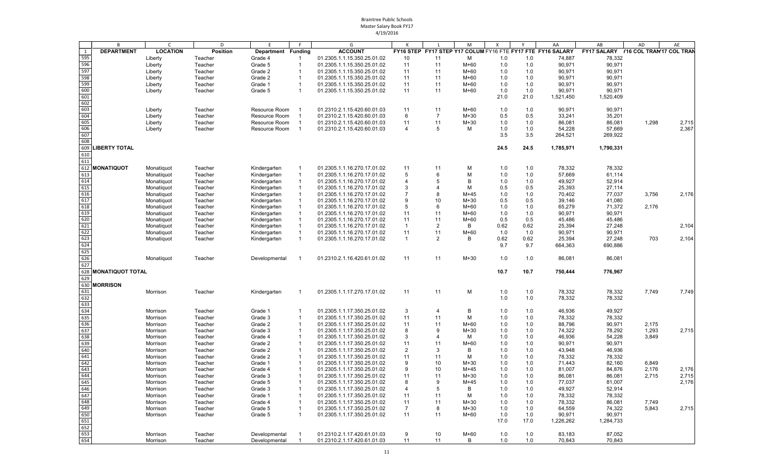| <b>DEPARTMENT</b><br><b>LOCATION</b><br><b>ACCOUNT</b><br>FY16 STEP FY17 STEP Y17 COLUM FY16 FTE FY17 FTE FY16 SALARY<br>FY17 SALARY Y16 COL TRAN'17 COL TRAN<br><b>Position</b><br>1<br>Department Funding<br>595<br>78,332<br>Liberty<br>Teacher<br>Grade 4<br>01.2305.1.1.15.350.25.01.02<br>10<br>11<br>м<br>1.0<br>1.0<br>74,887<br>-1<br>596<br>90,971<br>Liberty<br>Teacher<br>Grade 5<br>11<br>11<br>M+60<br>1.0<br>1.0<br>90,971<br>01.2305.1.1.15.350.25.01.02<br>597<br>11<br>$M+60$<br>90,971<br>Liberty<br>Teacher<br>Grade 2<br>$\mathbf{1}$<br>11<br>1.0<br>1.0<br>90,971<br>01.2305.1.1.15.350.25.01.02<br>598<br>$M+60$<br>90,971<br>Liberty<br>Teacher<br>Grade 2<br>01.2305.1.1.15.350.25.01.02<br>11<br>11<br>1.0<br>1.0<br>90,971<br>-1<br>599<br>11<br>1.0<br>Liberty<br>Teacher<br>Grade 1<br>01.2305.1.1.15.350.25.01.02<br>11<br>$M+60$<br>1.0<br>90,971<br>90,971<br>600<br>11<br>90,971<br>90,971<br>Teacher<br>Grade 5<br>01.2305.1.1.15.350.25.01.02<br>$M+60$<br>1.0<br>1.0<br>Liberty<br>11<br>601<br>21.0<br>21.0<br>1,521,450<br>1,520,409<br>602<br>603<br>Liberty<br>Teacher<br>Resource Room<br>01.2310.2.1.15.420.60.01.03<br>11<br>11<br>M+60<br>1.0<br>1.0<br>90,971<br>90,971<br>604<br>6<br>$\overline{7}$<br>$M+30$<br>0.5<br>0.5<br>33,241<br>35,201<br>Liberty<br>Teacher<br>Resource Room<br>01.2310.2.1.15.420.60.01.03<br>605<br>Liberty<br>Teacher<br>Resource Room<br>01.2310.2.1.15.420.60.01.03<br>11<br>11<br>$M+30$<br>1.0<br>1.0<br>86,081<br>86,081<br>1,298<br>2,715<br>606<br>54,228<br>2,367<br>$\overline{4}$<br>5<br>M<br>1.0<br>1.0<br>57,669<br>Liberty<br>Teacher<br>Resource Room<br>01.2310.2.1.15.420.60.01.03<br>607<br>3.5<br>3.5<br>264,521<br>269,922<br>608<br>609<br><b>LIBERTY TOTAL</b><br>24.5<br>24.5<br>1,785,971<br>1,790,331<br>610<br>611<br>612 MONATIQUOT<br>01.2305.1.1.16.270.17.01.02<br>11<br>м<br>1.0<br>78,332<br>78,332<br>Monatiquot<br>Teacher<br>Kindergarten<br>11<br>1.0<br>-1<br>613<br>5<br>M<br>1.0<br>57,669<br>61,114<br>Teacher<br>$\overline{1}$<br>01.2305.1.1.16.270.17.01.02<br>6<br>1.0<br>Monatiquot<br>Kindergarten<br>614<br>49,927<br>Teacher<br>Kindergarten<br>$\overline{1}$<br>01.2305.1.1.16.270.17.01.02<br>4<br>5<br>B<br>1.0<br>1.0<br>52,914<br>Monatiquot<br>615<br>3<br>0.5<br>25,393<br>Teacher<br>м<br>0.5<br>27,114<br>Monatiquot<br>Kindergarten<br>01.2305.1.1.16.270.17.01.02<br>616<br>01.2305.1.1.16.270.17.01.02<br>-7<br>$M+45$<br>1.0<br>1.0<br>70,402<br>77,037<br>3,756<br>2,176<br>Monatiquot<br>Teacher<br>Kindergarten<br>8<br>617<br>9<br>0.5<br>Teacher<br>10<br>$M+30$<br>0.5<br>39,146<br>Monatiquot<br>Kindergarten<br>$\mathbf 1$<br>01.2305.1.1.16.270.17.01.02<br>41,080<br>618<br>5<br>$M+60$<br>65,279<br>Teacher<br>01.2305.1.1.16.270.17.01.02<br>6<br>1.0<br>1.0<br>71,372<br>2,176<br>Monatiquot<br>Kindergarten<br>619<br>90,971<br>Teacher<br>01.2305.1.1.16.270.17.01.02<br>11<br>11<br>$M+60$<br>1.0<br>1.0<br>90,971<br>Monatiquot<br>Kindergarten<br>-1<br>620<br>11<br>$M+60$<br>0.5<br>0.5<br>45,486<br>45,486<br>Teacher<br>01.2305.1.1.16.270.17.01.02<br>11<br>Monatiquot<br>Kindergarten<br>621<br>Teacher<br>01.2305.1.1.16.270.17.01.02<br>$\overline{1}$<br>$\overline{2}$<br>В<br>0.62<br>0.62<br>25,394<br>27,248<br>2,104<br>Monatiquot<br>Kindergarten<br>622<br>11<br>11<br>90,971<br>Teacher<br>$M+60$<br>1.0<br>1.0<br>90,971<br>Monatiquot<br>Kindergarten<br>$\overline{1}$<br>01.2305.1.1.16.270.17.01.02<br>623<br>25,394<br>2,104<br>Teacher<br>01.2305.1.1.16.270.17.01.02<br>$\overline{1}$<br>2<br>B<br>0.62<br>0.62<br>27,248<br>703<br>Monatiquot<br>Kindergarten<br>-1<br>624<br>9.7<br>9.7<br>664,363<br>690,886<br>625<br>626<br>11<br>$M+30$<br>1.0<br>1.0<br>01.2310.2.1.16.420.61.01.02<br>11<br>86,081<br>86,081<br>Monatiquot<br>Teacher<br>Developmental<br>627<br>628<br><b>MONATIQUOT TOTAL</b><br>10.7<br>10.7<br>750,444<br>776,967<br>629<br>630 MORRISON<br>631<br>11<br>78,332<br>01.2305.1.1.17.270.17.01.02<br>11<br>М<br>1.0<br>1.0<br>78,332<br>7,749<br>7,749<br>Morrison<br>Teacher<br>Kindergarten<br>632<br>1.0<br>1.0<br>78,332<br>78,332<br>633<br>634<br>3<br>B<br>Grade 1<br>01.2305.1.1.17.350.25.01.02<br>4<br>1.0<br>1.0<br>46,936<br>49,927<br>Morrison<br>Teacher<br>$\mathbf 1$<br>635<br>11<br>М<br>78,332<br>78,332<br>Teacher<br>Grade 3<br>01.2305.1.1.17.350.25.01.02<br>11<br>1.0<br>1.0<br>Morrison<br>-1<br>636<br>$M+60$<br>88,796<br>Morrison<br>Teacher<br>Grade 2<br>01.2305.1.1.17.350.25.01.02<br>11<br>11<br>1.0<br>1.0<br>90,971<br>2,175<br>$\mathbf 1$<br>637<br>$M+30$<br>1,293<br>Teacher<br>Grade 3<br>01.2305.1.1.17.350.25.01.02<br>8<br>9<br>74,322<br>78,292<br>2,715<br>Morrison<br>1.0<br>1.0<br>638<br>Grade 4<br>01.2305.1.1.17.350.25.01.02<br>3<br>$\overline{4}$<br>М<br>1.0<br>1.0<br>46,936<br>54,228<br>3,849<br>Morrison<br>Teacher<br>639<br>11<br>Teacher<br>Grade 2<br>01.2305.1.1.17.350.25.01.02<br>11<br>$M+60$<br>1.0<br>1.0<br>90,971<br>90,971<br>Morrison<br>$\overline{1}$<br>640<br>$\overline{2}$<br>Teacher<br>Grade 2<br>В<br>1.0<br>1.0<br>43,948<br>46,936<br>Morrison<br>-1<br>01.2305.1.1.17.350.25.01.02<br>3<br>641<br>11<br>М<br>78,332<br>Teacher<br>Grade 2<br>01.2305.1.1.17.350.25.01.02<br>11<br>1.0<br>1.0<br>78,332<br>Morrison<br>-1<br>642<br>Teacher<br>Grade 1<br>01.2305.1.1.17.350.25.01.02<br>9<br>10<br>$M+30$<br>1.0<br>1.0<br>71,443<br>82,160<br>6,849<br>Morrison<br>643<br>9<br>1.0<br>01.2305.1.1.17.350.25.01.02<br>10<br>$M+45$<br>1.0<br>81,007<br>84,876<br>2,176<br>2,176<br>Morrison<br>Teacher<br>Grade 4<br>644<br>Grade 3<br>01.2305.1.1.17.350.25.01.02<br>11<br>11<br>$M+30$<br>1.0<br>1.0<br>86,081<br>86,081<br>2,715<br>2,715<br>Morrison<br>Teacher<br>645<br>8<br>77,037<br>2,176<br>Grade 5<br>9<br>$M+45$<br>1.0<br>1.0<br>81,007<br>Morrison<br>Teacher<br>01.2305.1.1.17.350.25.01.02<br>Grade 3<br>$\overline{4}$<br>5<br>В<br>1.0<br>49,927<br>52,914<br>646<br>Morrison<br>Teacher<br>01.2305.1.1.17.350.25.01.02<br>1.0<br>-1<br>647<br>Grade 1<br>11<br>M<br>Morrison<br>Teacher<br>01.2305.1.1.17.350.25.01.02<br>11<br>1.0<br>1.0<br>78,332<br>78,332<br>648<br>Grade 4<br>Morrison<br>Teacher<br>01.2305.1.1.17.350.25.01.02<br>11<br>$M+30$<br>1.0<br>1.0<br>78,332<br>86,081<br>7,749<br>11<br>$\frac{649}{650}$<br>Grade 5<br>$\overline{7}$<br>64,559<br>5,843<br>Morrison<br>Teacher<br>01.2305.1.1.17.350.25.01.02<br>8<br>$M+30$<br>1.0<br>74,322<br>2,715<br>-1<br>1.0<br>11<br>Teacher<br>Grade 5<br>11<br>M+60<br>1.0<br>90,971<br>90,971<br>Morrison<br>$\mathbf 1$<br>01.2305.1.1.17.350.25.01.02<br>1.0<br>651<br>17.0<br>17.0<br>1,226,262<br>1,284,733<br>$\frac{652}{653}$<br>Teacher<br>Developmental<br>01.2310.2.1.17.420.61.01.03<br>9<br>10<br>M+60<br>1.0<br>1.0<br>83,183<br>87,052<br>Morrison<br>11<br>Morrison<br>Teacher<br>Developmental<br>$\overline{1}$<br>01.2310.2.1.17.420.61.01.03<br>11<br>B<br>1.0<br>1.0<br>70,843<br>70,843 |     | B | $\mathsf{C}$ | D | E | G |  | M | X | AA | AB | AD | AE |
|-------------------------------------------------------------------------------------------------------------------------------------------------------------------------------------------------------------------------------------------------------------------------------------------------------------------------------------------------------------------------------------------------------------------------------------------------------------------------------------------------------------------------------------------------------------------------------------------------------------------------------------------------------------------------------------------------------------------------------------------------------------------------------------------------------------------------------------------------------------------------------------------------------------------------------------------------------------------------------------------------------------------------------------------------------------------------------------------------------------------------------------------------------------------------------------------------------------------------------------------------------------------------------------------------------------------------------------------------------------------------------------------------------------------------------------------------------------------------------------------------------------------------------------------------------------------------------------------------------------------------------------------------------------------------------------------------------------------------------------------------------------------------------------------------------------------------------------------------------------------------------------------------------------------------------------------------------------------------------------------------------------------------------------------------------------------------------------------------------------------------------------------------------------------------------------------------------------------------------------------------------------------------------------------------------------------------------------------------------------------------------------------------------------------------------------------------------------------------------------------------------------------------------------------------------------------------------------------------------------------------------------------------------------------------------------------------------------------------------------------------------------------------------------------------------------------------------------------------------------------------------------------------------------------------------------------------------------------------------------------------------------------------------------------------------------------------------------------------------------------------------------------------------------------------------------------------------------------------------------------------------------------------------------------------------------------------------------------------------------------------------------------------------------------------------------------------------------------------------------------------------------------------------------------------------------------------------------------------------------------------------------------------------------------------------------------------------------------------------------------------------------------------------------------------------------------------------------------------------------------------------------------------------------------------------------------------------------------------------------------------------------------------------------------------------------------------------------------------------------------------------------------------------------------------------------------------------------------------------------------------------------------------------------------------------------------------------------------------------------------------------------------------------------------------------------------------------------------------------------------------------------------------------------------------------------------------------------------------------------------------------------------------------------------------------------------------------------------------------------------------------------------------------------------------------------------------------------------------------------------------------------------------------------------------------------------------------------------------------------------------------------------------------------------------------------------------------------------------------------------------------------------------------------------------------------------------------------------------------------------------------------------------------------------------------------------------------------------------------------------------------------------------------------------------------------------------------------------------------------------------------------------------------------------------------------------------------------------------------------------------------------------------------------------------------------------------------------------------------------------------------------------------------------------------------------------------------------------------------------------------------------------------------------------------------------------------------------------------------------------------------------------------------------------------------------------------------------------------------------------------------------------------------------------------------------------------------------------------------------------------------------------------------------------------------------------------------------------------------------------------------------------------------------------------------------------------------------------------------------------------------------------------------------------------------------------------------------------------------------------------------------------------------------------------------------------------------------------------------------------------------------------------------------------------------------------------------------------------------------------------------------------------------------------------------------------------------------------------------------------------------|-----|---|--------------|---|---|---|--|---|---|----|----|----|----|
|                                                                                                                                                                                                                                                                                                                                                                                                                                                                                                                                                                                                                                                                                                                                                                                                                                                                                                                                                                                                                                                                                                                                                                                                                                                                                                                                                                                                                                                                                                                                                                                                                                                                                                                                                                                                                                                                                                                                                                                                                                                                                                                                                                                                                                                                                                                                                                                                                                                                                                                                                                                                                                                                                                                                                                                                                                                                                                                                                                                                                                                                                                                                                                                                                                                                                                                                                                                                                                                                                                                                                                                                                                                                                                                                                                                                                                                                                                                                                                                                                                                                                                                                                                                                                                                                                                                                                                                                                                                                                                                                                                                                                                                                                                                                                                                                                                                                                                                                                                                                                                                                                                                                                                                                                                                                                                                                                                                                                                                                                                                                                                                                                                                                                                                                                                                                                                                                                                                                                                                                                                                                                                                                                                                                                                                                                                                                                                                                                                                                                                                                                                                                                                                                                                                                                                                                                                                                                                                                                                                                       |     |   |              |   |   |   |  |   |   |    |    |    |    |
|                                                                                                                                                                                                                                                                                                                                                                                                                                                                                                                                                                                                                                                                                                                                                                                                                                                                                                                                                                                                                                                                                                                                                                                                                                                                                                                                                                                                                                                                                                                                                                                                                                                                                                                                                                                                                                                                                                                                                                                                                                                                                                                                                                                                                                                                                                                                                                                                                                                                                                                                                                                                                                                                                                                                                                                                                                                                                                                                                                                                                                                                                                                                                                                                                                                                                                                                                                                                                                                                                                                                                                                                                                                                                                                                                                                                                                                                                                                                                                                                                                                                                                                                                                                                                                                                                                                                                                                                                                                                                                                                                                                                                                                                                                                                                                                                                                                                                                                                                                                                                                                                                                                                                                                                                                                                                                                                                                                                                                                                                                                                                                                                                                                                                                                                                                                                                                                                                                                                                                                                                                                                                                                                                                                                                                                                                                                                                                                                                                                                                                                                                                                                                                                                                                                                                                                                                                                                                                                                                                                                       |     |   |              |   |   |   |  |   |   |    |    |    |    |
|                                                                                                                                                                                                                                                                                                                                                                                                                                                                                                                                                                                                                                                                                                                                                                                                                                                                                                                                                                                                                                                                                                                                                                                                                                                                                                                                                                                                                                                                                                                                                                                                                                                                                                                                                                                                                                                                                                                                                                                                                                                                                                                                                                                                                                                                                                                                                                                                                                                                                                                                                                                                                                                                                                                                                                                                                                                                                                                                                                                                                                                                                                                                                                                                                                                                                                                                                                                                                                                                                                                                                                                                                                                                                                                                                                                                                                                                                                                                                                                                                                                                                                                                                                                                                                                                                                                                                                                                                                                                                                                                                                                                                                                                                                                                                                                                                                                                                                                                                                                                                                                                                                                                                                                                                                                                                                                                                                                                                                                                                                                                                                                                                                                                                                                                                                                                                                                                                                                                                                                                                                                                                                                                                                                                                                                                                                                                                                                                                                                                                                                                                                                                                                                                                                                                                                                                                                                                                                                                                                                                       |     |   |              |   |   |   |  |   |   |    |    |    |    |
|                                                                                                                                                                                                                                                                                                                                                                                                                                                                                                                                                                                                                                                                                                                                                                                                                                                                                                                                                                                                                                                                                                                                                                                                                                                                                                                                                                                                                                                                                                                                                                                                                                                                                                                                                                                                                                                                                                                                                                                                                                                                                                                                                                                                                                                                                                                                                                                                                                                                                                                                                                                                                                                                                                                                                                                                                                                                                                                                                                                                                                                                                                                                                                                                                                                                                                                                                                                                                                                                                                                                                                                                                                                                                                                                                                                                                                                                                                                                                                                                                                                                                                                                                                                                                                                                                                                                                                                                                                                                                                                                                                                                                                                                                                                                                                                                                                                                                                                                                                                                                                                                                                                                                                                                                                                                                                                                                                                                                                                                                                                                                                                                                                                                                                                                                                                                                                                                                                                                                                                                                                                                                                                                                                                                                                                                                                                                                                                                                                                                                                                                                                                                                                                                                                                                                                                                                                                                                                                                                                                                       |     |   |              |   |   |   |  |   |   |    |    |    |    |
|                                                                                                                                                                                                                                                                                                                                                                                                                                                                                                                                                                                                                                                                                                                                                                                                                                                                                                                                                                                                                                                                                                                                                                                                                                                                                                                                                                                                                                                                                                                                                                                                                                                                                                                                                                                                                                                                                                                                                                                                                                                                                                                                                                                                                                                                                                                                                                                                                                                                                                                                                                                                                                                                                                                                                                                                                                                                                                                                                                                                                                                                                                                                                                                                                                                                                                                                                                                                                                                                                                                                                                                                                                                                                                                                                                                                                                                                                                                                                                                                                                                                                                                                                                                                                                                                                                                                                                                                                                                                                                                                                                                                                                                                                                                                                                                                                                                                                                                                                                                                                                                                                                                                                                                                                                                                                                                                                                                                                                                                                                                                                                                                                                                                                                                                                                                                                                                                                                                                                                                                                                                                                                                                                                                                                                                                                                                                                                                                                                                                                                                                                                                                                                                                                                                                                                                                                                                                                                                                                                                                       |     |   |              |   |   |   |  |   |   |    |    |    |    |
|                                                                                                                                                                                                                                                                                                                                                                                                                                                                                                                                                                                                                                                                                                                                                                                                                                                                                                                                                                                                                                                                                                                                                                                                                                                                                                                                                                                                                                                                                                                                                                                                                                                                                                                                                                                                                                                                                                                                                                                                                                                                                                                                                                                                                                                                                                                                                                                                                                                                                                                                                                                                                                                                                                                                                                                                                                                                                                                                                                                                                                                                                                                                                                                                                                                                                                                                                                                                                                                                                                                                                                                                                                                                                                                                                                                                                                                                                                                                                                                                                                                                                                                                                                                                                                                                                                                                                                                                                                                                                                                                                                                                                                                                                                                                                                                                                                                                                                                                                                                                                                                                                                                                                                                                                                                                                                                                                                                                                                                                                                                                                                                                                                                                                                                                                                                                                                                                                                                                                                                                                                                                                                                                                                                                                                                                                                                                                                                                                                                                                                                                                                                                                                                                                                                                                                                                                                                                                                                                                                                                       |     |   |              |   |   |   |  |   |   |    |    |    |    |
|                                                                                                                                                                                                                                                                                                                                                                                                                                                                                                                                                                                                                                                                                                                                                                                                                                                                                                                                                                                                                                                                                                                                                                                                                                                                                                                                                                                                                                                                                                                                                                                                                                                                                                                                                                                                                                                                                                                                                                                                                                                                                                                                                                                                                                                                                                                                                                                                                                                                                                                                                                                                                                                                                                                                                                                                                                                                                                                                                                                                                                                                                                                                                                                                                                                                                                                                                                                                                                                                                                                                                                                                                                                                                                                                                                                                                                                                                                                                                                                                                                                                                                                                                                                                                                                                                                                                                                                                                                                                                                                                                                                                                                                                                                                                                                                                                                                                                                                                                                                                                                                                                                                                                                                                                                                                                                                                                                                                                                                                                                                                                                                                                                                                                                                                                                                                                                                                                                                                                                                                                                                                                                                                                                                                                                                                                                                                                                                                                                                                                                                                                                                                                                                                                                                                                                                                                                                                                                                                                                                                       |     |   |              |   |   |   |  |   |   |    |    |    |    |
|                                                                                                                                                                                                                                                                                                                                                                                                                                                                                                                                                                                                                                                                                                                                                                                                                                                                                                                                                                                                                                                                                                                                                                                                                                                                                                                                                                                                                                                                                                                                                                                                                                                                                                                                                                                                                                                                                                                                                                                                                                                                                                                                                                                                                                                                                                                                                                                                                                                                                                                                                                                                                                                                                                                                                                                                                                                                                                                                                                                                                                                                                                                                                                                                                                                                                                                                                                                                                                                                                                                                                                                                                                                                                                                                                                                                                                                                                                                                                                                                                                                                                                                                                                                                                                                                                                                                                                                                                                                                                                                                                                                                                                                                                                                                                                                                                                                                                                                                                                                                                                                                                                                                                                                                                                                                                                                                                                                                                                                                                                                                                                                                                                                                                                                                                                                                                                                                                                                                                                                                                                                                                                                                                                                                                                                                                                                                                                                                                                                                                                                                                                                                                                                                                                                                                                                                                                                                                                                                                                                                       |     |   |              |   |   |   |  |   |   |    |    |    |    |
|                                                                                                                                                                                                                                                                                                                                                                                                                                                                                                                                                                                                                                                                                                                                                                                                                                                                                                                                                                                                                                                                                                                                                                                                                                                                                                                                                                                                                                                                                                                                                                                                                                                                                                                                                                                                                                                                                                                                                                                                                                                                                                                                                                                                                                                                                                                                                                                                                                                                                                                                                                                                                                                                                                                                                                                                                                                                                                                                                                                                                                                                                                                                                                                                                                                                                                                                                                                                                                                                                                                                                                                                                                                                                                                                                                                                                                                                                                                                                                                                                                                                                                                                                                                                                                                                                                                                                                                                                                                                                                                                                                                                                                                                                                                                                                                                                                                                                                                                                                                                                                                                                                                                                                                                                                                                                                                                                                                                                                                                                                                                                                                                                                                                                                                                                                                                                                                                                                                                                                                                                                                                                                                                                                                                                                                                                                                                                                                                                                                                                                                                                                                                                                                                                                                                                                                                                                                                                                                                                                                                       |     |   |              |   |   |   |  |   |   |    |    |    |    |
|                                                                                                                                                                                                                                                                                                                                                                                                                                                                                                                                                                                                                                                                                                                                                                                                                                                                                                                                                                                                                                                                                                                                                                                                                                                                                                                                                                                                                                                                                                                                                                                                                                                                                                                                                                                                                                                                                                                                                                                                                                                                                                                                                                                                                                                                                                                                                                                                                                                                                                                                                                                                                                                                                                                                                                                                                                                                                                                                                                                                                                                                                                                                                                                                                                                                                                                                                                                                                                                                                                                                                                                                                                                                                                                                                                                                                                                                                                                                                                                                                                                                                                                                                                                                                                                                                                                                                                                                                                                                                                                                                                                                                                                                                                                                                                                                                                                                                                                                                                                                                                                                                                                                                                                                                                                                                                                                                                                                                                                                                                                                                                                                                                                                                                                                                                                                                                                                                                                                                                                                                                                                                                                                                                                                                                                                                                                                                                                                                                                                                                                                                                                                                                                                                                                                                                                                                                                                                                                                                                                                       |     |   |              |   |   |   |  |   |   |    |    |    |    |
|                                                                                                                                                                                                                                                                                                                                                                                                                                                                                                                                                                                                                                                                                                                                                                                                                                                                                                                                                                                                                                                                                                                                                                                                                                                                                                                                                                                                                                                                                                                                                                                                                                                                                                                                                                                                                                                                                                                                                                                                                                                                                                                                                                                                                                                                                                                                                                                                                                                                                                                                                                                                                                                                                                                                                                                                                                                                                                                                                                                                                                                                                                                                                                                                                                                                                                                                                                                                                                                                                                                                                                                                                                                                                                                                                                                                                                                                                                                                                                                                                                                                                                                                                                                                                                                                                                                                                                                                                                                                                                                                                                                                                                                                                                                                                                                                                                                                                                                                                                                                                                                                                                                                                                                                                                                                                                                                                                                                                                                                                                                                                                                                                                                                                                                                                                                                                                                                                                                                                                                                                                                                                                                                                                                                                                                                                                                                                                                                                                                                                                                                                                                                                                                                                                                                                                                                                                                                                                                                                                                                       |     |   |              |   |   |   |  |   |   |    |    |    |    |
|                                                                                                                                                                                                                                                                                                                                                                                                                                                                                                                                                                                                                                                                                                                                                                                                                                                                                                                                                                                                                                                                                                                                                                                                                                                                                                                                                                                                                                                                                                                                                                                                                                                                                                                                                                                                                                                                                                                                                                                                                                                                                                                                                                                                                                                                                                                                                                                                                                                                                                                                                                                                                                                                                                                                                                                                                                                                                                                                                                                                                                                                                                                                                                                                                                                                                                                                                                                                                                                                                                                                                                                                                                                                                                                                                                                                                                                                                                                                                                                                                                                                                                                                                                                                                                                                                                                                                                                                                                                                                                                                                                                                                                                                                                                                                                                                                                                                                                                                                                                                                                                                                                                                                                                                                                                                                                                                                                                                                                                                                                                                                                                                                                                                                                                                                                                                                                                                                                                                                                                                                                                                                                                                                                                                                                                                                                                                                                                                                                                                                                                                                                                                                                                                                                                                                                                                                                                                                                                                                                                                       |     |   |              |   |   |   |  |   |   |    |    |    |    |
|                                                                                                                                                                                                                                                                                                                                                                                                                                                                                                                                                                                                                                                                                                                                                                                                                                                                                                                                                                                                                                                                                                                                                                                                                                                                                                                                                                                                                                                                                                                                                                                                                                                                                                                                                                                                                                                                                                                                                                                                                                                                                                                                                                                                                                                                                                                                                                                                                                                                                                                                                                                                                                                                                                                                                                                                                                                                                                                                                                                                                                                                                                                                                                                                                                                                                                                                                                                                                                                                                                                                                                                                                                                                                                                                                                                                                                                                                                                                                                                                                                                                                                                                                                                                                                                                                                                                                                                                                                                                                                                                                                                                                                                                                                                                                                                                                                                                                                                                                                                                                                                                                                                                                                                                                                                                                                                                                                                                                                                                                                                                                                                                                                                                                                                                                                                                                                                                                                                                                                                                                                                                                                                                                                                                                                                                                                                                                                                                                                                                                                                                                                                                                                                                                                                                                                                                                                                                                                                                                                                                       |     |   |              |   |   |   |  |   |   |    |    |    |    |
|                                                                                                                                                                                                                                                                                                                                                                                                                                                                                                                                                                                                                                                                                                                                                                                                                                                                                                                                                                                                                                                                                                                                                                                                                                                                                                                                                                                                                                                                                                                                                                                                                                                                                                                                                                                                                                                                                                                                                                                                                                                                                                                                                                                                                                                                                                                                                                                                                                                                                                                                                                                                                                                                                                                                                                                                                                                                                                                                                                                                                                                                                                                                                                                                                                                                                                                                                                                                                                                                                                                                                                                                                                                                                                                                                                                                                                                                                                                                                                                                                                                                                                                                                                                                                                                                                                                                                                                                                                                                                                                                                                                                                                                                                                                                                                                                                                                                                                                                                                                                                                                                                                                                                                                                                                                                                                                                                                                                                                                                                                                                                                                                                                                                                                                                                                                                                                                                                                                                                                                                                                                                                                                                                                                                                                                                                                                                                                                                                                                                                                                                                                                                                                                                                                                                                                                                                                                                                                                                                                                                       |     |   |              |   |   |   |  |   |   |    |    |    |    |
|                                                                                                                                                                                                                                                                                                                                                                                                                                                                                                                                                                                                                                                                                                                                                                                                                                                                                                                                                                                                                                                                                                                                                                                                                                                                                                                                                                                                                                                                                                                                                                                                                                                                                                                                                                                                                                                                                                                                                                                                                                                                                                                                                                                                                                                                                                                                                                                                                                                                                                                                                                                                                                                                                                                                                                                                                                                                                                                                                                                                                                                                                                                                                                                                                                                                                                                                                                                                                                                                                                                                                                                                                                                                                                                                                                                                                                                                                                                                                                                                                                                                                                                                                                                                                                                                                                                                                                                                                                                                                                                                                                                                                                                                                                                                                                                                                                                                                                                                                                                                                                                                                                                                                                                                                                                                                                                                                                                                                                                                                                                                                                                                                                                                                                                                                                                                                                                                                                                                                                                                                                                                                                                                                                                                                                                                                                                                                                                                                                                                                                                                                                                                                                                                                                                                                                                                                                                                                                                                                                                                       |     |   |              |   |   |   |  |   |   |    |    |    |    |
|                                                                                                                                                                                                                                                                                                                                                                                                                                                                                                                                                                                                                                                                                                                                                                                                                                                                                                                                                                                                                                                                                                                                                                                                                                                                                                                                                                                                                                                                                                                                                                                                                                                                                                                                                                                                                                                                                                                                                                                                                                                                                                                                                                                                                                                                                                                                                                                                                                                                                                                                                                                                                                                                                                                                                                                                                                                                                                                                                                                                                                                                                                                                                                                                                                                                                                                                                                                                                                                                                                                                                                                                                                                                                                                                                                                                                                                                                                                                                                                                                                                                                                                                                                                                                                                                                                                                                                                                                                                                                                                                                                                                                                                                                                                                                                                                                                                                                                                                                                                                                                                                                                                                                                                                                                                                                                                                                                                                                                                                                                                                                                                                                                                                                                                                                                                                                                                                                                                                                                                                                                                                                                                                                                                                                                                                                                                                                                                                                                                                                                                                                                                                                                                                                                                                                                                                                                                                                                                                                                                                       |     |   |              |   |   |   |  |   |   |    |    |    |    |
|                                                                                                                                                                                                                                                                                                                                                                                                                                                                                                                                                                                                                                                                                                                                                                                                                                                                                                                                                                                                                                                                                                                                                                                                                                                                                                                                                                                                                                                                                                                                                                                                                                                                                                                                                                                                                                                                                                                                                                                                                                                                                                                                                                                                                                                                                                                                                                                                                                                                                                                                                                                                                                                                                                                                                                                                                                                                                                                                                                                                                                                                                                                                                                                                                                                                                                                                                                                                                                                                                                                                                                                                                                                                                                                                                                                                                                                                                                                                                                                                                                                                                                                                                                                                                                                                                                                                                                                                                                                                                                                                                                                                                                                                                                                                                                                                                                                                                                                                                                                                                                                                                                                                                                                                                                                                                                                                                                                                                                                                                                                                                                                                                                                                                                                                                                                                                                                                                                                                                                                                                                                                                                                                                                                                                                                                                                                                                                                                                                                                                                                                                                                                                                                                                                                                                                                                                                                                                                                                                                                                       |     |   |              |   |   |   |  |   |   |    |    |    |    |
|                                                                                                                                                                                                                                                                                                                                                                                                                                                                                                                                                                                                                                                                                                                                                                                                                                                                                                                                                                                                                                                                                                                                                                                                                                                                                                                                                                                                                                                                                                                                                                                                                                                                                                                                                                                                                                                                                                                                                                                                                                                                                                                                                                                                                                                                                                                                                                                                                                                                                                                                                                                                                                                                                                                                                                                                                                                                                                                                                                                                                                                                                                                                                                                                                                                                                                                                                                                                                                                                                                                                                                                                                                                                                                                                                                                                                                                                                                                                                                                                                                                                                                                                                                                                                                                                                                                                                                                                                                                                                                                                                                                                                                                                                                                                                                                                                                                                                                                                                                                                                                                                                                                                                                                                                                                                                                                                                                                                                                                                                                                                                                                                                                                                                                                                                                                                                                                                                                                                                                                                                                                                                                                                                                                                                                                                                                                                                                                                                                                                                                                                                                                                                                                                                                                                                                                                                                                                                                                                                                                                       |     |   |              |   |   |   |  |   |   |    |    |    |    |
|                                                                                                                                                                                                                                                                                                                                                                                                                                                                                                                                                                                                                                                                                                                                                                                                                                                                                                                                                                                                                                                                                                                                                                                                                                                                                                                                                                                                                                                                                                                                                                                                                                                                                                                                                                                                                                                                                                                                                                                                                                                                                                                                                                                                                                                                                                                                                                                                                                                                                                                                                                                                                                                                                                                                                                                                                                                                                                                                                                                                                                                                                                                                                                                                                                                                                                                                                                                                                                                                                                                                                                                                                                                                                                                                                                                                                                                                                                                                                                                                                                                                                                                                                                                                                                                                                                                                                                                                                                                                                                                                                                                                                                                                                                                                                                                                                                                                                                                                                                                                                                                                                                                                                                                                                                                                                                                                                                                                                                                                                                                                                                                                                                                                                                                                                                                                                                                                                                                                                                                                                                                                                                                                                                                                                                                                                                                                                                                                                                                                                                                                                                                                                                                                                                                                                                                                                                                                                                                                                                                                       |     |   |              |   |   |   |  |   |   |    |    |    |    |
|                                                                                                                                                                                                                                                                                                                                                                                                                                                                                                                                                                                                                                                                                                                                                                                                                                                                                                                                                                                                                                                                                                                                                                                                                                                                                                                                                                                                                                                                                                                                                                                                                                                                                                                                                                                                                                                                                                                                                                                                                                                                                                                                                                                                                                                                                                                                                                                                                                                                                                                                                                                                                                                                                                                                                                                                                                                                                                                                                                                                                                                                                                                                                                                                                                                                                                                                                                                                                                                                                                                                                                                                                                                                                                                                                                                                                                                                                                                                                                                                                                                                                                                                                                                                                                                                                                                                                                                                                                                                                                                                                                                                                                                                                                                                                                                                                                                                                                                                                                                                                                                                                                                                                                                                                                                                                                                                                                                                                                                                                                                                                                                                                                                                                                                                                                                                                                                                                                                                                                                                                                                                                                                                                                                                                                                                                                                                                                                                                                                                                                                                                                                                                                                                                                                                                                                                                                                                                                                                                                                                       |     |   |              |   |   |   |  |   |   |    |    |    |    |
|                                                                                                                                                                                                                                                                                                                                                                                                                                                                                                                                                                                                                                                                                                                                                                                                                                                                                                                                                                                                                                                                                                                                                                                                                                                                                                                                                                                                                                                                                                                                                                                                                                                                                                                                                                                                                                                                                                                                                                                                                                                                                                                                                                                                                                                                                                                                                                                                                                                                                                                                                                                                                                                                                                                                                                                                                                                                                                                                                                                                                                                                                                                                                                                                                                                                                                                                                                                                                                                                                                                                                                                                                                                                                                                                                                                                                                                                                                                                                                                                                                                                                                                                                                                                                                                                                                                                                                                                                                                                                                                                                                                                                                                                                                                                                                                                                                                                                                                                                                                                                                                                                                                                                                                                                                                                                                                                                                                                                                                                                                                                                                                                                                                                                                                                                                                                                                                                                                                                                                                                                                                                                                                                                                                                                                                                                                                                                                                                                                                                                                                                                                                                                                                                                                                                                                                                                                                                                                                                                                                                       |     |   |              |   |   |   |  |   |   |    |    |    |    |
|                                                                                                                                                                                                                                                                                                                                                                                                                                                                                                                                                                                                                                                                                                                                                                                                                                                                                                                                                                                                                                                                                                                                                                                                                                                                                                                                                                                                                                                                                                                                                                                                                                                                                                                                                                                                                                                                                                                                                                                                                                                                                                                                                                                                                                                                                                                                                                                                                                                                                                                                                                                                                                                                                                                                                                                                                                                                                                                                                                                                                                                                                                                                                                                                                                                                                                                                                                                                                                                                                                                                                                                                                                                                                                                                                                                                                                                                                                                                                                                                                                                                                                                                                                                                                                                                                                                                                                                                                                                                                                                                                                                                                                                                                                                                                                                                                                                                                                                                                                                                                                                                                                                                                                                                                                                                                                                                                                                                                                                                                                                                                                                                                                                                                                                                                                                                                                                                                                                                                                                                                                                                                                                                                                                                                                                                                                                                                                                                                                                                                                                                                                                                                                                                                                                                                                                                                                                                                                                                                                                                       |     |   |              |   |   |   |  |   |   |    |    |    |    |
|                                                                                                                                                                                                                                                                                                                                                                                                                                                                                                                                                                                                                                                                                                                                                                                                                                                                                                                                                                                                                                                                                                                                                                                                                                                                                                                                                                                                                                                                                                                                                                                                                                                                                                                                                                                                                                                                                                                                                                                                                                                                                                                                                                                                                                                                                                                                                                                                                                                                                                                                                                                                                                                                                                                                                                                                                                                                                                                                                                                                                                                                                                                                                                                                                                                                                                                                                                                                                                                                                                                                                                                                                                                                                                                                                                                                                                                                                                                                                                                                                                                                                                                                                                                                                                                                                                                                                                                                                                                                                                                                                                                                                                                                                                                                                                                                                                                                                                                                                                                                                                                                                                                                                                                                                                                                                                                                                                                                                                                                                                                                                                                                                                                                                                                                                                                                                                                                                                                                                                                                                                                                                                                                                                                                                                                                                                                                                                                                                                                                                                                                                                                                                                                                                                                                                                                                                                                                                                                                                                                                       |     |   |              |   |   |   |  |   |   |    |    |    |    |
|                                                                                                                                                                                                                                                                                                                                                                                                                                                                                                                                                                                                                                                                                                                                                                                                                                                                                                                                                                                                                                                                                                                                                                                                                                                                                                                                                                                                                                                                                                                                                                                                                                                                                                                                                                                                                                                                                                                                                                                                                                                                                                                                                                                                                                                                                                                                                                                                                                                                                                                                                                                                                                                                                                                                                                                                                                                                                                                                                                                                                                                                                                                                                                                                                                                                                                                                                                                                                                                                                                                                                                                                                                                                                                                                                                                                                                                                                                                                                                                                                                                                                                                                                                                                                                                                                                                                                                                                                                                                                                                                                                                                                                                                                                                                                                                                                                                                                                                                                                                                                                                                                                                                                                                                                                                                                                                                                                                                                                                                                                                                                                                                                                                                                                                                                                                                                                                                                                                                                                                                                                                                                                                                                                                                                                                                                                                                                                                                                                                                                                                                                                                                                                                                                                                                                                                                                                                                                                                                                                                                       |     |   |              |   |   |   |  |   |   |    |    |    |    |
|                                                                                                                                                                                                                                                                                                                                                                                                                                                                                                                                                                                                                                                                                                                                                                                                                                                                                                                                                                                                                                                                                                                                                                                                                                                                                                                                                                                                                                                                                                                                                                                                                                                                                                                                                                                                                                                                                                                                                                                                                                                                                                                                                                                                                                                                                                                                                                                                                                                                                                                                                                                                                                                                                                                                                                                                                                                                                                                                                                                                                                                                                                                                                                                                                                                                                                                                                                                                                                                                                                                                                                                                                                                                                                                                                                                                                                                                                                                                                                                                                                                                                                                                                                                                                                                                                                                                                                                                                                                                                                                                                                                                                                                                                                                                                                                                                                                                                                                                                                                                                                                                                                                                                                                                                                                                                                                                                                                                                                                                                                                                                                                                                                                                                                                                                                                                                                                                                                                                                                                                                                                                                                                                                                                                                                                                                                                                                                                                                                                                                                                                                                                                                                                                                                                                                                                                                                                                                                                                                                                                       |     |   |              |   |   |   |  |   |   |    |    |    |    |
|                                                                                                                                                                                                                                                                                                                                                                                                                                                                                                                                                                                                                                                                                                                                                                                                                                                                                                                                                                                                                                                                                                                                                                                                                                                                                                                                                                                                                                                                                                                                                                                                                                                                                                                                                                                                                                                                                                                                                                                                                                                                                                                                                                                                                                                                                                                                                                                                                                                                                                                                                                                                                                                                                                                                                                                                                                                                                                                                                                                                                                                                                                                                                                                                                                                                                                                                                                                                                                                                                                                                                                                                                                                                                                                                                                                                                                                                                                                                                                                                                                                                                                                                                                                                                                                                                                                                                                                                                                                                                                                                                                                                                                                                                                                                                                                                                                                                                                                                                                                                                                                                                                                                                                                                                                                                                                                                                                                                                                                                                                                                                                                                                                                                                                                                                                                                                                                                                                                                                                                                                                                                                                                                                                                                                                                                                                                                                                                                                                                                                                                                                                                                                                                                                                                                                                                                                                                                                                                                                                                                       |     |   |              |   |   |   |  |   |   |    |    |    |    |
|                                                                                                                                                                                                                                                                                                                                                                                                                                                                                                                                                                                                                                                                                                                                                                                                                                                                                                                                                                                                                                                                                                                                                                                                                                                                                                                                                                                                                                                                                                                                                                                                                                                                                                                                                                                                                                                                                                                                                                                                                                                                                                                                                                                                                                                                                                                                                                                                                                                                                                                                                                                                                                                                                                                                                                                                                                                                                                                                                                                                                                                                                                                                                                                                                                                                                                                                                                                                                                                                                                                                                                                                                                                                                                                                                                                                                                                                                                                                                                                                                                                                                                                                                                                                                                                                                                                                                                                                                                                                                                                                                                                                                                                                                                                                                                                                                                                                                                                                                                                                                                                                                                                                                                                                                                                                                                                                                                                                                                                                                                                                                                                                                                                                                                                                                                                                                                                                                                                                                                                                                                                                                                                                                                                                                                                                                                                                                                                                                                                                                                                                                                                                                                                                                                                                                                                                                                                                                                                                                                                                       |     |   |              |   |   |   |  |   |   |    |    |    |    |
|                                                                                                                                                                                                                                                                                                                                                                                                                                                                                                                                                                                                                                                                                                                                                                                                                                                                                                                                                                                                                                                                                                                                                                                                                                                                                                                                                                                                                                                                                                                                                                                                                                                                                                                                                                                                                                                                                                                                                                                                                                                                                                                                                                                                                                                                                                                                                                                                                                                                                                                                                                                                                                                                                                                                                                                                                                                                                                                                                                                                                                                                                                                                                                                                                                                                                                                                                                                                                                                                                                                                                                                                                                                                                                                                                                                                                                                                                                                                                                                                                                                                                                                                                                                                                                                                                                                                                                                                                                                                                                                                                                                                                                                                                                                                                                                                                                                                                                                                                                                                                                                                                                                                                                                                                                                                                                                                                                                                                                                                                                                                                                                                                                                                                                                                                                                                                                                                                                                                                                                                                                                                                                                                                                                                                                                                                                                                                                                                                                                                                                                                                                                                                                                                                                                                                                                                                                                                                                                                                                                                       |     |   |              |   |   |   |  |   |   |    |    |    |    |
|                                                                                                                                                                                                                                                                                                                                                                                                                                                                                                                                                                                                                                                                                                                                                                                                                                                                                                                                                                                                                                                                                                                                                                                                                                                                                                                                                                                                                                                                                                                                                                                                                                                                                                                                                                                                                                                                                                                                                                                                                                                                                                                                                                                                                                                                                                                                                                                                                                                                                                                                                                                                                                                                                                                                                                                                                                                                                                                                                                                                                                                                                                                                                                                                                                                                                                                                                                                                                                                                                                                                                                                                                                                                                                                                                                                                                                                                                                                                                                                                                                                                                                                                                                                                                                                                                                                                                                                                                                                                                                                                                                                                                                                                                                                                                                                                                                                                                                                                                                                                                                                                                                                                                                                                                                                                                                                                                                                                                                                                                                                                                                                                                                                                                                                                                                                                                                                                                                                                                                                                                                                                                                                                                                                                                                                                                                                                                                                                                                                                                                                                                                                                                                                                                                                                                                                                                                                                                                                                                                                                       |     |   |              |   |   |   |  |   |   |    |    |    |    |
|                                                                                                                                                                                                                                                                                                                                                                                                                                                                                                                                                                                                                                                                                                                                                                                                                                                                                                                                                                                                                                                                                                                                                                                                                                                                                                                                                                                                                                                                                                                                                                                                                                                                                                                                                                                                                                                                                                                                                                                                                                                                                                                                                                                                                                                                                                                                                                                                                                                                                                                                                                                                                                                                                                                                                                                                                                                                                                                                                                                                                                                                                                                                                                                                                                                                                                                                                                                                                                                                                                                                                                                                                                                                                                                                                                                                                                                                                                                                                                                                                                                                                                                                                                                                                                                                                                                                                                                                                                                                                                                                                                                                                                                                                                                                                                                                                                                                                                                                                                                                                                                                                                                                                                                                                                                                                                                                                                                                                                                                                                                                                                                                                                                                                                                                                                                                                                                                                                                                                                                                                                                                                                                                                                                                                                                                                                                                                                                                                                                                                                                                                                                                                                                                                                                                                                                                                                                                                                                                                                                                       |     |   |              |   |   |   |  |   |   |    |    |    |    |
|                                                                                                                                                                                                                                                                                                                                                                                                                                                                                                                                                                                                                                                                                                                                                                                                                                                                                                                                                                                                                                                                                                                                                                                                                                                                                                                                                                                                                                                                                                                                                                                                                                                                                                                                                                                                                                                                                                                                                                                                                                                                                                                                                                                                                                                                                                                                                                                                                                                                                                                                                                                                                                                                                                                                                                                                                                                                                                                                                                                                                                                                                                                                                                                                                                                                                                                                                                                                                                                                                                                                                                                                                                                                                                                                                                                                                                                                                                                                                                                                                                                                                                                                                                                                                                                                                                                                                                                                                                                                                                                                                                                                                                                                                                                                                                                                                                                                                                                                                                                                                                                                                                                                                                                                                                                                                                                                                                                                                                                                                                                                                                                                                                                                                                                                                                                                                                                                                                                                                                                                                                                                                                                                                                                                                                                                                                                                                                                                                                                                                                                                                                                                                                                                                                                                                                                                                                                                                                                                                                                                       |     |   |              |   |   |   |  |   |   |    |    |    |    |
|                                                                                                                                                                                                                                                                                                                                                                                                                                                                                                                                                                                                                                                                                                                                                                                                                                                                                                                                                                                                                                                                                                                                                                                                                                                                                                                                                                                                                                                                                                                                                                                                                                                                                                                                                                                                                                                                                                                                                                                                                                                                                                                                                                                                                                                                                                                                                                                                                                                                                                                                                                                                                                                                                                                                                                                                                                                                                                                                                                                                                                                                                                                                                                                                                                                                                                                                                                                                                                                                                                                                                                                                                                                                                                                                                                                                                                                                                                                                                                                                                                                                                                                                                                                                                                                                                                                                                                                                                                                                                                                                                                                                                                                                                                                                                                                                                                                                                                                                                                                                                                                                                                                                                                                                                                                                                                                                                                                                                                                                                                                                                                                                                                                                                                                                                                                                                                                                                                                                                                                                                                                                                                                                                                                                                                                                                                                                                                                                                                                                                                                                                                                                                                                                                                                                                                                                                                                                                                                                                                                                       |     |   |              |   |   |   |  |   |   |    |    |    |    |
|                                                                                                                                                                                                                                                                                                                                                                                                                                                                                                                                                                                                                                                                                                                                                                                                                                                                                                                                                                                                                                                                                                                                                                                                                                                                                                                                                                                                                                                                                                                                                                                                                                                                                                                                                                                                                                                                                                                                                                                                                                                                                                                                                                                                                                                                                                                                                                                                                                                                                                                                                                                                                                                                                                                                                                                                                                                                                                                                                                                                                                                                                                                                                                                                                                                                                                                                                                                                                                                                                                                                                                                                                                                                                                                                                                                                                                                                                                                                                                                                                                                                                                                                                                                                                                                                                                                                                                                                                                                                                                                                                                                                                                                                                                                                                                                                                                                                                                                                                                                                                                                                                                                                                                                                                                                                                                                                                                                                                                                                                                                                                                                                                                                                                                                                                                                                                                                                                                                                                                                                                                                                                                                                                                                                                                                                                                                                                                                                                                                                                                                                                                                                                                                                                                                                                                                                                                                                                                                                                                                                       |     |   |              |   |   |   |  |   |   |    |    |    |    |
|                                                                                                                                                                                                                                                                                                                                                                                                                                                                                                                                                                                                                                                                                                                                                                                                                                                                                                                                                                                                                                                                                                                                                                                                                                                                                                                                                                                                                                                                                                                                                                                                                                                                                                                                                                                                                                                                                                                                                                                                                                                                                                                                                                                                                                                                                                                                                                                                                                                                                                                                                                                                                                                                                                                                                                                                                                                                                                                                                                                                                                                                                                                                                                                                                                                                                                                                                                                                                                                                                                                                                                                                                                                                                                                                                                                                                                                                                                                                                                                                                                                                                                                                                                                                                                                                                                                                                                                                                                                                                                                                                                                                                                                                                                                                                                                                                                                                                                                                                                                                                                                                                                                                                                                                                                                                                                                                                                                                                                                                                                                                                                                                                                                                                                                                                                                                                                                                                                                                                                                                                                                                                                                                                                                                                                                                                                                                                                                                                                                                                                                                                                                                                                                                                                                                                                                                                                                                                                                                                                                                       |     |   |              |   |   |   |  |   |   |    |    |    |    |
|                                                                                                                                                                                                                                                                                                                                                                                                                                                                                                                                                                                                                                                                                                                                                                                                                                                                                                                                                                                                                                                                                                                                                                                                                                                                                                                                                                                                                                                                                                                                                                                                                                                                                                                                                                                                                                                                                                                                                                                                                                                                                                                                                                                                                                                                                                                                                                                                                                                                                                                                                                                                                                                                                                                                                                                                                                                                                                                                                                                                                                                                                                                                                                                                                                                                                                                                                                                                                                                                                                                                                                                                                                                                                                                                                                                                                                                                                                                                                                                                                                                                                                                                                                                                                                                                                                                                                                                                                                                                                                                                                                                                                                                                                                                                                                                                                                                                                                                                                                                                                                                                                                                                                                                                                                                                                                                                                                                                                                                                                                                                                                                                                                                                                                                                                                                                                                                                                                                                                                                                                                                                                                                                                                                                                                                                                                                                                                                                                                                                                                                                                                                                                                                                                                                                                                                                                                                                                                                                                                                                       |     |   |              |   |   |   |  |   |   |    |    |    |    |
|                                                                                                                                                                                                                                                                                                                                                                                                                                                                                                                                                                                                                                                                                                                                                                                                                                                                                                                                                                                                                                                                                                                                                                                                                                                                                                                                                                                                                                                                                                                                                                                                                                                                                                                                                                                                                                                                                                                                                                                                                                                                                                                                                                                                                                                                                                                                                                                                                                                                                                                                                                                                                                                                                                                                                                                                                                                                                                                                                                                                                                                                                                                                                                                                                                                                                                                                                                                                                                                                                                                                                                                                                                                                                                                                                                                                                                                                                                                                                                                                                                                                                                                                                                                                                                                                                                                                                                                                                                                                                                                                                                                                                                                                                                                                                                                                                                                                                                                                                                                                                                                                                                                                                                                                                                                                                                                                                                                                                                                                                                                                                                                                                                                                                                                                                                                                                                                                                                                                                                                                                                                                                                                                                                                                                                                                                                                                                                                                                                                                                                                                                                                                                                                                                                                                                                                                                                                                                                                                                                                                       |     |   |              |   |   |   |  |   |   |    |    |    |    |
|                                                                                                                                                                                                                                                                                                                                                                                                                                                                                                                                                                                                                                                                                                                                                                                                                                                                                                                                                                                                                                                                                                                                                                                                                                                                                                                                                                                                                                                                                                                                                                                                                                                                                                                                                                                                                                                                                                                                                                                                                                                                                                                                                                                                                                                                                                                                                                                                                                                                                                                                                                                                                                                                                                                                                                                                                                                                                                                                                                                                                                                                                                                                                                                                                                                                                                                                                                                                                                                                                                                                                                                                                                                                                                                                                                                                                                                                                                                                                                                                                                                                                                                                                                                                                                                                                                                                                                                                                                                                                                                                                                                                                                                                                                                                                                                                                                                                                                                                                                                                                                                                                                                                                                                                                                                                                                                                                                                                                                                                                                                                                                                                                                                                                                                                                                                                                                                                                                                                                                                                                                                                                                                                                                                                                                                                                                                                                                                                                                                                                                                                                                                                                                                                                                                                                                                                                                                                                                                                                                                                       |     |   |              |   |   |   |  |   |   |    |    |    |    |
|                                                                                                                                                                                                                                                                                                                                                                                                                                                                                                                                                                                                                                                                                                                                                                                                                                                                                                                                                                                                                                                                                                                                                                                                                                                                                                                                                                                                                                                                                                                                                                                                                                                                                                                                                                                                                                                                                                                                                                                                                                                                                                                                                                                                                                                                                                                                                                                                                                                                                                                                                                                                                                                                                                                                                                                                                                                                                                                                                                                                                                                                                                                                                                                                                                                                                                                                                                                                                                                                                                                                                                                                                                                                                                                                                                                                                                                                                                                                                                                                                                                                                                                                                                                                                                                                                                                                                                                                                                                                                                                                                                                                                                                                                                                                                                                                                                                                                                                                                                                                                                                                                                                                                                                                                                                                                                                                                                                                                                                                                                                                                                                                                                                                                                                                                                                                                                                                                                                                                                                                                                                                                                                                                                                                                                                                                                                                                                                                                                                                                                                                                                                                                                                                                                                                                                                                                                                                                                                                                                                                       |     |   |              |   |   |   |  |   |   |    |    |    |    |
|                                                                                                                                                                                                                                                                                                                                                                                                                                                                                                                                                                                                                                                                                                                                                                                                                                                                                                                                                                                                                                                                                                                                                                                                                                                                                                                                                                                                                                                                                                                                                                                                                                                                                                                                                                                                                                                                                                                                                                                                                                                                                                                                                                                                                                                                                                                                                                                                                                                                                                                                                                                                                                                                                                                                                                                                                                                                                                                                                                                                                                                                                                                                                                                                                                                                                                                                                                                                                                                                                                                                                                                                                                                                                                                                                                                                                                                                                                                                                                                                                                                                                                                                                                                                                                                                                                                                                                                                                                                                                                                                                                                                                                                                                                                                                                                                                                                                                                                                                                                                                                                                                                                                                                                                                                                                                                                                                                                                                                                                                                                                                                                                                                                                                                                                                                                                                                                                                                                                                                                                                                                                                                                                                                                                                                                                                                                                                                                                                                                                                                                                                                                                                                                                                                                                                                                                                                                                                                                                                                                                       |     |   |              |   |   |   |  |   |   |    |    |    |    |
|                                                                                                                                                                                                                                                                                                                                                                                                                                                                                                                                                                                                                                                                                                                                                                                                                                                                                                                                                                                                                                                                                                                                                                                                                                                                                                                                                                                                                                                                                                                                                                                                                                                                                                                                                                                                                                                                                                                                                                                                                                                                                                                                                                                                                                                                                                                                                                                                                                                                                                                                                                                                                                                                                                                                                                                                                                                                                                                                                                                                                                                                                                                                                                                                                                                                                                                                                                                                                                                                                                                                                                                                                                                                                                                                                                                                                                                                                                                                                                                                                                                                                                                                                                                                                                                                                                                                                                                                                                                                                                                                                                                                                                                                                                                                                                                                                                                                                                                                                                                                                                                                                                                                                                                                                                                                                                                                                                                                                                                                                                                                                                                                                                                                                                                                                                                                                                                                                                                                                                                                                                                                                                                                                                                                                                                                                                                                                                                                                                                                                                                                                                                                                                                                                                                                                                                                                                                                                                                                                                                                       |     |   |              |   |   |   |  |   |   |    |    |    |    |
|                                                                                                                                                                                                                                                                                                                                                                                                                                                                                                                                                                                                                                                                                                                                                                                                                                                                                                                                                                                                                                                                                                                                                                                                                                                                                                                                                                                                                                                                                                                                                                                                                                                                                                                                                                                                                                                                                                                                                                                                                                                                                                                                                                                                                                                                                                                                                                                                                                                                                                                                                                                                                                                                                                                                                                                                                                                                                                                                                                                                                                                                                                                                                                                                                                                                                                                                                                                                                                                                                                                                                                                                                                                                                                                                                                                                                                                                                                                                                                                                                                                                                                                                                                                                                                                                                                                                                                                                                                                                                                                                                                                                                                                                                                                                                                                                                                                                                                                                                                                                                                                                                                                                                                                                                                                                                                                                                                                                                                                                                                                                                                                                                                                                                                                                                                                                                                                                                                                                                                                                                                                                                                                                                                                                                                                                                                                                                                                                                                                                                                                                                                                                                                                                                                                                                                                                                                                                                                                                                                                                       |     |   |              |   |   |   |  |   |   |    |    |    |    |
|                                                                                                                                                                                                                                                                                                                                                                                                                                                                                                                                                                                                                                                                                                                                                                                                                                                                                                                                                                                                                                                                                                                                                                                                                                                                                                                                                                                                                                                                                                                                                                                                                                                                                                                                                                                                                                                                                                                                                                                                                                                                                                                                                                                                                                                                                                                                                                                                                                                                                                                                                                                                                                                                                                                                                                                                                                                                                                                                                                                                                                                                                                                                                                                                                                                                                                                                                                                                                                                                                                                                                                                                                                                                                                                                                                                                                                                                                                                                                                                                                                                                                                                                                                                                                                                                                                                                                                                                                                                                                                                                                                                                                                                                                                                                                                                                                                                                                                                                                                                                                                                                                                                                                                                                                                                                                                                                                                                                                                                                                                                                                                                                                                                                                                                                                                                                                                                                                                                                                                                                                                                                                                                                                                                                                                                                                                                                                                                                                                                                                                                                                                                                                                                                                                                                                                                                                                                                                                                                                                                                       |     |   |              |   |   |   |  |   |   |    |    |    |    |
|                                                                                                                                                                                                                                                                                                                                                                                                                                                                                                                                                                                                                                                                                                                                                                                                                                                                                                                                                                                                                                                                                                                                                                                                                                                                                                                                                                                                                                                                                                                                                                                                                                                                                                                                                                                                                                                                                                                                                                                                                                                                                                                                                                                                                                                                                                                                                                                                                                                                                                                                                                                                                                                                                                                                                                                                                                                                                                                                                                                                                                                                                                                                                                                                                                                                                                                                                                                                                                                                                                                                                                                                                                                                                                                                                                                                                                                                                                                                                                                                                                                                                                                                                                                                                                                                                                                                                                                                                                                                                                                                                                                                                                                                                                                                                                                                                                                                                                                                                                                                                                                                                                                                                                                                                                                                                                                                                                                                                                                                                                                                                                                                                                                                                                                                                                                                                                                                                                                                                                                                                                                                                                                                                                                                                                                                                                                                                                                                                                                                                                                                                                                                                                                                                                                                                                                                                                                                                                                                                                                                       |     |   |              |   |   |   |  |   |   |    |    |    |    |
|                                                                                                                                                                                                                                                                                                                                                                                                                                                                                                                                                                                                                                                                                                                                                                                                                                                                                                                                                                                                                                                                                                                                                                                                                                                                                                                                                                                                                                                                                                                                                                                                                                                                                                                                                                                                                                                                                                                                                                                                                                                                                                                                                                                                                                                                                                                                                                                                                                                                                                                                                                                                                                                                                                                                                                                                                                                                                                                                                                                                                                                                                                                                                                                                                                                                                                                                                                                                                                                                                                                                                                                                                                                                                                                                                                                                                                                                                                                                                                                                                                                                                                                                                                                                                                                                                                                                                                                                                                                                                                                                                                                                                                                                                                                                                                                                                                                                                                                                                                                                                                                                                                                                                                                                                                                                                                                                                                                                                                                                                                                                                                                                                                                                                                                                                                                                                                                                                                                                                                                                                                                                                                                                                                                                                                                                                                                                                                                                                                                                                                                                                                                                                                                                                                                                                                                                                                                                                                                                                                                                       |     |   |              |   |   |   |  |   |   |    |    |    |    |
|                                                                                                                                                                                                                                                                                                                                                                                                                                                                                                                                                                                                                                                                                                                                                                                                                                                                                                                                                                                                                                                                                                                                                                                                                                                                                                                                                                                                                                                                                                                                                                                                                                                                                                                                                                                                                                                                                                                                                                                                                                                                                                                                                                                                                                                                                                                                                                                                                                                                                                                                                                                                                                                                                                                                                                                                                                                                                                                                                                                                                                                                                                                                                                                                                                                                                                                                                                                                                                                                                                                                                                                                                                                                                                                                                                                                                                                                                                                                                                                                                                                                                                                                                                                                                                                                                                                                                                                                                                                                                                                                                                                                                                                                                                                                                                                                                                                                                                                                                                                                                                                                                                                                                                                                                                                                                                                                                                                                                                                                                                                                                                                                                                                                                                                                                                                                                                                                                                                                                                                                                                                                                                                                                                                                                                                                                                                                                                                                                                                                                                                                                                                                                                                                                                                                                                                                                                                                                                                                                                                                       |     |   |              |   |   |   |  |   |   |    |    |    |    |
|                                                                                                                                                                                                                                                                                                                                                                                                                                                                                                                                                                                                                                                                                                                                                                                                                                                                                                                                                                                                                                                                                                                                                                                                                                                                                                                                                                                                                                                                                                                                                                                                                                                                                                                                                                                                                                                                                                                                                                                                                                                                                                                                                                                                                                                                                                                                                                                                                                                                                                                                                                                                                                                                                                                                                                                                                                                                                                                                                                                                                                                                                                                                                                                                                                                                                                                                                                                                                                                                                                                                                                                                                                                                                                                                                                                                                                                                                                                                                                                                                                                                                                                                                                                                                                                                                                                                                                                                                                                                                                                                                                                                                                                                                                                                                                                                                                                                                                                                                                                                                                                                                                                                                                                                                                                                                                                                                                                                                                                                                                                                                                                                                                                                                                                                                                                                                                                                                                                                                                                                                                                                                                                                                                                                                                                                                                                                                                                                                                                                                                                                                                                                                                                                                                                                                                                                                                                                                                                                                                                                       |     |   |              |   |   |   |  |   |   |    |    |    |    |
|                                                                                                                                                                                                                                                                                                                                                                                                                                                                                                                                                                                                                                                                                                                                                                                                                                                                                                                                                                                                                                                                                                                                                                                                                                                                                                                                                                                                                                                                                                                                                                                                                                                                                                                                                                                                                                                                                                                                                                                                                                                                                                                                                                                                                                                                                                                                                                                                                                                                                                                                                                                                                                                                                                                                                                                                                                                                                                                                                                                                                                                                                                                                                                                                                                                                                                                                                                                                                                                                                                                                                                                                                                                                                                                                                                                                                                                                                                                                                                                                                                                                                                                                                                                                                                                                                                                                                                                                                                                                                                                                                                                                                                                                                                                                                                                                                                                                                                                                                                                                                                                                                                                                                                                                                                                                                                                                                                                                                                                                                                                                                                                                                                                                                                                                                                                                                                                                                                                                                                                                                                                                                                                                                                                                                                                                                                                                                                                                                                                                                                                                                                                                                                                                                                                                                                                                                                                                                                                                                                                                       |     |   |              |   |   |   |  |   |   |    |    |    |    |
|                                                                                                                                                                                                                                                                                                                                                                                                                                                                                                                                                                                                                                                                                                                                                                                                                                                                                                                                                                                                                                                                                                                                                                                                                                                                                                                                                                                                                                                                                                                                                                                                                                                                                                                                                                                                                                                                                                                                                                                                                                                                                                                                                                                                                                                                                                                                                                                                                                                                                                                                                                                                                                                                                                                                                                                                                                                                                                                                                                                                                                                                                                                                                                                                                                                                                                                                                                                                                                                                                                                                                                                                                                                                                                                                                                                                                                                                                                                                                                                                                                                                                                                                                                                                                                                                                                                                                                                                                                                                                                                                                                                                                                                                                                                                                                                                                                                                                                                                                                                                                                                                                                                                                                                                                                                                                                                                                                                                                                                                                                                                                                                                                                                                                                                                                                                                                                                                                                                                                                                                                                                                                                                                                                                                                                                                                                                                                                                                                                                                                                                                                                                                                                                                                                                                                                                                                                                                                                                                                                                                       |     |   |              |   |   |   |  |   |   |    |    |    |    |
|                                                                                                                                                                                                                                                                                                                                                                                                                                                                                                                                                                                                                                                                                                                                                                                                                                                                                                                                                                                                                                                                                                                                                                                                                                                                                                                                                                                                                                                                                                                                                                                                                                                                                                                                                                                                                                                                                                                                                                                                                                                                                                                                                                                                                                                                                                                                                                                                                                                                                                                                                                                                                                                                                                                                                                                                                                                                                                                                                                                                                                                                                                                                                                                                                                                                                                                                                                                                                                                                                                                                                                                                                                                                                                                                                                                                                                                                                                                                                                                                                                                                                                                                                                                                                                                                                                                                                                                                                                                                                                                                                                                                                                                                                                                                                                                                                                                                                                                                                                                                                                                                                                                                                                                                                                                                                                                                                                                                                                                                                                                                                                                                                                                                                                                                                                                                                                                                                                                                                                                                                                                                                                                                                                                                                                                                                                                                                                                                                                                                                                                                                                                                                                                                                                                                                                                                                                                                                                                                                                                                       |     |   |              |   |   |   |  |   |   |    |    |    |    |
|                                                                                                                                                                                                                                                                                                                                                                                                                                                                                                                                                                                                                                                                                                                                                                                                                                                                                                                                                                                                                                                                                                                                                                                                                                                                                                                                                                                                                                                                                                                                                                                                                                                                                                                                                                                                                                                                                                                                                                                                                                                                                                                                                                                                                                                                                                                                                                                                                                                                                                                                                                                                                                                                                                                                                                                                                                                                                                                                                                                                                                                                                                                                                                                                                                                                                                                                                                                                                                                                                                                                                                                                                                                                                                                                                                                                                                                                                                                                                                                                                                                                                                                                                                                                                                                                                                                                                                                                                                                                                                                                                                                                                                                                                                                                                                                                                                                                                                                                                                                                                                                                                                                                                                                                                                                                                                                                                                                                                                                                                                                                                                                                                                                                                                                                                                                                                                                                                                                                                                                                                                                                                                                                                                                                                                                                                                                                                                                                                                                                                                                                                                                                                                                                                                                                                                                                                                                                                                                                                                                                       |     |   |              |   |   |   |  |   |   |    |    |    |    |
|                                                                                                                                                                                                                                                                                                                                                                                                                                                                                                                                                                                                                                                                                                                                                                                                                                                                                                                                                                                                                                                                                                                                                                                                                                                                                                                                                                                                                                                                                                                                                                                                                                                                                                                                                                                                                                                                                                                                                                                                                                                                                                                                                                                                                                                                                                                                                                                                                                                                                                                                                                                                                                                                                                                                                                                                                                                                                                                                                                                                                                                                                                                                                                                                                                                                                                                                                                                                                                                                                                                                                                                                                                                                                                                                                                                                                                                                                                                                                                                                                                                                                                                                                                                                                                                                                                                                                                                                                                                                                                                                                                                                                                                                                                                                                                                                                                                                                                                                                                                                                                                                                                                                                                                                                                                                                                                                                                                                                                                                                                                                                                                                                                                                                                                                                                                                                                                                                                                                                                                                                                                                                                                                                                                                                                                                                                                                                                                                                                                                                                                                                                                                                                                                                                                                                                                                                                                                                                                                                                                                       |     |   |              |   |   |   |  |   |   |    |    |    |    |
|                                                                                                                                                                                                                                                                                                                                                                                                                                                                                                                                                                                                                                                                                                                                                                                                                                                                                                                                                                                                                                                                                                                                                                                                                                                                                                                                                                                                                                                                                                                                                                                                                                                                                                                                                                                                                                                                                                                                                                                                                                                                                                                                                                                                                                                                                                                                                                                                                                                                                                                                                                                                                                                                                                                                                                                                                                                                                                                                                                                                                                                                                                                                                                                                                                                                                                                                                                                                                                                                                                                                                                                                                                                                                                                                                                                                                                                                                                                                                                                                                                                                                                                                                                                                                                                                                                                                                                                                                                                                                                                                                                                                                                                                                                                                                                                                                                                                                                                                                                                                                                                                                                                                                                                                                                                                                                                                                                                                                                                                                                                                                                                                                                                                                                                                                                                                                                                                                                                                                                                                                                                                                                                                                                                                                                                                                                                                                                                                                                                                                                                                                                                                                                                                                                                                                                                                                                                                                                                                                                                                       |     |   |              |   |   |   |  |   |   |    |    |    |    |
|                                                                                                                                                                                                                                                                                                                                                                                                                                                                                                                                                                                                                                                                                                                                                                                                                                                                                                                                                                                                                                                                                                                                                                                                                                                                                                                                                                                                                                                                                                                                                                                                                                                                                                                                                                                                                                                                                                                                                                                                                                                                                                                                                                                                                                                                                                                                                                                                                                                                                                                                                                                                                                                                                                                                                                                                                                                                                                                                                                                                                                                                                                                                                                                                                                                                                                                                                                                                                                                                                                                                                                                                                                                                                                                                                                                                                                                                                                                                                                                                                                                                                                                                                                                                                                                                                                                                                                                                                                                                                                                                                                                                                                                                                                                                                                                                                                                                                                                                                                                                                                                                                                                                                                                                                                                                                                                                                                                                                                                                                                                                                                                                                                                                                                                                                                                                                                                                                                                                                                                                                                                                                                                                                                                                                                                                                                                                                                                                                                                                                                                                                                                                                                                                                                                                                                                                                                                                                                                                                                                                       |     |   |              |   |   |   |  |   |   |    |    |    |    |
|                                                                                                                                                                                                                                                                                                                                                                                                                                                                                                                                                                                                                                                                                                                                                                                                                                                                                                                                                                                                                                                                                                                                                                                                                                                                                                                                                                                                                                                                                                                                                                                                                                                                                                                                                                                                                                                                                                                                                                                                                                                                                                                                                                                                                                                                                                                                                                                                                                                                                                                                                                                                                                                                                                                                                                                                                                                                                                                                                                                                                                                                                                                                                                                                                                                                                                                                                                                                                                                                                                                                                                                                                                                                                                                                                                                                                                                                                                                                                                                                                                                                                                                                                                                                                                                                                                                                                                                                                                                                                                                                                                                                                                                                                                                                                                                                                                                                                                                                                                                                                                                                                                                                                                                                                                                                                                                                                                                                                                                                                                                                                                                                                                                                                                                                                                                                                                                                                                                                                                                                                                                                                                                                                                                                                                                                                                                                                                                                                                                                                                                                                                                                                                                                                                                                                                                                                                                                                                                                                                                                       |     |   |              |   |   |   |  |   |   |    |    |    |    |
|                                                                                                                                                                                                                                                                                                                                                                                                                                                                                                                                                                                                                                                                                                                                                                                                                                                                                                                                                                                                                                                                                                                                                                                                                                                                                                                                                                                                                                                                                                                                                                                                                                                                                                                                                                                                                                                                                                                                                                                                                                                                                                                                                                                                                                                                                                                                                                                                                                                                                                                                                                                                                                                                                                                                                                                                                                                                                                                                                                                                                                                                                                                                                                                                                                                                                                                                                                                                                                                                                                                                                                                                                                                                                                                                                                                                                                                                                                                                                                                                                                                                                                                                                                                                                                                                                                                                                                                                                                                                                                                                                                                                                                                                                                                                                                                                                                                                                                                                                                                                                                                                                                                                                                                                                                                                                                                                                                                                                                                                                                                                                                                                                                                                                                                                                                                                                                                                                                                                                                                                                                                                                                                                                                                                                                                                                                                                                                                                                                                                                                                                                                                                                                                                                                                                                                                                                                                                                                                                                                                                       |     |   |              |   |   |   |  |   |   |    |    |    |    |
|                                                                                                                                                                                                                                                                                                                                                                                                                                                                                                                                                                                                                                                                                                                                                                                                                                                                                                                                                                                                                                                                                                                                                                                                                                                                                                                                                                                                                                                                                                                                                                                                                                                                                                                                                                                                                                                                                                                                                                                                                                                                                                                                                                                                                                                                                                                                                                                                                                                                                                                                                                                                                                                                                                                                                                                                                                                                                                                                                                                                                                                                                                                                                                                                                                                                                                                                                                                                                                                                                                                                                                                                                                                                                                                                                                                                                                                                                                                                                                                                                                                                                                                                                                                                                                                                                                                                                                                                                                                                                                                                                                                                                                                                                                                                                                                                                                                                                                                                                                                                                                                                                                                                                                                                                                                                                                                                                                                                                                                                                                                                                                                                                                                                                                                                                                                                                                                                                                                                                                                                                                                                                                                                                                                                                                                                                                                                                                                                                                                                                                                                                                                                                                                                                                                                                                                                                                                                                                                                                                                                       |     |   |              |   |   |   |  |   |   |    |    |    |    |
|                                                                                                                                                                                                                                                                                                                                                                                                                                                                                                                                                                                                                                                                                                                                                                                                                                                                                                                                                                                                                                                                                                                                                                                                                                                                                                                                                                                                                                                                                                                                                                                                                                                                                                                                                                                                                                                                                                                                                                                                                                                                                                                                                                                                                                                                                                                                                                                                                                                                                                                                                                                                                                                                                                                                                                                                                                                                                                                                                                                                                                                                                                                                                                                                                                                                                                                                                                                                                                                                                                                                                                                                                                                                                                                                                                                                                                                                                                                                                                                                                                                                                                                                                                                                                                                                                                                                                                                                                                                                                                                                                                                                                                                                                                                                                                                                                                                                                                                                                                                                                                                                                                                                                                                                                                                                                                                                                                                                                                                                                                                                                                                                                                                                                                                                                                                                                                                                                                                                                                                                                                                                                                                                                                                                                                                                                                                                                                                                                                                                                                                                                                                                                                                                                                                                                                                                                                                                                                                                                                                                       |     |   |              |   |   |   |  |   |   |    |    |    |    |
|                                                                                                                                                                                                                                                                                                                                                                                                                                                                                                                                                                                                                                                                                                                                                                                                                                                                                                                                                                                                                                                                                                                                                                                                                                                                                                                                                                                                                                                                                                                                                                                                                                                                                                                                                                                                                                                                                                                                                                                                                                                                                                                                                                                                                                                                                                                                                                                                                                                                                                                                                                                                                                                                                                                                                                                                                                                                                                                                                                                                                                                                                                                                                                                                                                                                                                                                                                                                                                                                                                                                                                                                                                                                                                                                                                                                                                                                                                                                                                                                                                                                                                                                                                                                                                                                                                                                                                                                                                                                                                                                                                                                                                                                                                                                                                                                                                                                                                                                                                                                                                                                                                                                                                                                                                                                                                                                                                                                                                                                                                                                                                                                                                                                                                                                                                                                                                                                                                                                                                                                                                                                                                                                                                                                                                                                                                                                                                                                                                                                                                                                                                                                                                                                                                                                                                                                                                                                                                                                                                                                       |     |   |              |   |   |   |  |   |   |    |    |    |    |
|                                                                                                                                                                                                                                                                                                                                                                                                                                                                                                                                                                                                                                                                                                                                                                                                                                                                                                                                                                                                                                                                                                                                                                                                                                                                                                                                                                                                                                                                                                                                                                                                                                                                                                                                                                                                                                                                                                                                                                                                                                                                                                                                                                                                                                                                                                                                                                                                                                                                                                                                                                                                                                                                                                                                                                                                                                                                                                                                                                                                                                                                                                                                                                                                                                                                                                                                                                                                                                                                                                                                                                                                                                                                                                                                                                                                                                                                                                                                                                                                                                                                                                                                                                                                                                                                                                                                                                                                                                                                                                                                                                                                                                                                                                                                                                                                                                                                                                                                                                                                                                                                                                                                                                                                                                                                                                                                                                                                                                                                                                                                                                                                                                                                                                                                                                                                                                                                                                                                                                                                                                                                                                                                                                                                                                                                                                                                                                                                                                                                                                                                                                                                                                                                                                                                                                                                                                                                                                                                                                                                       |     |   |              |   |   |   |  |   |   |    |    |    |    |
|                                                                                                                                                                                                                                                                                                                                                                                                                                                                                                                                                                                                                                                                                                                                                                                                                                                                                                                                                                                                                                                                                                                                                                                                                                                                                                                                                                                                                                                                                                                                                                                                                                                                                                                                                                                                                                                                                                                                                                                                                                                                                                                                                                                                                                                                                                                                                                                                                                                                                                                                                                                                                                                                                                                                                                                                                                                                                                                                                                                                                                                                                                                                                                                                                                                                                                                                                                                                                                                                                                                                                                                                                                                                                                                                                                                                                                                                                                                                                                                                                                                                                                                                                                                                                                                                                                                                                                                                                                                                                                                                                                                                                                                                                                                                                                                                                                                                                                                                                                                                                                                                                                                                                                                                                                                                                                                                                                                                                                                                                                                                                                                                                                                                                                                                                                                                                                                                                                                                                                                                                                                                                                                                                                                                                                                                                                                                                                                                                                                                                                                                                                                                                                                                                                                                                                                                                                                                                                                                                                                                       | 654 |   |              |   |   |   |  |   |   |    |    |    |    |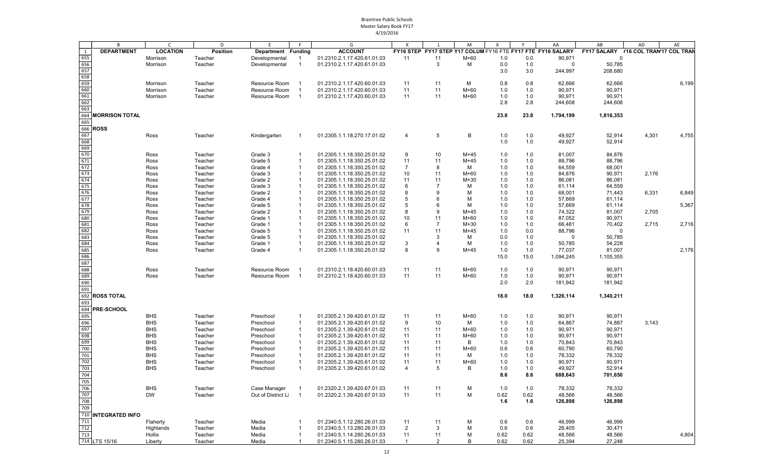|     | B                     | $\mathsf{C}$    | D        | E                  | F              | G                           | K              | L              | M      | $\mathsf{x}$ | Y    | AA                                                          | AB                                   | AD    | AE    |
|-----|-----------------------|-----------------|----------|--------------------|----------------|-----------------------------|----------------|----------------|--------|--------------|------|-------------------------------------------------------------|--------------------------------------|-------|-------|
| 1   | <b>DEPARTMENT</b>     | <b>LOCATION</b> | Position | Department Funding |                | <b>ACCOUNT</b>              |                |                |        |              |      | FY16 STEP FY17 STEP Y17 COLUM FY16 FTE FY17 FTE FY16 SALARY | FY17 SALARY Y16 COL TRAN'17 COL TRAN |       |       |
| 655 |                       | Morrison        | Teacher  | Developmental      | -1             | 01.2310.2.1.17.420.61.01.03 | 11             | 11             | $M+60$ | 1.0          | 0.0  | 90,971                                                      | $\mathbf 0$                          |       |       |
| 656 |                       | Morrison        | Teacher  | Developmental      | $\overline{1}$ | 01.2310.2.1.17.420.61.01.03 |                | 3              | M      | 0.0          | 1.0  | $\mathbf 0$                                                 | 50,785                               |       |       |
|     |                       |                 |          |                    |                |                             |                |                |        |              |      |                                                             |                                      |       |       |
| 657 |                       |                 |          |                    |                |                             |                |                |        | 3.0          | 3.0  | 244,997                                                     | 208,680                              |       |       |
| 658 |                       |                 |          |                    |                |                             |                |                |        |              |      |                                                             |                                      |       |       |
| 659 |                       | Morrison        | Teacher  | Resource Room      |                | 01.2310.2.1.17.420.60.01.03 | 11             | 11             | м      | 0.8          | 0.8  | 62,666                                                      | 62,666                               |       | 6,199 |
| 660 |                       | Morrison        | Teacher  | Resource Room      |                | 01.2310.2.1.17.420.60.01.03 | 11             | 11             | $M+60$ | 1.0          | 1.0  | 90,971                                                      | 90,971                               |       |       |
| 661 |                       | Morrison        | Teacher  | Resource Room      | - 1            | 01.2310.2.1.17.420.60.01.03 | 11             | 11             | M+60   | 1.0          | 1.0  | 90,971                                                      | 90,971                               |       |       |
| 662 |                       |                 |          |                    |                |                             |                |                |        | 2.8          | 2.8  | 244,608                                                     | 244,608                              |       |       |
| 663 |                       |                 |          |                    |                |                             |                |                |        |              |      |                                                             |                                      |       |       |
| 664 | <b>MORRISON TOTAL</b> |                 |          |                    |                |                             |                |                |        | 23.8         | 23.8 | 1,794,199                                                   | 1,816,353                            |       |       |
| 665 |                       |                 |          |                    |                |                             |                |                |        |              |      |                                                             |                                      |       |       |
|     | 666 <b>ROSS</b>       |                 |          |                    |                |                             |                |                |        |              |      |                                                             |                                      |       |       |
| 667 |                       | Ross            | Teacher  | Kindergarten       |                | 01.2305.1.1.18.270.17.01.02 | 4              | 5              | B      | 1.0          | 1.0  | 49,927                                                      | 52,914                               | 4,301 | 4,755 |
| 668 |                       |                 |          |                    |                |                             |                |                |        |              | 1.0  | 49,927                                                      | 52,914                               |       |       |
| 669 |                       |                 |          |                    |                |                             |                |                |        | 1.0          |      |                                                             |                                      |       |       |
|     |                       |                 |          |                    |                |                             |                |                |        |              |      |                                                             |                                      |       |       |
| 670 |                       | Ross            | Teacher  | Grade 3            |                | 01.2305.1.1.18.350.25.01.02 | 9              | 10             | $M+45$ | 1.0          | 1.0  | 81,007                                                      | 84,876                               |       |       |
| 671 |                       | Ross            | Teacher  | Grade 5            | -1             | 01.2305.1.1.18.350.25.01.02 | 11             | 11             | $M+45$ | 1.0          | 1.0  | 88,796                                                      | 88,796                               |       |       |
| 672 |                       | Ross            | Teacher  | Grade 4            | $\mathbf 1$    | 01.2305.1.1.18.350.25.01.02 | 7              | 8              | M      | 1.0          | 1.0  | 64,559                                                      | 68,001                               |       |       |
| 673 |                       | Ross            | Teacher  | Grade 3            | -1             | 01.2305.1.1.18.350.25.01.02 | 10             | 11             | $M+60$ | 1.0          | 1.0  | 84,876                                                      | 90,971                               | 2,176 |       |
| 674 |                       | Ross            | Teacher  | Grade 2            |                | 01.2305.1.1.18.350.25.01.02 | 11             | 11             | $M+30$ | 1.0          | 1.0  | 86,081                                                      | 86,081                               |       |       |
| 675 |                       | Ross            | Teacher  | Grade 3            |                | 01.2305.1.1.18.350.25.01.02 | 6              | 7              | M      | 1.0          | 1.0  | 61,114                                                      | 64,559                               |       |       |
| 676 |                       | Ross            | Teacher  | Grade 2            |                | 01.2305.1.1.18.350.25.01.02 | 8              | 9              | м      | 1.0          | 1.0  | 68,001                                                      | 71,443                               | 6,331 | 6,849 |
| 677 |                       | Ross            | Teacher  | Grade 4            | -1             | 01.2305.1.1.18.350.25.01.02 | 5              | 6              | M      | 1.0          | 1.0  | 57,669                                                      | 61,114                               |       |       |
| 678 |                       | Ross            | Teacher  | Grade 5            |                | 01.2305.1.1.18.350.25.01.02 | 5              | 6              | M      | 1.0          | 1.0  | 57,669                                                      | 61,114                               |       | 5,367 |
| 679 |                       | Ross            | Teacher  | Grade 2            |                | 01.2305.1.1.18.350.25.01.02 | 8              | 9              | $M+45$ | 1.0          | 1.0  | 74,322                                                      | 81,007                               | 2,705 |       |
| 680 |                       |                 |          | Grade 1            | -1             | 01.2305.1.1.18.350.25.01.02 | 10             | 11             | $M+60$ | 1.0          | 1.0  | 87,052                                                      | 90,971                               |       |       |
|     |                       | Ross            | Teacher  |                    |                |                             |                |                |        |              |      |                                                             |                                      |       |       |
| 681 |                       | Ross            | Teacher  | Grade 1            | -1             | 01.2305.1.1.18.350.25.01.02 | 6              | $\overline{7}$ | $M+30$ | 1.0          | 1.0  | 66,481                                                      | 70,402                               | 2,715 | 2,716 |
| 682 |                       | Ross            | Teacher  | Grade 5            | -1             | 01.2305.1.1.18.350.25.01.02 | 11             | 11             | $M+45$ | 1.0          | 0.0  | 88,796                                                      | 0                                    |       |       |
| 683 |                       | Ross            | Teacher  | Grade 5            |                | 01.2305.1.1.18.350.25.01.02 |                | 3              | м      | 0.0          | 1.0  | $\Omega$                                                    | 50,785                               |       |       |
| 684 |                       | Ross            | Teacher  | Grade 1            | -1             | 01.2305.1.1.18.350.25.01.02 | 3              | 4              | м      | 1.0          | 1.0  | 50,785                                                      | 54,228                               |       |       |
| 685 |                       | Ross            | Teacher  | Grade 4            | -1             | 01.2305.1.1.18.350.25.01.02 | 8              | 9              | $M+45$ | 1.0          | 1.0  | 77,037                                                      | 81,007                               |       | 2,176 |
| 686 |                       |                 |          |                    |                |                             |                |                |        | 15.0         | 15.0 | 1,094,245                                                   | 1,105,355                            |       |       |
| 687 |                       |                 |          |                    |                |                             |                |                |        |              |      |                                                             |                                      |       |       |
| 688 |                       | Ross            | Teacher  | Resource Room      |                | 01.2310.2.1.18.420.60.01.03 | 11             | 11             | M+60   | 1.0          | 1.0  | 90,971                                                      | 90,971                               |       |       |
| 689 |                       | Ross            | Teacher  | Resource Room      | $\overline{1}$ | 01.2310.2.1.18.420.60.01.03 | 11             | 11             | M+60   | 1.0          | 1.0  | 90,971                                                      | 90,971                               |       |       |
| 690 |                       |                 |          |                    |                |                             |                |                |        | 2.0          | 2.0  |                                                             |                                      |       |       |
|     |                       |                 |          |                    |                |                             |                |                |        |              |      | 181,942                                                     | 181,942                              |       |       |
| 691 |                       |                 |          |                    |                |                             |                |                |        |              |      |                                                             |                                      |       |       |
|     | 692 ROSS TOTAL        |                 |          |                    |                |                             |                |                |        | 18.0         | 18.0 | 1,326,114                                                   | 1,340,211                            |       |       |
| 693 |                       |                 |          |                    |                |                             |                |                |        |              |      |                                                             |                                      |       |       |
|     | 694 PRE-SCHOOL        |                 |          |                    |                |                             |                |                |        |              |      |                                                             |                                      |       |       |
| 695 |                       | <b>BHS</b>      | Teacher  | Preschool          | -1             | 01.2305.2.1.39.420.61.01.02 | 11             | 11             | $M+60$ | 1.0          | 1.0  | 90,971                                                      | 90,971                               |       |       |
| 696 |                       | <b>BHS</b>      | Teacher  | Preschool          | $\overline{1}$ | 01.2305.2.1.39.420.61.01.02 | 9              | 10             | м      | 1.0          | 1.0  | 64,867                                                      | 74,887                               | 3,143 |       |
| 697 |                       | <b>BHS</b>      | Teacher  | Preschool          | $\mathbf{1}$   | 01.2305.2.1.39.420.61.01.02 | 11             | 11             | $M+60$ | 1.0          | 1.0  | 90,971                                                      | 90,971                               |       |       |
| 698 |                       | <b>BHS</b>      | Teacher  | Preschool          | -1             | 01.2305.2.1.39.420.61.01.02 | 11             | 11             | M+60   | 1.0          | 1.0  | 90,971                                                      | 90,971                               |       |       |
| 699 |                       |                 |          |                    | $\overline{1}$ |                             |                |                | B      |              |      |                                                             |                                      |       |       |
|     |                       | <b>BHS</b>      | Teacher  | Preschool          |                | 01.2305.2.1.39.420.61.01.02 | 11             | 11             |        | 1.0          | 1.0  | 70,843                                                      | 70,843                               |       |       |
| 700 |                       | <b>BHS</b>      | Teacher  | Preschool          | -1             | 01.2305.2.1.39.420.61.01.02 | 11             | 11             | $M+60$ | 0.6          | 0.6  | 60,790                                                      | 60,790                               |       |       |
| 701 |                       | <b>BHS</b>      | Teacher  | Preschool          | -1             | 01.2305.2.1.39.420.61.01.02 | 11             | 11             | м      | 1.0          | 1.0  | 78,332                                                      | 78,332                               |       |       |
| 702 |                       | <b>BHS</b>      | Teacher  | Preschool          | $\mathbf 1$    | 01.2305.2.1.39.420.61.01.02 | 11             | 11             | M+60   | 1.0          | 1.0  | 90,971                                                      | 90,971                               |       |       |
| 703 |                       | <b>BHS</b>      | Teacher  | Preschool          | $\overline{1}$ | 01.2305.2.1.39.420.61.01.02 | $\overline{4}$ | 5              | B      | 1.0          | 1.0  | 49,927                                                      | 52,914                               |       |       |
| 704 |                       |                 |          |                    |                |                             |                |                |        | 8.6          | 8.6  | 688,643                                                     | 701,650                              |       |       |
| 705 |                       |                 |          |                    |                |                             |                |                |        |              |      |                                                             |                                      |       |       |
| 706 |                       | <b>BHS</b>      | Teacher  | Case Manager       | $\overline{1}$ | 01.2320.2.1.39.420.67.01.03 | 11             | 11             | M      | 1.0          | 1.0  | 78,332                                                      | 78,332                               |       |       |
| 707 |                       | <b>DW</b>       |          | Out of District Li | $\overline{1}$ |                             |                |                |        |              |      |                                                             |                                      |       |       |
|     |                       |                 | Teacher  |                    |                | 01.2320.2.1.39.420.67.01.03 | 11             | 11             | M      | 0.62         | 0.62 | 48,566                                                      | 48,566                               |       |       |
| 708 |                       |                 |          |                    |                |                             |                |                |        | 1.6          | 1.6  | 126,898                                                     | 126,898                              |       |       |
| 709 |                       |                 |          |                    |                |                             |                |                |        |              |      |                                                             |                                      |       |       |
|     | 710 INTEGRATED INFO   |                 |          |                    |                |                             |                |                |        |              |      |                                                             |                                      |       |       |
| 711 |                       | Flaherty        | Teacher  | Media              |                | 01.2340.5.1.12.280.26.01.03 | 11             | 11             | м      | 0.6          | 0.6  | 46,999                                                      | 46,999                               |       |       |
| 712 |                       | Highlands       | Teacher  | Media              | -1             | 01.2340.5.1.13.280.26.01.03 | $\overline{2}$ | 3              | M      | 0.6          | 0.6  | 28,405                                                      | 30,471                               |       |       |
| 713 |                       | Hollis          | Teacher  | Media              | $\mathbf{1}$   | 01.2340.5.1.14.280.26.01.03 | 11             | 11             | M      | 0.62         | 0.62 | 48,566                                                      | 48,566                               |       | 4,804 |
|     | 714 LTS 15/16         | Liberty         | Teacher  | Media              | $\mathbf 1$    | 01.2340.5.1.15.280.26.01.03 | $\mathbf{1}$   | 2              | B      | 0.62         | 0.62 | 25,394                                                      | 27,248                               |       |       |
|     |                       |                 |          |                    |                |                             |                |                |        |              |      |                                                             |                                      |       |       |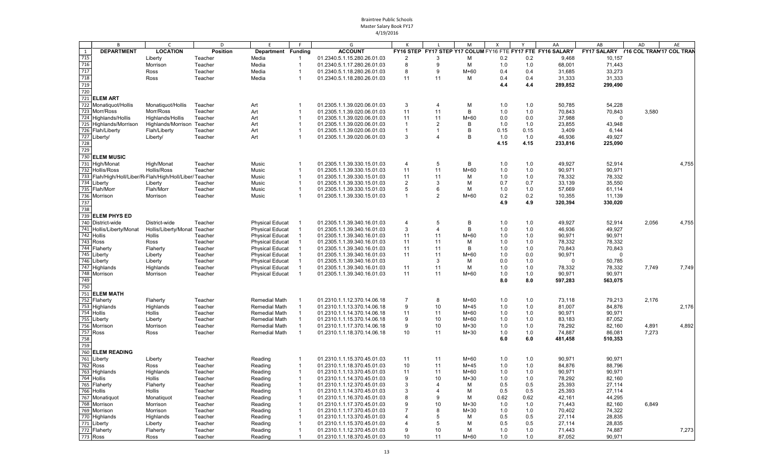|              | B                                                       | $\mathsf{C}$                 | D               | E                      | F              | G                           |                |                | M      | $\times$ | Y    | AA                                                          | AB                                   | AD    | AE    |
|--------------|---------------------------------------------------------|------------------------------|-----------------|------------------------|----------------|-----------------------------|----------------|----------------|--------|----------|------|-------------------------------------------------------------|--------------------------------------|-------|-------|
| $\mathbf{1}$ | <b>DEPARTMENT</b>                                       | <b>LOCATION</b>              | <b>Position</b> | Department Funding     |                | <b>ACCOUNT</b>              |                |                |        |          |      | FY16 STEP FY17 STEP Y17 COLUM FY16 FTE FY17 FTE FY16 SALARY | FY17 SALARY Y16 COL TRAN'17 COL TRAN |       |       |
| 715          |                                                         | Liberty                      | Teacher         | Media                  |                | 01.2340.5.1.15.280.26.01.03 | $\overline{2}$ | 3              | M      | 0.2      | 0.2  | 9,468                                                       | 10,157                               |       |       |
| 716          |                                                         | Morrison                     | Teacher         | Media                  | $\overline{1}$ | 01.2340.5.1.17.280.26.01.03 | 8              | 9              | M      | 1.0      | 1.0  | 68,001                                                      | 71,443                               |       |       |
| 717          |                                                         | Ross                         | Teacher         | Media                  | $\overline{1}$ | 01.2340.5.1.18.280.26.01.03 | 8              | 9              | $M+60$ | 0.4      | 0.4  | 31,685                                                      | 33,273                               |       |       |
| 718          |                                                         | Ross                         | Teacher         | Media                  | $\overline{1}$ | 01.2340.5.1.18.280.26.01.03 | 11             | 11             | м      | 0.4      | 0.4  | 31,333                                                      | 31,333                               |       |       |
| 719          |                                                         |                              |                 |                        |                |                             |                |                |        | 4.4      | 4.4  | 289,852                                                     | 299,490                              |       |       |
| 720          |                                                         |                              |                 |                        |                |                             |                |                |        |          |      |                                                             |                                      |       |       |
|              | 721 ELEM ART                                            |                              |                 |                        |                |                             |                |                |        |          |      |                                                             |                                      |       |       |
|              | 722 Monatiquot/Hollis                                   | Monatiquot/Hollis            | Teacher         | Art                    | -1             | 01.2305.1.1.39.020.06.01.03 | 3              | $\overline{4}$ | M      | 1.0      | 1.0  | 50,785                                                      | 54,228                               |       |       |
|              | 723 Morr/Ross                                           | Morr/Ross                    | Teacher         | Art                    | $\overline{1}$ | 01.2305.1.1.39.020.06.01.03 | 11             | 11             | В      | 1.0      | 1.0  | 70,843                                                      | 70,843                               | 3,580 |       |
|              | 724 Highlands/Hollis                                    | Highlands/Hollis             | Teacher         | Art                    | -1             | 01.2305.1.1.39.020.06.01.03 | 11             | 11             | $M+60$ | 0.0      | 0.0  | 37,988                                                      | $\Omega$                             |       |       |
|              | 725 Highlands/Morrison                                  | Highlands/Morrison Teacher   |                 | Art                    |                | 01.2305.1.1.39.020.06.01.03 | $\overline{1}$ | $\overline{2}$ | B      | 1.0      | 1.0  | 23,855                                                      | 43,948                               |       |       |
|              | 726 Flah/Liberty                                        | Flah/Liberty                 | Teacher         | Art                    | -1             | 01.2305.1.1.39.020.06.01.03 | $\overline{1}$ | 1              | B      | 0.15     | 0.15 | 3,409                                                       | 6,144                                |       |       |
|              | 727 Liberty/                                            | Liberty/                     | Teacher         | Art                    | -1             | 01.2305.1.1.39.020.06.01.03 | 3              | $\overline{4}$ | B      | 1.0      | 1.0  | 46,936                                                      | 49,927                               |       |       |
| 728          |                                                         |                              |                 |                        |                |                             |                |                |        | 4.15     | 4.15 | 233,816                                                     | 225,090                              |       |       |
| 729          |                                                         |                              |                 |                        |                |                             |                |                |        |          |      |                                                             |                                      |       |       |
|              | 730 ELEM MUSIC                                          |                              |                 |                        |                |                             |                |                |        |          |      |                                                             |                                      |       |       |
|              | 731 High/Monat                                          | High/Monat                   | Teacher         | Music                  | -1             | 01.2305.1.1.39.330.15.01.03 | $\overline{4}$ | 5              | B      | 1.0      | 1.0  | 49,927                                                      | 52,914                               |       | 4,755 |
|              | 732 Hollis/Ross                                         | Hollis/Ross                  | Teacher         | Music                  | -1             | 01.2305.1.1.39.330.15.01.03 | 11             | 11             | $M+60$ | 1.0      | 1.0  | 90,971                                                      | 90,971                               |       |       |
|              | 733 Flah/High/Holl/Liber/R(Flah/High/Holl/Liber/Teacher |                              |                 | Music                  | $\mathbf{1}$   | 01.2305.1.1.39.330.15.01.03 | 11             | 11             | M      | 1.0      | 1.0  | 78,332                                                      | 78,332                               |       |       |
|              | 734 Liberty                                             | Liberty                      | Teacher         | Music                  | $\overline{1}$ | 01.2305.1.1.39.330.15.01.03 | $\overline{2}$ | 3              | M      | 0.7      | 0.7  | 33,139                                                      | 35,550                               |       |       |
|              | 735 Flah/Morr                                           | Flah/Morr                    | Teacher         | Music                  | $\overline{1}$ | 01.2305.1.1.39.330.15.01.03 | 5              | 6              | М      | 1.0      | 1.0  | 57,669                                                      | 61,114                               |       |       |
|              | 736 Morrison                                            | Morrison                     | Teacher         | Music                  | $\overline{1}$ | 01.2305.1.1.39.330.15.01.03 | $\overline{1}$ | $\overline{2}$ | $M+60$ | 0.2      | 0.2  | 10,355                                                      | 11,139                               |       |       |
| 737          |                                                         |                              |                 |                        |                |                             |                |                |        | 4.9      | 4.9  | 320,394                                                     | 330,020                              |       |       |
| 738          |                                                         |                              |                 |                        |                |                             |                |                |        |          |      |                                                             |                                      |       |       |
|              | 739 ELEM PHYS ED                                        |                              |                 |                        |                |                             |                |                |        |          |      |                                                             |                                      |       |       |
|              | 740 District-wide                                       | District-wide                | Teacher         | <b>Physical Educat</b> | -1             | 01.2305.1.1.39.340.16.01.03 | $\overline{4}$ | 5              | В      | 1.0      | 1.0  | 49,927                                                      | 52,914                               | 2,056 | 4,755 |
|              | 741 Hollis/Liberty/Monat                                | Hollis/Liberty/Monat Teacher |                 | <b>Physical Educat</b> | $\mathbf 1$    | 01.2305.1.1.39.340.16.01.03 | 3              | $\overline{4}$ | В      | 1.0      | 1.0  | 46,936                                                      | 49,927                               |       |       |
|              | 742 Hollis                                              | Hollis                       | Teacher         | <b>Physical Educat</b> | $\overline{1}$ | 01.2305.1.1.39.340.16.01.03 | 11             | 11             | $M+60$ | 1.0      | 1.0  | 90,971                                                      | 90,971                               |       |       |
|              | 743 Ross                                                | Ross                         | Teacher         | <b>Physical Educat</b> |                | 01.2305.1.1.39.340.16.01.03 | 11             | 11             | M      | 1.0      | 1.0  | 78.332                                                      | 78,332                               |       |       |
|              | 744 Flaherty                                            | Flaherty                     | Teacher         | <b>Physical Educat</b> | $\mathbf{1}$   | 01.2305.1.1.39.340.16.01.03 | 11             | 11             | B      | 1.0      | 1.0  | 70,843                                                      | 70,843                               |       |       |
|              | 745 Liberty                                             | Liberty                      | Teacher         | <b>Physical Educat</b> |                | 01.2305.1.1.39.340.16.01.03 | 11             | 11             | $M+60$ | 1.0      | 0.0  | 90,971                                                      | $\Omega$                             |       |       |
|              | 746 Liberty                                             | Liberty                      | Teacher         | <b>Physical Educat</b> |                | 01.2305.1.1.39.340.16.01.03 |                | 3              | M      | 0.0      | 1.0  | ∩                                                           | 50,785                               |       |       |
|              | 747 Highlands                                           | Highlands                    | Teacher         | <b>Physical Educat</b> | $\overline{1}$ | 01.2305.1.1.39.340.16.01.03 | 11             | 11             | M      | 1.0      | 1.0  | 78,332                                                      | 78,332                               | 7,749 | 7,749 |
|              | 748 Morrison                                            | Morrison                     | Teacher         | <b>Physical Educat</b> | -1             | 01.2305.1.1.39.340.16.01.03 | 11             | 11             | $M+60$ | 1.0      | 1.0  | 90,971                                                      | 90,971                               |       |       |
| 749          |                                                         |                              |                 |                        |                |                             |                |                |        | 8.0      | 8.0  | 597,283                                                     | 563,075                              |       |       |
| 750          |                                                         |                              |                 |                        |                |                             |                |                |        |          |      |                                                             |                                      |       |       |
|              | 751 ELEM MATH                                           |                              |                 |                        |                |                             |                |                |        |          |      |                                                             |                                      |       |       |
|              | 752 Flaherty                                            | Flaherty                     | Teacher         | <b>Remedial Math</b>   | -1             | 01.2310.1.1.12.370.14.06.18 | $\overline{7}$ | 8              | $M+60$ | 1.0      | 1.0  | 73,118                                                      | 79,213                               | 2,176 |       |
|              | 753 Highlands                                           | Highlands                    | Teacher         | <b>Remedial Math</b>   | $\overline{1}$ | 01.2310.1.1.13.370.14.06.18 | 9              | 10             | $M+45$ | 1.0      | 1.0  | 81,007                                                      | 84,876                               |       | 2,176 |
|              | 754 Hollis                                              | Hollis                       | Teacher         | <b>Remedial Math</b>   | $\overline{1}$ | 01.2310.1.1.14.370.14.06.18 | 11             | 11             | $M+60$ | 1.0      | 1.0  | 90,971                                                      | 90,971                               |       |       |
|              | 755 Liberty                                             | Liberty                      | Teacher         | Remedial Math          | -1             | 01.2310.1.1.15.370.14.06.18 | 9              | 10             | $M+60$ | 1.0      | 1.0  | 83,183                                                      | 87,052                               |       |       |
|              | 756 Morrison                                            | Morrison                     | Teacher         | Remedial Math          | -1             | 01.2310.1.1.17.370.14.06.18 | 9              | 10             | $M+30$ | 1.0      | 1.0  | 78,292                                                      | 82,160                               | 4,891 | 4,892 |
|              | 757 Ross                                                | Ross                         | Teacher         | <b>Remedial Math</b>   | $\overline{1}$ | 01.2310.1.1.18.370.14.06.18 | 10             | 11             | $M+30$ | 1.0      | 1.0  | 74,887                                                      | 86,081                               | 7,273 |       |
| 758          |                                                         |                              |                 |                        |                |                             |                |                |        | 6.0      | 6.0  | 481,458                                                     | 510,353                              |       |       |
| 759          |                                                         |                              |                 |                        |                |                             |                |                |        |          |      |                                                             |                                      |       |       |
|              | 760 ELEM READING                                        |                              |                 |                        |                |                             |                |                |        |          |      |                                                             |                                      |       |       |
|              | 761 Liberty                                             | Liberty                      | Teacher         | Reading                | -1             | 01.2310.1.1.15.370.45.01.03 | 11             | 11             | $M+60$ | 1.0      | 1.0  | 90,971                                                      | 90,971                               |       |       |
|              | 762 Ross                                                | Ross                         | Teacher         | Reading                | $\mathbf{1}$   | 01.2310.1.1.18.370.45.01.03 | 10             | 11             | $M+45$ | 1.0      | 1.0  | 84,876                                                      | 88,796                               |       |       |
|              | 763 Highlands                                           | Highlands                    | Teacher         | Reading                | $\overline{1}$ | 01.2310.1.1.13.370.45.01.03 | 11             | 11             | $M+60$ | 1.0      | 1.0  | 90,971                                                      | 90,971                               |       |       |
|              | 764 Hollis                                              | Hollis                       | Teacher         | Reading                |                | 01.2310.1.1.14.370.45.01.03 | 9              | 10             | $M+30$ | 1.0      | 1.0  | 78,292                                                      | 82,160                               |       |       |
|              | 765 Flaherty                                            | Flaherty                     | Teacher         | Reading                | $\overline{1}$ | 01.2310.1.1.12.370.45.01.03 | 3              | 4              | M      | 0.5      | 0.5  | 25,393                                                      | 27,114                               |       |       |
|              | 766 Hollis                                              | Hollis                       | Teacher         | Reading                | $\overline{1}$ | 01.2310.1.1.14.370.45.01.03 | 3              | $\overline{4}$ | M      | 0.5      | 0.5  | 25,393                                                      | 27,114                               |       |       |
|              | 767 Monatiquot                                          | Monatiquot                   | Teacher         | Reading                | -1             | 01.2310.1.1.16.370.45.01.03 | 8              | 9              | M      | 0.62     | 0.62 | 42,161                                                      | 44,295                               |       |       |
|              | 768 Morrison                                            | Morrison                     | Teacher         | Reading                |                | 01.2310.1.1.17.370.45.01.03 | 9              | 10             | $M+30$ | 1.0      | 1.0  | 71,443                                                      | 82,160                               | 6,849 |       |
|              | 769 Morrison                                            | Morrison                     | Teacher         | Reading                |                | 01.2310.1.1.17.370.45.01.03 | $\overline{7}$ | 8              | $M+30$ | 1.0      | 1.0  | 70,402                                                      | 74,322                               |       |       |
|              | $\overline{770}$ Highlands                              | Highlands                    | Teacher         | Reading                |                | 01.2310.1.1.13.370.45.01.03 | $\overline{4}$ | 5              | М      | 0.5      | 0.5  | 27,114                                                      | 28,835                               |       |       |
|              | 771 Liberty                                             | Liberty                      | Teacher         | Reading                |                | 01.2310.1.1.15.370.45.01.03 | $\overline{4}$ | 5              | м      | 0.5      | 0.5  | 27,114                                                      | 28,835                               |       |       |
|              | 772 Flaherty                                            | Flaherty                     | Teacher         | Reading                | $\mathbf{1}$   | 01.2310.1.1.12.370.45.01.03 | 9              | 10             | м      | 1.0      | 1.0  | 71,443                                                      | 74,887                               |       | 7,273 |
|              | 773 Ross                                                | Ross                         | Teacher         | Reading                | -1             | 01.2310.1.1.18.370.45.01.03 | 10             | 11             | $M+60$ | 1.0      | 1.0  | 87,052                                                      | 90,971                               |       |       |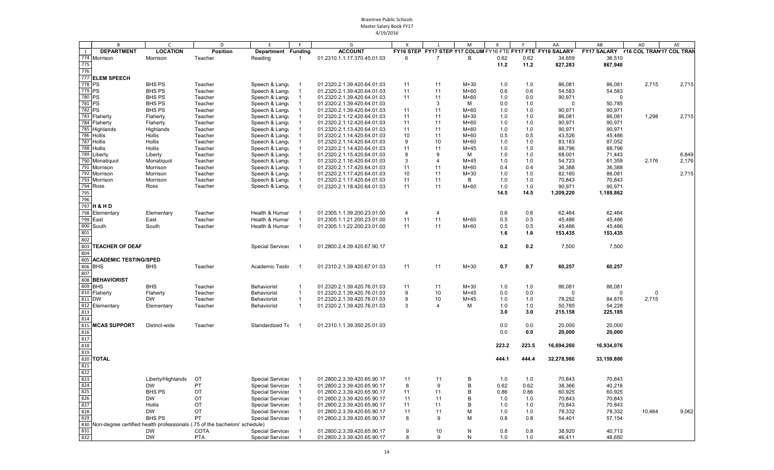|                  | B                            | $\mathsf{C}$                   | D                                                                          | F                                                  |                                | G                                                          |                |                | M                | X          |            | AA                                                          | AB                                   | AD     | AE    |
|------------------|------------------------------|--------------------------------|----------------------------------------------------------------------------|----------------------------------------------------|--------------------------------|------------------------------------------------------------|----------------|----------------|------------------|------------|------------|-------------------------------------------------------------|--------------------------------------|--------|-------|
| 1                | <b>DEPARTMENT</b>            | <b>LOCATION</b>                | <b>Position</b>                                                            | Department Funding                                 |                                | <b>ACCOUNT</b>                                             |                |                |                  |            |            | FY16 STEP FY17 STEP Y17 COLUM FY16 FTE FY17 FTE FY16 SALARY | FY17 SALARY Y16 COL TRAN'17 COL TRAN |        |       |
| 774              | Morrison                     | Morrison                       | Teacher                                                                    | Reading                                            |                                | 01.2310.1.1.17.370.45.01.03                                | 6              | 7              | В                | 0.62       | 0.62       | 34,659                                                      | 36,510                               |        |       |
| 775              |                              |                                |                                                                            |                                                    |                                |                                                            |                |                |                  | 11.2       | 11.2       | 827,283                                                     | 867,940                              |        |       |
| 776              |                              |                                |                                                                            |                                                    |                                |                                                            |                |                |                  |            |            |                                                             |                                      |        |       |
|                  | 777 ELEM SPEECH              |                                |                                                                            |                                                    |                                |                                                            |                |                |                  |            |            |                                                             |                                      |        |       |
| 778 PS           |                              | <b>BHS PS</b>                  | Teacher                                                                    | Speech & Langu                                     | -1                             | 01.2320.2.1.39.420.64.01.03                                | 11             | 11             | $M+30$           | 1.0        | 1.0        | 86,081                                                      | 86,081                               | 2,715  | 2,715 |
| 779 PS<br>780 PS |                              | <b>BHS PS</b><br><b>BHS PS</b> | Teacher                                                                    | Speech & Langu                                     | $\overline{1}$                 | 01.2320.2.1.39.420.64.01.03                                | 11<br>11       | 11<br>11       | $M+60$<br>$M+60$ | 0.6<br>1.0 | 0.6        | 54,583<br>90,971                                            | 54,583<br>$\Omega$                   |        |       |
| 781              | <b>PS</b>                    | <b>BHS PS</b>                  | Teacher<br>Teacher                                                         | Speech & Langu<br>Speech & Langu                   |                                | 01.2320.2.1.39.420.64.01.03<br>01.2320.2.1.39.420.64.01.03 |                | 3              | M                | 0.0        | 0.0<br>1.0 | $\Omega$                                                    | 50,785                               |        |       |
| 782 PS           |                              | <b>BHS PS</b>                  | Teacher                                                                    | Speech & Langu                                     |                                | 01.2320.2.1.39.420.64.01.03                                | 11             | 11             | $M+60$           | 1.0        | 1.0        | 90,971                                                      | 90,971                               |        |       |
|                  | 783 Flaherty                 | Flaherty                       | Teacher                                                                    | Speech & Langu                                     |                                | 01.2320.2.1.12.420.64.01.03                                | 11             | 11             | $M+30$           | 1.0        | 1.0        | 86.081                                                      | 86,081                               | 1,298  | 2,715 |
|                  | 784 Flaherty                 | Flaherty                       | Teacher                                                                    | Speech & Langu                                     |                                | 01.2320.2.1.12.420.64.01.03                                | 11             | 11             | $M+60$           | 1.0        | 1.0        | 90,971                                                      | 90,971                               |        |       |
|                  | 785 Highlands                | Highlands                      | Teacher                                                                    | Speech & Langu                                     |                                | 01.2320.2.1.13.420.64.01.03                                | 11             | 11             | $M+60$           | 1.0        | 1.0        | 90,971                                                      | 90,971                               |        |       |
|                  | 786 Hollis                   | Hollis                         | Teacher                                                                    | Speech & Langu                                     |                                | 01.2320.2.1.14.420.64.01.03                                | 10             | 11             | $M+60$           | 0.5        | 0.5        | 43,526                                                      | 45,486                               |        |       |
|                  | 787 Hollis                   | Hollis                         | Teacher                                                                    | Speech & Langu                                     |                                | 01.2320.2.1.14.420.64.01.03                                | 9              | 10             | $M+60$           | 1.0        | 1.0        | 83,183                                                      | 87,052                               |        |       |
|                  | 788 Hollis                   | <b>Hollis</b>                  | Teacher                                                                    | Speech & Langu                                     |                                | 01.2320.2.1.14.420.64.01.03                                | 11             | 11             | $M+45$           | 1.0        | 1.0        | 88.796                                                      | 88.796                               |        |       |
| 789              | Liberty                      | Liberty                        | Teacher                                                                    | Speech & Langu                                     |                                | 01.2320.2.1.15.420.64.01.03                                | 8              | 9              | M                | 1.0        | 1.0        | 68,001                                                      | 71,443                               |        | 6,849 |
|                  | 790 Monatiquot               | Monatiquot                     | Teacher                                                                    | Speech & Langu                                     |                                | 01.2320.2.1.16.420.64.01.03                                | 3              | $\overline{4}$ | $M+45$           | 1.0        | 1.0        | 54,723                                                      | 61,359                               | 2,176  | 2,176 |
| 791              | Morrison                     | Morrison                       | Teacher                                                                    | Speech & Langu                                     |                                | 01.2320.2.1.17.420.64.01.03                                | 11             | 11             | $M+60$           | 0.4        | 0.4        | 36,388                                                      | 36,388                               |        |       |
| 792              | Morrison<br>793 Morrison     | Morrison<br>Morrison           | Teacher<br>Teacher                                                         | Speech & Langu<br>Speech & Langu                   | -1                             | 01.2320.2.1.17.420.64.01.03<br>01.2320.2.1.17.420.64.01.03 | 10<br>11       | 11<br>11       | $M+30$<br>В      | 1.0<br>1.0 | 1.0<br>1.0 | 82,160<br>70,843                                            | 86,081<br>70,843                     |        | 2,715 |
| 794              | <b>Ross</b>                  | Ross                           | Teacher                                                                    | Speech & Langu                                     | $\overline{1}$                 | 01.2320.2.1.18.420.64.01.03                                | 11             | 11             | $M+60$           | 1.0        | 1.0        | 90,971                                                      | 90,971                               |        |       |
| 795              |                              |                                |                                                                            |                                                    |                                |                                                            |                |                |                  | 14.5       | 14.5       | 1,209,220                                                   | 1,188,862                            |        |       |
| 796              |                              |                                |                                                                            |                                                    |                                |                                                            |                |                |                  |            |            |                                                             |                                      |        |       |
|                  | 797 H & H D                  |                                |                                                                            |                                                    |                                |                                                            |                |                |                  |            |            |                                                             |                                      |        |       |
|                  | 798 Elementary               | Elementary                     | Teacher                                                                    | Health & Humar                                     |                                | 01.2305.1.1.39.200.23.01.00                                | $\overline{4}$ | $\overline{4}$ |                  | 0.6        | 0.6        | 62.464                                                      | 62,464                               |        |       |
|                  | 799 East                     | East                           | Teacher                                                                    | Health & Humar                                     | $\overline{1}$                 | 01.2305.1.1.21.200.23.01.00                                | 11             | 11             | $M+60$           | 0.5        | 0.5        | 45,486                                                      | 45,486                               |        |       |
|                  | 800 South                    | South                          | Teacher                                                                    | Health & Humar                                     |                                | 01.2305.1.1.22.200.23.01.00                                | 11             | 11             | $M+60$           | 0.5        | 0.5        | 45,486                                                      | 45,486                               |        |       |
| 801              |                              |                                |                                                                            |                                                    |                                |                                                            |                |                |                  | 1.6        | 1.6        | 153,435                                                     | 153,435                              |        |       |
| 802              |                              |                                |                                                                            |                                                    |                                |                                                            |                |                |                  |            |            |                                                             |                                      |        |       |
| 803              | <b>TEACHER OF DEAF</b>       |                                |                                                                            | <b>Special Services</b>                            |                                | 01.2800.2.4.39.420.67.90.17                                |                |                |                  | 0.2        | 0.2        | 7,500                                                       | 7,500                                |        |       |
| 804              |                              |                                |                                                                            |                                                    |                                |                                                            |                |                |                  |            |            |                                                             |                                      |        |       |
| 805              | <b>ACADEMIC TESTING/SPED</b> |                                |                                                                            |                                                    |                                |                                                            |                |                |                  |            |            |                                                             |                                      |        |       |
|                  | 806 BHS                      | <b>BHS</b>                     | Teacher                                                                    | Academic Testir                                    | $\overline{1}$                 | 01.2310.2.1.39.420.67.01.03                                | 11             | 11             | $M+30$           | 0.7        | 0.7        | 60,257                                                      | 60,257                               |        |       |
| 807              |                              |                                |                                                                            |                                                    |                                |                                                            |                |                |                  |            |            |                                                             |                                      |        |       |
|                  | 808 BEHAVIORIST              |                                |                                                                            |                                                    |                                |                                                            |                |                |                  |            |            |                                                             |                                      |        |       |
|                  | 809 BHS                      | <b>BHS</b>                     | Teacher                                                                    | <b>Behaviorist</b>                                 | $\overline{1}$                 | 01.2320.2.1.39.420.76.01.03                                | 11             | 11             | $M+30$           | 1.0        | 1.0        | 86,081                                                      | 86,081                               |        |       |
|                  | 810 Flaherty                 | Flaherty                       | Teacher                                                                    | Behaviorist                                        | $\overline{1}$                 | 01.2320.2.1.39.420.76.01.03                                | 9              | 10             | $M+45$           | 0.0        | 0.0        | $\Omega$                                                    | 0                                    | 0      |       |
|                  | 811 DW                       | <b>DW</b>                      | Teacher                                                                    | Behaviorist                                        | $\overline{1}$<br>$\mathbf{1}$ | 01.2320.2.1.39.420.76.01.03                                | 9              | 10<br>4        | $M+45$           | 1.0        | 1.0        | 78,292                                                      | 84,876                               | 2,715  |       |
| 813              | 812 Elementary               | Elementary                     | Teacher                                                                    | Behaviorist                                        |                                | 01.2320.2.1.39.420.76.01.03                                | 3              |                | м                | 1.0<br>3.0 | 1.0<br>3.0 | 50,785<br>215,158                                           | 54,228<br>225,185                    |        |       |
| 814              |                              |                                |                                                                            |                                                    |                                |                                                            |                |                |                  |            |            |                                                             |                                      |        |       |
| 815              | <b>MCAS SUPPORT</b>          | District-wide                  | Teacher                                                                    | Standardized Te                                    |                                | 01.2310.1.1.39.350.25.01.03                                |                |                |                  | 0.0        | 0.0        | 20,000                                                      | 20,000                               |        |       |
| 816              |                              |                                |                                                                            |                                                    |                                |                                                            |                |                |                  | 0.0        | 0.0        | 20,000                                                      | 20,000                               |        |       |
| 817              |                              |                                |                                                                            |                                                    |                                |                                                            |                |                |                  |            |            |                                                             |                                      |        |       |
| 818              |                              |                                |                                                                            |                                                    |                                |                                                            |                |                |                  | 223.2      | 223.5      | 16,694,260                                                  | 16,934,076                           |        |       |
| 819              |                              |                                |                                                                            |                                                    |                                |                                                            |                |                |                  |            |            |                                                             |                                      |        |       |
|                  | 820 TOTAL                    |                                |                                                                            |                                                    |                                |                                                            |                |                |                  | 444.1      | 444.4      | 32,278,986                                                  | 33,159,800                           |        |       |
| 821              |                              |                                |                                                                            |                                                    |                                |                                                            |                |                |                  |            |            |                                                             |                                      |        |       |
| 822              |                              |                                |                                                                            |                                                    |                                |                                                            |                |                |                  |            |            |                                                             |                                      |        |       |
| 823              |                              | Liberty/Highlands              | OT                                                                         | <b>Special Services</b>                            |                                | 01.2800.2.3.39.420.65.90.17                                | 11             | 11             | B                | 1.0        | 1.0        | 70.843                                                      | 70.843                               |        |       |
| 824              |                              | <b>DW</b>                      | PT                                                                         | <b>Special Services</b>                            | -1                             | 01.2800.2.3.39.420.65.90.17                                | 8              | 9              | B                | 0.62       | 0.62       | 38,366                                                      | 40,218                               |        |       |
| 825              |                              | <b>BHS PS</b>                  | OT                                                                         | <b>Special Services</b>                            | $\mathbf{1}$                   | 01.2800.2.3.39.420.65.90.17                                | 11             | 11             | <sub>R</sub>     | 0.86       | 0.86       | 60,925                                                      | 60,925                               |        |       |
| 826              |                              | <b>DW</b>                      | OT                                                                         | <b>Special Services</b>                            |                                | 01.2800.2.3.39.420.65.90.17                                | 11             | 11             | B                | 1.0        | 1.0        | 70,843                                                      | 70,843                               |        |       |
| 827              |                              | <b>Hollis</b>                  | OT                                                                         | <b>Special Services</b>                            |                                | 01.2800.2.3.39.420.65.90.17                                | 11             | 11             | в                | 1.0        | 1.0        | 70,843                                                      | 70,843                               |        |       |
| 828              |                              | <b>DW</b>                      | OT                                                                         | <b>Special Services</b>                            |                                | 01.2800.2.3.39.420.65.90.17                                | 11             | 11             | М                | 1.0        | 1.0        | 78,332                                                      | 78,332                               | 10,464 | 9,062 |
| 829              |                              | <b>BHS PS</b>                  | PT                                                                         | <b>Special Services</b>                            | $\overline{1}$                 | 01.2800.2.3.39.420.65.90.17                                | 8              | 9              | М                | 0.8        | 0.8        | 54,401                                                      | 57,154                               |        |       |
| 830<br>831       |                              |                                | Non-degree certified health professionals (.75 of the bachelors' schedule) |                                                    |                                |                                                            |                |                |                  |            |            |                                                             |                                      |        |       |
| 832              |                              | <b>DW</b><br><b>DW</b>         | <b>COTA</b><br><b>PTA</b>                                                  | <b>Special Services</b><br><b>Special Services</b> | -1<br>$\mathbf 1$              | 01.2800.2.3.39.420.65.90.17<br>01.2800.2.3.39.420.65.90.17 | 9<br>8         | 10<br>9        | N<br>N           | 0.8<br>1.0 | 0.8<br>1.0 | 38,920<br>46,411                                            | 40,713<br>48,650                     |        |       |
|                  |                              |                                |                                                                            |                                                    |                                |                                                            |                |                |                  |            |            |                                                             |                                      |        |       |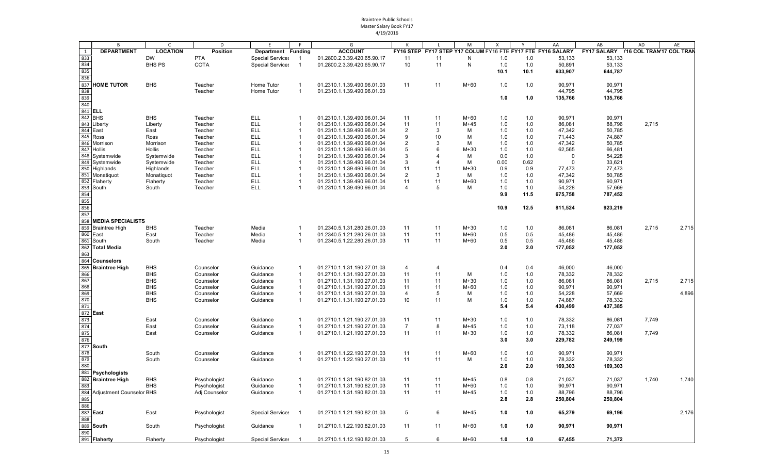|     | B                               | $\mathsf{C}$    | D               | F                       |                          | G                           |                |                | M            | $\mathsf{x}$ | Y     | AA                                                          | AB                                   | AD    | AE    |
|-----|---------------------------------|-----------------|-----------------|-------------------------|--------------------------|-----------------------------|----------------|----------------|--------------|--------------|-------|-------------------------------------------------------------|--------------------------------------|-------|-------|
| 1   | <b>DEPARTMENT</b>               | <b>LOCATION</b> | <b>Position</b> | Department Funding      |                          | <b>ACCOUNT</b>              |                |                |              |              |       | FY16 STEP FY17 STEP Y17 COLUM FY16 FTE FY17 FTE FY16 SALARY | FY17 SALARY Y16 COL TRAN'17 COL TRAN |       |       |
| 833 |                                 | <b>DW</b>       | <b>PTA</b>      | <b>Special Services</b> |                          | 01.2800.2.3.39.420.65.90.17 | 11             | 11             | N            | 1.0          | 1.0   | 53,133                                                      | 53,133                               |       |       |
| 834 |                                 | <b>BHS PS</b>   | COTA            | <b>Special Services</b> |                          | 01.2800.2.3.39.420.65.90.17 | 10             | 11             | $\mathsf{N}$ | 1.0          | 1.0   | 50,891                                                      | 53,133                               |       |       |
| 835 |                                 |                 |                 |                         |                          |                             |                |                |              |              |       |                                                             |                                      |       |       |
|     |                                 |                 |                 |                         |                          |                             |                |                |              | 10.1         | 10.1  | 633,907                                                     | 644,787                              |       |       |
| 836 |                                 |                 |                 |                         |                          |                             |                |                |              |              |       |                                                             |                                      |       |       |
| 837 | <b>HOME TUTOR</b>               | <b>BHS</b>      | Teacher         | Home Tutor              | $\mathbf{1}$             | 01.2310.1.1.39.490.96.01.03 | 11             | 11             | M+60         | 1.0          | 1.0   | 90,971                                                      | 90,971                               |       |       |
| 838 |                                 |                 | Teacher         | Home Tutor              | $\mathbf{1}$             | 01.2310.1.1.39.490.96.01.03 |                |                |              |              |       | 44,795                                                      | 44,795                               |       |       |
| 839 |                                 |                 |                 |                         |                          |                             |                |                |              | 1.0          | 1.0   | 135,766                                                     | 135,766                              |       |       |
| 840 |                                 |                 |                 |                         |                          |                             |                |                |              |              |       |                                                             |                                      |       |       |
|     | 841 ELL                         |                 |                 |                         |                          |                             |                |                |              |              |       |                                                             |                                      |       |       |
|     | 842 BHS                         | <b>BHS</b>      | Teacher         | <b>ELL</b>              | -1                       | 01.2310.1.1.39.490.96.01.04 | 11             | 11             | $M+60$       | 1.0          | 1.0   | 90,971                                                      | 90,971                               |       |       |
|     | 843 Liberty                     | Liberty         | Teacher         | <b>ELL</b>              | -1                       | 01.2310.1.1.39.490.96.01.04 | 11             | 11             | $M+45$       | 1.0          | 1.0   | 86,081                                                      | 88,796                               | 2,715 |       |
|     | 844 East                        | East            | Teacher         | <b>ELL</b>              | -1                       | 01.2310.1.1.39.490.96.01.04 | $\overline{2}$ | 3              | м            | 1.0          | 1.0   | 47,342                                                      | 50,785                               |       |       |
|     | 845 Ross                        |                 |                 | <b>ELL</b>              | $\overline{1}$           |                             |                |                | M            |              |       |                                                             |                                      |       |       |
|     |                                 | Ross            | Teacher         |                         |                          | 01.2310.1.1.39.490.96.01.04 | 9              | 10             |              | 1.0          | 1.0   | 71,443                                                      | 74,887                               |       |       |
|     | 846 Morrison                    | Morrison        | Teacher         | <b>ELL</b>              | $\overline{1}$           | 01.2310.1.1.39.490.96.01.04 | $\overline{2}$ | 3              | M            | 1.0          | 1.0   | 47,342                                                      | 50,785                               |       |       |
|     | 847 Hollis                      | Hollis          | Teacher         | <b>ELL</b>              | $\overline{1}$           | 01.2310.1.1.39.490.96.01.04 | 5              | 6              | $M+30$       | 1.0          | 1.0   | 62,565                                                      | 66,481                               |       |       |
|     | 848 Systemwide                  | Systemwide      | Teacher         | <b>ELL</b>              | -1                       | 01.2310.1.1.39.490.96.01.04 | 3              | Δ              | M            | 0.0          | 1.0   | $\Omega$                                                    | 54,228                               |       |       |
| 849 | Systemwide                      | Systemwide      | Teacher         | <b>ELL</b>              | -1                       | 01.2310.1.1.39.490.96.01.04 | 3              | 4              | M            | 0.00         | 0.62  | $\Omega$                                                    | 33,621                               |       |       |
|     | 850 Highlands                   | Highlands       | Teacher         | <b>ELL</b>              | -1                       | 01.2310.1.1.39.490.96.01.04 | 11             | 11             | $M+30$       | 0.9          | 0.9   | 77,473                                                      | 77,473                               |       |       |
|     | 851 Monatiquot                  | Monatiquot      | Teacher         | <b>ELL</b>              | -1                       | 01.2310.1.1.39.490.96.01.04 | 2              | 3              | м            | 1.0          | 1.0   | 47,342                                                      | 50,785                               |       |       |
|     | 852 Flaherty                    | Flaherty        | Teacher         | <b>ELL</b>              | -1                       | 01.2310.1.1.39.490.96.01.04 | 11             | 11             | $M+60$       | 1.0          | 1.0   | 90,971                                                      | 90,971                               |       |       |
|     | 853 South                       | South           | Teacher         | <b>ELL</b>              | -1                       | 01.2310.1.1.39.490.96.01.04 | $\overline{4}$ | 5              | М            | 1.0          | 1.0   | 54,228                                                      | 57,669                               |       |       |
| 854 |                                 |                 |                 |                         |                          |                             |                |                |              | 9.9          | 11.5  | 675,758                                                     | 787,452                              |       |       |
| 855 |                                 |                 |                 |                         |                          |                             |                |                |              |              |       |                                                             |                                      |       |       |
| 856 |                                 |                 |                 |                         |                          |                             |                |                |              | 10.9         | 12.5  | 811,524                                                     | 923,219                              |       |       |
| 857 |                                 |                 |                 |                         |                          |                             |                |                |              |              |       |                                                             |                                      |       |       |
|     |                                 |                 |                 |                         |                          |                             |                |                |              |              |       |                                                             |                                      |       |       |
|     | 858 MEDIA SPECIALISTS           |                 |                 |                         |                          |                             |                |                |              |              |       |                                                             |                                      |       |       |
|     | 859 Braintree High              | <b>BHS</b>      | Teacher         | Media                   | -1                       | 01.2340.5.1.31.280.26.01.03 | 11             | 11             | $M+30$       | 1.0          | 1.0   | 86,081                                                      | 86,081                               | 2,715 | 2,715 |
|     | 860 East                        | East            | Teacher         | Media                   | -1                       | 01.2340.5.1.21.280.26.01.03 | 11             | 11             | $M+60$       | 0.5          | 0.5   | 45,486                                                      | 45,486                               |       |       |
| 861 | South                           | South           | Teacher         | Media                   | -1                       | 01.2340.5.1.22.280.26.01.03 | 11             | 11             | M+60         | 0.5          | 0.5   | 45,486                                                      | 45,486                               |       |       |
|     | 862 Total Media                 |                 |                 |                         |                          |                             |                |                |              | 2.0          | 2.0   | 177,052                                                     | 177,052                              |       |       |
| 863 |                                 |                 |                 |                         |                          |                             |                |                |              |              |       |                                                             |                                      |       |       |
|     | 864 Counselors                  |                 |                 |                         |                          |                             |                |                |              |              |       |                                                             |                                      |       |       |
| 865 | <b>Braintree High</b>           | <b>BHS</b>      | Counselor       | Guidance                | -1                       | 01.2710.1.1.31.190.27.01.03 | 4              | $\overline{4}$ |              | 0.4          | 0.4   | 46,000                                                      | 46,000                               |       |       |
| 866 |                                 | <b>BHS</b>      | Counselor       | Guidance                | $\overline{1}$           | 01.2710.1.1.31.190.27.01.03 | 11             | 11             | M            | 1.0          | 1.0   | 78,332                                                      | 78,332                               |       |       |
| 867 |                                 | <b>BHS</b>      | Counselor       | Guidance                | $\overline{1}$           | 01.2710.1.1.31.190.27.01.03 | 11             | 11             | $M+30$       | 1.0          | 1.0   | 86,081                                                      | 86,081                               | 2,715 | 2,715 |
|     |                                 | <b>BHS</b>      |                 |                         | $\overline{1}$           |                             | 11             | 11             | $M+60$       |              | 1.0   | 90,971                                                      | 90,971                               |       |       |
| 868 |                                 |                 | Counselor       | Guidance                |                          | 01.2710.1.1.31.190.27.01.03 |                |                |              | 1.0          |       |                                                             |                                      |       |       |
| 869 |                                 | <b>BHS</b>      | Counselor       | Guidance                | -1                       | 01.2710.1.1.31.190.27.01.03 | $\overline{4}$ | 5              | М            | 1.0          | 1.0   | 54,228                                                      | 57,669                               |       | 4,896 |
| 870 |                                 | <b>BHS</b>      | Counselor       | Guidance                | $\overline{1}$           | 01.2710.1.1.31.190.27.01.03 | 10             | 11             | M            | 1.0          | 1.0   | 74,887                                                      | 78,332                               |       |       |
| 871 |                                 |                 |                 |                         |                          |                             |                |                |              | 5.4          | 5.4   | 430,499                                                     | 437,385                              |       |       |
|     | 872 East                        |                 |                 |                         |                          |                             |                |                |              |              |       |                                                             |                                      |       |       |
| 873 |                                 | East            | Counselor       | Guidance                | -1                       | 01.2710.1.1.21.190.27.01.03 | 11             | 11             | $M+30$       | 1.0          | 1.0   | 78,332                                                      | 86,081                               | 7,749 |       |
| 874 |                                 | East            | Counselor       | Guidance                | $\overline{1}$           | 01.2710.1.1.21.190.27.01.03 | $\overline{7}$ | 8              | M+45         | 1.0          | 1.0   | 73,118                                                      | 77,037                               |       |       |
| 875 |                                 | East            | Counselor       | Guidance                | $\overline{1}$           | 01.2710.1.1.21.190.27.01.03 | 11             | 11             | $M+30$       | 1.0          | 1.0   | 78,332                                                      | 86,081                               | 7,749 |       |
| 876 |                                 |                 |                 |                         |                          |                             |                |                |              | 3.0          | 3.0   | 229,782                                                     | 249,199                              |       |       |
|     | 877 South                       |                 |                 |                         |                          |                             |                |                |              |              |       |                                                             |                                      |       |       |
| 878 |                                 | South           | Counselor       | Guidance                | $\mathbf{1}$             | 01.2710.1.1.22.190.27.01.03 | 11             | 11             | $M+60$       | 1.0          | 1.0   | 90,971                                                      | 90,971                               |       |       |
| 879 |                                 | South           | Counselor       | Guidance                | $\overline{1}$           | 01.2710.1.1.22.190.27.01.03 | 11             | 11             | М            | 1.0          | 1.0   | 78,332                                                      | 78,332                               |       |       |
|     |                                 |                 |                 |                         |                          |                             |                |                |              |              |       |                                                             |                                      |       |       |
| 880 |                                 |                 |                 |                         |                          |                             |                |                |              | 2.0          | 2.0   | 169,303                                                     | 169,303                              |       |       |
|     | 881 Psychologists               |                 |                 |                         |                          |                             |                |                |              |              |       |                                                             |                                      |       |       |
|     | 882 Braintree High              | <b>BHS</b>      | Psychologist    | Guidance                | -1                       | 01.2710.1.1.31.190.82.01.03 | 11             | 11             | M+45         | 0.8          | 0.8   | 71,037                                                      | 71,037                               | 1,740 | 1,740 |
| 883 |                                 | <b>BHS</b>      | Psychologist    | Guidance                | $\overline{1}$           | 01.2710.1.1.31.190.82.01.03 | 11             | 11             | $M+60$       | 1.0          | 1.0   | 90,971                                                      | 90,971                               |       |       |
| 884 | <b>Adjustment Counselor BHS</b> |                 | Adj Counselor   | Guidance                | $\overline{1}$           | 01.2710.1.1.31.190.82.01.03 | 11             | 11             | M+45         | 1.0          | 1.0   | 88,796                                                      | 88,796                               |       |       |
| 885 |                                 |                 |                 |                         |                          |                             |                |                |              | 2.8          | 2.8   | 250,804                                                     | 250,804                              |       |       |
| 886 |                                 |                 |                 |                         |                          |                             |                |                |              |              |       |                                                             |                                      |       |       |
|     | 887 East                        | East            | Psychologist    | <b>Special Services</b> | $\overline{\phantom{a}}$ | 01.2710.1.1.21.190.82.01.03 | $\sqrt{5}$     | 6              | M+45         | 1.0          | $1.0$ | 65,279                                                      | 69,196                               |       | 2,176 |
|     |                                 |                 |                 |                         |                          |                             |                |                |              |              |       |                                                             |                                      |       |       |
| 888 |                                 |                 |                 |                         |                          |                             |                |                |              |              |       |                                                             |                                      |       |       |
|     | 889 South                       | South           | Psychologist    | Guidance                |                          | 01.2710.1.1.22.190.82.01.03 | 11             | 11             | $M+60$       | 1.0          | 1.0   | 90,971                                                      | 90,971                               |       |       |
| 890 |                                 |                 |                 |                         |                          |                             |                |                |              |              |       |                                                             |                                      |       |       |
|     | 891 Flaherty                    | Flaherty        | Psychologist    | <b>Special Services</b> | - 1                      | 01.2710.1.1.12.190.82.01.03 | -5             | 6              | $M+60$       | 1.0          | 1.0   | 67,455                                                      | 71,372                               |       |       |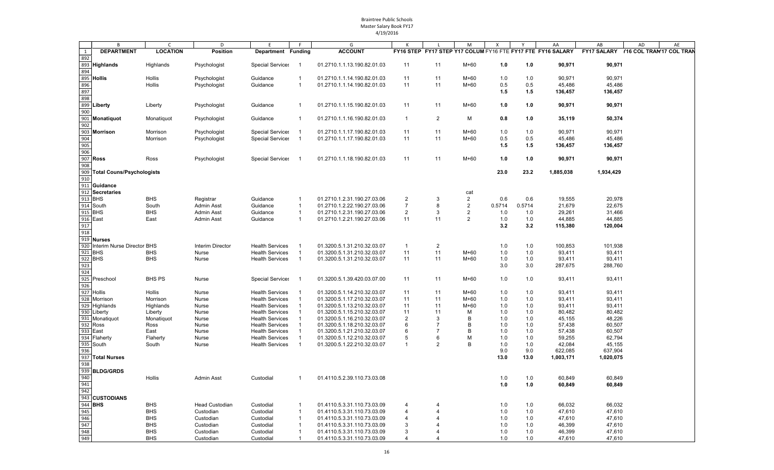|     | B                              | $\mathsf{C}$       | D                     | E                                                | F              | G                                                          |                |                                                             | M              | Χ          | Y          | AA               | AB                 | AD                       | AE |  |
|-----|--------------------------------|--------------------|-----------------------|--------------------------------------------------|----------------|------------------------------------------------------------|----------------|-------------------------------------------------------------|----------------|------------|------------|------------------|--------------------|--------------------------|----|--|
| 1   | <b>DEPARTMENT</b>              | <b>LOCATION</b>    | <b>Position</b>       | Department Funding                               |                | <b>ACCOUNT</b>                                             |                | FY16 STEP FY17 STEP Y17 COLUM FY16 FTE FY17 FTE FY16 SALARY |                |            |            |                  | <b>FY17 SALARY</b> | Y16 COL TRAN'17 COL TRAI |    |  |
| 892 |                                |                    |                       |                                                  |                |                                                            |                |                                                             |                |            |            |                  |                    |                          |    |  |
| 893 | <b>Highlands</b>               | Highlands          | Psychologist          | <b>Special Services</b>                          |                | 01.2710.1.1.13.190.82.01.03                                | 11             | 11                                                          | M+60           | 1.0        | 1.0        | 90,971           | 90,971             |                          |    |  |
| 894 |                                |                    |                       |                                                  |                |                                                            |                |                                                             |                |            |            |                  |                    |                          |    |  |
|     | 895 Hollis                     | Hollis             | Psychologist          | Guidance                                         |                | 01.2710.1.1.14.190.82.01.03                                | 11             | 11                                                          | $M+60$         | 1.0        | 1.0        | 90,971           | 90,971             |                          |    |  |
| 896 |                                | Hollis             | Psychologist          | Guidance                                         | $\mathbf 1$    | 01.2710.1.1.14.190.82.01.03                                | 11             | 11                                                          | $M+60$         | 0.5        | 0.5        | 45,486           | 45,486             |                          |    |  |
| 897 |                                |                    |                       |                                                  |                |                                                            |                |                                                             |                | 1.5        | 1.5        | 136,457          | 136,457            |                          |    |  |
| 898 |                                |                    |                       |                                                  |                |                                                            |                |                                                             |                |            |            |                  |                    |                          |    |  |
| 899 | Liberty                        | Liberty            | Psychologist          | Guidance                                         | -1             | 01.2710.1.1.15.190.82.01.03                                | 11             | 11                                                          | $M+60$         | 1.0        | 1.0        | 90,971           | 90,971             |                          |    |  |
| 900 |                                |                    |                       |                                                  |                |                                                            |                |                                                             |                |            |            |                  |                    |                          |    |  |
|     | 901 Monatiquot                 | Monatiquot         | Psychologist          | Guidance                                         | $\overline{1}$ | 01.2710.1.1.16.190.82.01.03                                | $\mathbf{1}$   | $\overline{2}$                                              | м              | 0.8        | 1.0        | 35,119           | 50,374             |                          |    |  |
| 902 |                                |                    |                       |                                                  |                |                                                            |                |                                                             |                |            |            |                  |                    |                          |    |  |
|     | 903 Morrison                   | Morrison           | Psychologist          | <b>Special Services</b>                          |                | 01.2710.1.1.17.190.82.01.03                                | 11             | 11                                                          | $M+60$         | 1.0        | 1.0        | 90,971           | 90,971             |                          |    |  |
| 904 |                                | Morrison           | Psychologist          | <b>Special Services</b>                          | - 1            | 01.2710.1.1.17.190.82.01.03                                | 11             | 11                                                          | M+60           | 0.5        | 0.5        | 45,486           | 45,486             |                          |    |  |
| 905 |                                |                    |                       |                                                  |                |                                                            |                |                                                             |                | 1.5        | 1.5        | 136,457          | 136,457            |                          |    |  |
| 906 |                                |                    |                       |                                                  |                |                                                            |                |                                                             |                |            |            |                  |                    |                          |    |  |
|     | 907 Ross                       | Ross               | Psychologist          | <b>Special Services</b>                          |                | 01.2710.1.1.18.190.82.01.03                                | 11             | 11                                                          | $M+60$         | 1.0        | 1.0        | 90,971           | 90,971             |                          |    |  |
| 908 |                                |                    |                       |                                                  |                |                                                            |                |                                                             |                |            |            |                  |                    |                          |    |  |
|     | 909 Total Couns/Psychologists  |                    |                       |                                                  |                |                                                            |                |                                                             |                | 23.0       | 23.2       | 1,885,038        | 1,934,429          |                          |    |  |
| 910 |                                |                    |                       |                                                  |                |                                                            |                |                                                             |                |            |            |                  |                    |                          |    |  |
| 911 | Guidance                       |                    |                       |                                                  |                |                                                            |                |                                                             |                |            |            |                  |                    |                          |    |  |
| 912 | <b>Secretaries</b>             |                    |                       |                                                  |                |                                                            |                |                                                             | cat            |            |            |                  |                    |                          |    |  |
|     | 913 BHS                        | <b>BHS</b>         | Registrar             | Guidance                                         | $\overline{1}$ | 01.2710.1.2.31.190.27.03.06                                | 2              | 3                                                           | 2              | 0.6        | 0.6        | 19,555           | 20,978             |                          |    |  |
|     | 914 South                      | South              | <b>Admin Asst</b>     | Guidance                                         | $\mathbf{1}$   | 01.2710.1.2.22.190.27.03.06                                | $\overline{7}$ | 8                                                           | $\overline{2}$ | 0.5714     | 0.5714     | 21,679           | 22,675             |                          |    |  |
|     | 915 BHS                        | <b>BHS</b>         | <b>Admin Asst</b>     | Guidance                                         | $\mathbf 1$    | 01.2710.1.2.31.190.27.03.06                                | $\overline{2}$ | 3                                                           | 2              | 1.0        | 1.0        | 29,261           | 31,466             |                          |    |  |
|     | $916$ East                     | East               | <b>Admin Asst</b>     | Guidance                                         | $\mathbf{1}$   | 01.2710.1.2.21.190.27.03.06                                | 11             | 11                                                          | 2              | 1.0        | 1.0        | 44,885           | 44,885             |                          |    |  |
| 917 |                                |                    |                       |                                                  |                |                                                            |                |                                                             |                | 3.2        | 3.2        | 115,380          | 120,004            |                          |    |  |
| 918 |                                |                    |                       |                                                  |                |                                                            |                |                                                             |                |            |            |                  |                    |                          |    |  |
|     | 919 Nurses                     |                    |                       |                                                  |                |                                                            |                |                                                             |                |            |            |                  |                    |                          |    |  |
|     | 920 Interim Nurse Director BHS |                    | Interim Director      | <b>Health Services</b>                           |                | 01.3200.5.1.31.210.32.03.07                                | $\mathbf{1}$   | $\overline{2}$                                              |                | 1.0        | 1.0        | 100,853          | 101,938            |                          |    |  |
|     | 921 BHS                        | <b>BHS</b>         | Nurse                 | <b>Health Services</b>                           |                | 01.3200.5.1.31.210.32.03.07                                | 11             | 11                                                          | M+60           | 1.0        | 1.0        | 93,411           | 93,411             |                          |    |  |
|     | 922 BHS                        | <b>BHS</b>         | Nurse                 | <b>Health Services</b>                           | $\overline{1}$ | 01.3200.5.1.31.210.32.03.07                                | 11             | 11                                                          | $M+60$         | 1.0        | 1.0        | 93,411           | 93,411             |                          |    |  |
| 923 |                                |                    |                       |                                                  |                |                                                            |                |                                                             |                | 3.0        | 3.0        | 287,675          | 288,760            |                          |    |  |
| 924 |                                |                    |                       |                                                  |                |                                                            |                |                                                             |                |            |            |                  |                    |                          |    |  |
|     | 925 Preschool                  | <b>BHS PS</b>      | Nurse                 | <b>Special Services</b>                          |                | 01.3200.5.1.39.420.03.07.00                                | 11             | 11                                                          | $M+60$         | 1.0        | 1.0        | 93,411           | 93,411             |                          |    |  |
| 926 |                                |                    |                       |                                                  |                |                                                            |                |                                                             |                |            |            |                  |                    |                          |    |  |
|     | 927 Hollis                     | Hollis             | Nurse                 | <b>Health Services</b>                           |                | 01.3200.5.1.14.210.32.03.07                                | 11             | 11                                                          | M+60           | 1.0        | 1.0        | 93,411           | 93,411             |                          |    |  |
|     | 928 Morrison                   | Morrison           | Nurse                 | <b>Health Services</b>                           |                | 01.3200.5.1.17.210.32.03.07                                | 11             | 11                                                          | $M+60$         | 1.0        | 1.0        | 93,411           | 93,411             |                          |    |  |
|     | 929 Highlands                  | Highlands          | Nurse                 | <b>Health Services</b>                           |                | 01.3200.5.1.13.210.32.03.07                                | 11             | 11                                                          | $M+60$         | 1.0        | 1.0        | 93,411           | 93,411             |                          |    |  |
|     | 930 Liberty                    | Liberty            | Nurse                 | <b>Health Services</b>                           |                | 01.3200.5.1.15.210.32.03.07                                | 11             | 11                                                          | м              | 1.0        | 1.0        | 80,482           | 80,482             |                          |    |  |
|     | 931 Monatiquot<br>932 Ross     | Monatiquot<br>Ross | Nurse<br>Nurse        | <b>Health Services</b><br><b>Health Services</b> |                | 01.3200.5.1.16.210.32.03.07<br>01.3200.5.1.18.210.32.03.07 | 2<br>6         | 3<br>7                                                      | B<br>B         | 1.0<br>1.0 | 1.0<br>1.0 | 45,155<br>57,438 | 48,226<br>60,507   |                          |    |  |
|     | 933 East                       | East               | Nurse                 | <b>Health Services</b>                           |                | 01.3200.5.1.21.210.32.03.07                                | 6              | 7                                                           | B              | 1.0        | 1.0        | 57,438           | 60,507             |                          |    |  |
|     | 934 Flaherty                   | Flaherty           | Nurse                 | <b>Health Services</b>                           |                | 01.3200.5.1.12.210.32.03.07                                | 5              | 6                                                           | М              | 1.0        | 1.0        | 59,255           | 62,794             |                          |    |  |
|     | 935 South                      | South              | Nurse                 | <b>Health Services</b>                           |                | 01.3200.5.1.22.210.32.03.07                                | $\mathbf{1}$   | 2                                                           | B              | 1.0        | 1.0        | 42,084           | 45,155             |                          |    |  |
| 936 |                                |                    |                       |                                                  |                |                                                            |                |                                                             |                | 9.0        | 9.0        | 622,085          | 637,904            |                          |    |  |
|     | 937 Total Nurses               |                    |                       |                                                  |                |                                                            |                |                                                             |                | 13.0       | 13.0       | 1,003,171        | 1,020,075          |                          |    |  |
| 938 |                                |                    |                       |                                                  |                |                                                            |                |                                                             |                |            |            |                  |                    |                          |    |  |
|     | 939 BLDG/GRDS                  |                    |                       |                                                  |                |                                                            |                |                                                             |                |            |            |                  |                    |                          |    |  |
| 940 |                                | Hollis             | <b>Admin Asst</b>     | Custodial                                        | -1             | 01.4110.5.2.39.110.73.03.08                                |                |                                                             |                | 1.0        | 1.0        | 60,849           | 60,849             |                          |    |  |
| 941 |                                |                    |                       |                                                  |                |                                                            |                |                                                             |                | 1.0        | 1.0        | 60,849           | 60,849             |                          |    |  |
| 942 |                                |                    |                       |                                                  |                |                                                            |                |                                                             |                |            |            |                  |                    |                          |    |  |
|     | 943 CUSTODIANS                 |                    |                       |                                                  |                |                                                            |                |                                                             |                |            |            |                  |                    |                          |    |  |
|     | 944 <b>BHS</b>                 | <b>BHS</b>         | <b>Head Custodian</b> | Custodial                                        |                | 01.4110.5.3.31.110.73.03.09                                | 4              |                                                             |                | 1.0        | 1.0        | 66,032           | 66,032             |                          |    |  |
| 945 |                                | <b>BHS</b>         | Custodian             | Custodial                                        |                | 01.4110.5.3.31.110.73.03.09                                | 4              |                                                             |                | 1.0        | 1.0        | 47,610           | 47,610             |                          |    |  |
| 946 |                                | <b>BHS</b>         | Custodian             | Custodial                                        |                | 01.4110.5.3.31.110.73.03.09                                | 4              |                                                             |                | 1.0        | 1.0        | 47,610           | 47,610             |                          |    |  |
| 947 |                                | <b>BHS</b>         | Custodian             | Custodial                                        |                | 01.4110.5.3.31.110.73.03.09                                | 3              |                                                             |                | 1.0        | 1.0        | 46,399           | 47,610             |                          |    |  |
| 948 |                                | <b>BHS</b>         | Custodian             | Custodial                                        |                | 01.4110.5.3.31.110.73.03.09                                | 3              |                                                             |                | 1.0        | 1.0        | 46,399           | 47,610             |                          |    |  |
| 949 |                                | <b>BHS</b>         | Custodian             | Custodial                                        |                | 01.4110.5.3.31.110.73.03.09                                | 4              |                                                             |                | 1.0        | 1.0        | 47,610           | 47,610             |                          |    |  |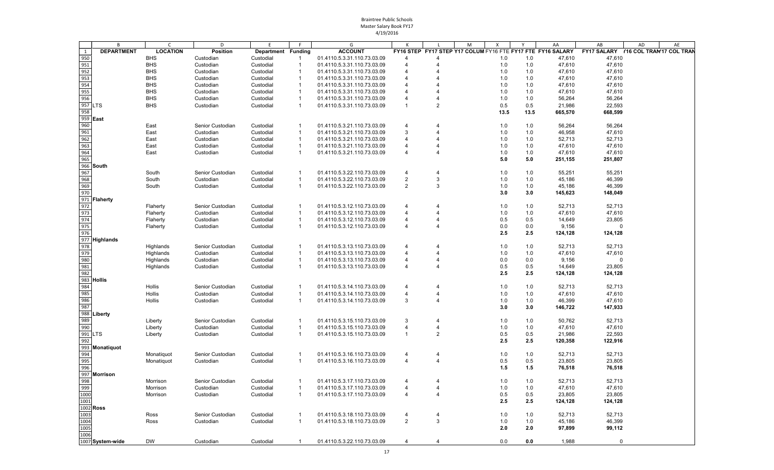|                   | B                 | C               | D                | E                  |                | G                                                          |                |                | M | X    |            | AA                                                          | AB          | AD<br>AE                             |
|-------------------|-------------------|-----------------|------------------|--------------------|----------------|------------------------------------------------------------|----------------|----------------|---|------|------------|-------------------------------------------------------------|-------------|--------------------------------------|
| 1                 | <b>DEPARTMENT</b> | <b>LOCATION</b> | <b>Position</b>  | Department Funding |                | <b>ACCOUNT</b>                                             |                |                |   |      |            | FY16 STEP FY17 STEP Y17 COLUM FY16 FTE FY17 FTE FY16 SALARY |             | FY17 SALARY Y16 COL TRAN'17 COL TRAN |
| 950               |                   | <b>BHS</b>      | Custodian        | Custodial          | 1              | 01.4110.5.3.31.110.73.03.09                                | 4              |                |   | 1.0  | 1.0        | 47,610                                                      | 47,610      |                                      |
| 951               |                   | <b>BHS</b>      | Custodian        | Custodial          | 1              | 01.4110.5.3.31.110.73.03.09                                | $\overline{4}$ |                |   | 1.0  | 1.0        | 47,610                                                      | 47,610      |                                      |
| 952<br>953<br>954 |                   | <b>BHS</b>      | Custodian        | Custodial          | 1              | 01.4110.5.3.31.110.73.03.09                                | 4              |                |   | 1.0  | 1.0        | 47,610                                                      | 47,610      |                                      |
|                   |                   | <b>BHS</b>      | Custodian        | Custodial          | -1             | 01.4110.5.3.31.110.73.03.09                                | 4              |                |   | 1.0  | 1.0        | 47,610                                                      | 47,610      |                                      |
|                   |                   | <b>BHS</b>      | Custodian        | Custodial          | $\mathbf{1}$   | 01.4110.5.3.31.110.73.03.09                                | 4              |                |   | 1.0  | 1.0        | 47,610                                                      | 47,610      |                                      |
| 955               |                   | <b>BHS</b>      | Custodian        | Custodial          | -1             | 01.4110.5.3.31.110.73.03.09                                | 4              |                |   | 1.0  | 1.0        | 47,610                                                      | 47,610      |                                      |
| 956               |                   | <b>BHS</b>      | Custodian        | Custodial          | 1              | 01.4110.5.3.31.110.73.03.09                                |                |                |   | 1.0  | 1.0        | 56,264                                                      | 56,264      |                                      |
| 957 LTS           |                   | <b>BHS</b>      | Custodian        | Custodial          | $\mathbf{1}$   | 01.4110.5.3.31.110.73.03.09                                | $\overline{1}$ | 2              |   | 0.5  | 0.5        | 21,986                                                      | 22,593      |                                      |
| 958               |                   |                 |                  |                    |                |                                                            |                |                |   | 13.5 | 13.5       | 665,570                                                     | 668,599     |                                      |
| 959 East          |                   |                 |                  |                    |                |                                                            |                |                |   |      |            |                                                             |             |                                      |
| 960               |                   | East            | Senior Custodian | Custodial          | -1             | 01.4110.5.3.21.110.73.03.09                                | $\overline{4}$ |                |   | 1.0  | 1.0        | 56,264                                                      | 56,264      |                                      |
| 961               |                   | East            | Custodian        | Custodial          | -1             | 01.4110.5.3.21.110.73.03.09                                | 3              |                |   | 1.0  | 1.0        | 46,958                                                      | 47,610      |                                      |
| 962               |                   | East            | Custodian        | Custodial          | -1             | 01.4110.5.3.21.110.73.03.09                                | 4              |                |   | 1.0  | 1.0        | 52,713                                                      | 52,713      |                                      |
|                   |                   | East            | Custodian        | Custodial          | 1              | 01.4110.5.3.21.110.73.03.09                                | $\overline{4}$ |                |   | 1.0  | 1.0        | 47,610                                                      | 47,610      |                                      |
| 963<br>964        |                   | East            | Custodian        | Custodial          | 1              | 01.4110.5.3.21.110.73.03.09                                | $\overline{4}$ | 4              |   | 1.0  | 1.0        | 47,610                                                      | 47,610      |                                      |
| 965               |                   |                 |                  |                    |                |                                                            |                |                |   | 5.0  | 5.0        | 251,155                                                     | 251,807     |                                      |
|                   | 966 South         |                 |                  |                    |                |                                                            |                |                |   |      |            |                                                             |             |                                      |
| 967               |                   | South           | Senior Custodian | Custodial          | $\mathbf{1}$   | 01.4110.5.3.22.110.73.03.09                                | $\overline{4}$ | 4              |   | 1.0  | 1.0        | 55,251                                                      | 55,251      |                                      |
| 968               |                   |                 |                  | Custodial          | 1              |                                                            | $\overline{2}$ | 3              |   | 1.0  |            | 45,186                                                      | 46,399      |                                      |
| 969               |                   | South           | Custodian        | Custodial          | $\mathbf{1}$   | 01.4110.5.3.22.110.73.03.09<br>01.4110.5.3.22.110.73.03.09 | $\overline{2}$ | 3              |   | 1.0  | 1.0<br>1.0 | 45,186                                                      | 46,399      |                                      |
| 970               |                   | South           | Custodian        |                    |                |                                                            |                |                |   | 3.0  | 3.0        | 145,623                                                     |             |                                      |
|                   |                   |                 |                  |                    |                |                                                            |                |                |   |      |            |                                                             | 148,049     |                                      |
|                   | 971 Flaherty      |                 |                  |                    |                | 01.4110.5.3.12.110.73.03.09                                |                |                |   |      |            |                                                             |             |                                      |
| 972               |                   | Flaherty        | Senior Custodian | Custodial          | -1             |                                                            | 4              |                |   | 1.0  | 1.0        | 52,713                                                      | 52,713      |                                      |
| 973               |                   | Flaherty        | Custodian        | Custodial          | $\mathbf{1}$   | 01.4110.5.3.12.110.73.03.09                                | $\overline{4}$ |                |   | 1.0  | 1.0        | 47,610                                                      | 47,610      |                                      |
| 974               |                   | Flaherty        | Custodian        | Custodial          | -1             | 01.4110.5.3.12.110.73.03.09                                | $\overline{4}$ |                |   | 0.5  | 0.5        | 14,649                                                      | 23,805      |                                      |
| 975               |                   | Flaherty        | Custodian        | Custodial          | $\mathbf 1$    | 01.4110.5.3.12.110.73.03.09                                | $\overline{4}$ |                |   | 0.0  | 0.0        | 9,156                                                       | $\Omega$    |                                      |
| 976               |                   |                 |                  |                    |                |                                                            |                |                |   | 2.5  | 2.5        | 124,128                                                     | 124,128     |                                      |
|                   | 977 Highlands     |                 |                  |                    |                |                                                            |                |                |   |      |            |                                                             |             |                                      |
| 978               |                   | Highlands       | Senior Custodian | Custodial          | -1             | 01.4110.5.3.13.110.73.03.09                                | 4              |                |   | 1.0  | 1.0        | 52,713                                                      | 52,713      |                                      |
| 979               |                   | Highlands       | Custodian        | Custodial          | -1             | 01.4110.5.3.13.110.73.03.09                                | $\overline{4}$ |                |   | 1.0  | 1.0        | 47,610                                                      | 47,610      |                                      |
| 980               |                   | Highlands       | Custodian        | Custodial          | $\mathbf{1}$   | 01.4110.5.3.13.110.73.03.09                                | $\overline{4}$ |                |   | 0.0  | 0.0        | 9,156                                                       | $\Omega$    |                                      |
| 981               |                   | Highlands       | Custodian        | Custodial          | $\mathbf{1}$   | 01.4110.5.3.13.110.73.03.09                                | $\overline{4}$ |                |   | 0.5  | 0.5        | 14,649                                                      | 23,805      |                                      |
| 982               |                   |                 |                  |                    |                |                                                            |                |                |   | 2.5  | 2.5        | 124,128                                                     | 124,128     |                                      |
|                   | 983 Hollis        |                 |                  |                    |                |                                                            |                |                |   |      |            |                                                             |             |                                      |
| 984               |                   | Hollis          | Senior Custodian | Custodial          | -1             | 01.4110.5.3.14.110.73.03.09                                | 4              |                |   | 1.0  | 1.0        | 52,713                                                      | 52,713      |                                      |
| 985               |                   | Hollis          | Custodian        | Custodial          | $\mathbf{1}$   | 01.4110.5.3.14.110.73.03.09                                | $\overline{4}$ | 4              |   | 1.0  | 1.0        | 47,610                                                      | 47,610      |                                      |
| 986               |                   | Hollis          | Custodian        | Custodial          | $\mathbf{1}$   | 01.4110.5.3.14.110.73.03.09                                | 3              | 4              |   | 1.0  | 1.0        | 46,399                                                      | 47,610      |                                      |
| 987               |                   |                 |                  |                    |                |                                                            |                |                |   | 3.0  | 3.0        | 146,722                                                     | 147,933     |                                      |
| 988               | Liberty           |                 |                  |                    |                |                                                            |                |                |   |      |            |                                                             |             |                                      |
| 989               |                   | Liberty         | Senior Custodian | Custodial          | $\overline{1}$ | 01.4110.5.3.15.110.73.03.09                                | 3              |                |   | 1.0  | 1.0        | 50,762                                                      | 52,713      |                                      |
| 990               |                   | Liberty         | Custodian        | Custodial          | -1             | 01.4110.5.3.15.110.73.03.09                                | $\overline{4}$ | 4              |   | 1.0  | 1.0        | 47,610                                                      | 47,610      |                                      |
| 991               | LTS               | Liberty         | Custodian        | Custodial          | $\mathbf{1}$   | 01.4110.5.3.15.110.73.03.09                                | $\overline{1}$ | $\overline{2}$ |   | 0.5  | 0.5        | 21,986                                                      | 22,593      |                                      |
| 992               |                   |                 |                  |                    |                |                                                            |                |                |   | 2.5  | 2.5        | 120,358                                                     | 122,916     |                                      |
|                   | 993 Monatiquot    |                 |                  |                    |                |                                                            |                |                |   |      |            |                                                             |             |                                      |
| 994               |                   | Monatiquot      | Senior Custodian | Custodial          | -1             | 01.4110.5.3.16.110.73.03.09                                | 4              | 4              |   | 1.0  | 1.0        | 52,713                                                      | 52,713      |                                      |
| 995               |                   | Monatiquot      | Custodian        | Custodial          | $\mathbf{1}$   | 01.4110.5.3.16.110.73.03.09                                | $\overline{4}$ | $\overline{4}$ |   | 0.5  | 0.5        | 23,805                                                      | 23,805      |                                      |
| 996               |                   |                 |                  |                    |                |                                                            |                |                |   | 1.5  | 1.5        | 76,518                                                      | 76,518      |                                      |
|                   | 997 Morrison      |                 |                  |                    |                |                                                            |                |                |   |      |            |                                                             |             |                                      |
| 998               |                   | Morrison        | Senior Custodian | Custodial          | $\overline{1}$ | 01.4110.5.3.17.110.73.03.09                                | $\overline{4}$ | $\overline{4}$ |   | 1.0  | 1.0        | 52,713                                                      | 52,713      |                                      |
| 999               |                   | Morrison        | Custodian        | Custodial          | -1             | 01.4110.5.3.17.110.73.03.09                                | 4              | 4              |   | 1.0  | 1.0        | 47,610                                                      | 47,610      |                                      |
| 1000              |                   | Morrison        | Custodian        | Custodial          | $\overline{1}$ | 01.4110.5.3.17.110.73.03.09                                | $\overline{4}$ | 4              |   | 0.5  | 0.5        | 23,805                                                      | 23,805      |                                      |
| 1001              |                   |                 |                  |                    |                |                                                            |                |                |   | 2.5  | 2.5        | 124,128                                                     | 124,128     |                                      |
| 1002 Ross         |                   |                 |                  |                    |                |                                                            |                |                |   |      |            |                                                             |             |                                      |
| 1003              |                   | Ross            | Senior Custodian | Custodial          | $\mathbf{1}$   | 01.4110.5.3.18.110.73.03.09                                | 4              | 4              |   | 1.0  | 1.0        | 52,713                                                      | 52,713      |                                      |
| 1004              |                   | Ross            | Custodian        | Custodial          | $\mathbf{1}$   | 01.4110.5.3.18.110.73.03.09                                | $\overline{c}$ | $\mathbf{3}$   |   | 1.0  | 1.0        | 45,186                                                      | 46,399      |                                      |
| 1005              |                   |                 |                  |                    |                |                                                            |                |                |   | 2.0  | 2.0        | 97,899                                                      | 99,112      |                                      |
| 1006              |                   |                 |                  |                    |                |                                                            |                |                |   |      |            |                                                             |             |                                      |
|                   | 1007 System-wide  | DW              | Custodian        | Custodial          | $\overline{1}$ | 01.4110.5.3.22.110.73.03.09                                | 4              | $\overline{4}$ |   | 0.0  | 0.0        | 1,988                                                       | $\mathbf 0$ |                                      |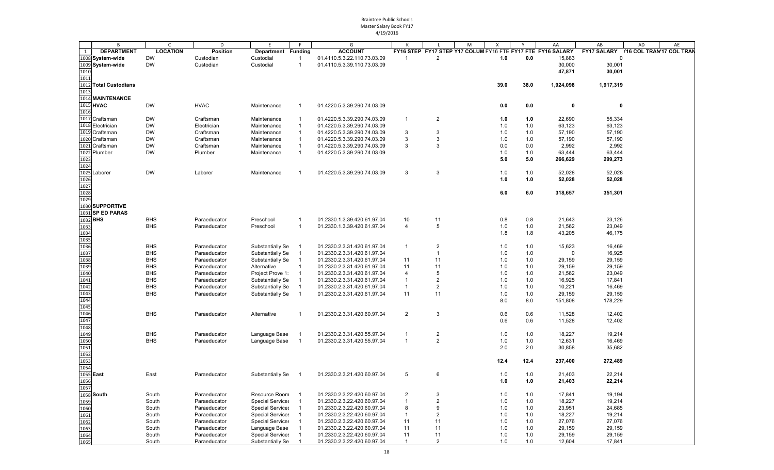|                                                                           | B                     | C               | D               | E                       | F.             | G                           |                |                         | M | X    |       | AA                                                          | AB           | AD<br>AE                             |
|---------------------------------------------------------------------------|-----------------------|-----------------|-----------------|-------------------------|----------------|-----------------------------|----------------|-------------------------|---|------|-------|-------------------------------------------------------------|--------------|--------------------------------------|
| 1                                                                         | <b>DEPARTMENT</b>     | <b>LOCATION</b> | <b>Position</b> | Department Funding      |                | <b>ACCOUNT</b>              |                |                         |   |      |       | FY16 STEP FY17 STEP Y17 COLUM FY16 FTE FY17 FTE FY16 SALARY |              | FY17 SALARY Y16 COL TRAN'17 COL TRAN |
|                                                                           | 1008 System-wide      | <b>DW</b>       | Custodian       | Custodial               | $\overline{1}$ | 01.4110.5.3.22.110.73.03.09 | $\overline{1}$ | $\overline{2}$          |   | 1.0  | 0.0   | 15,883                                                      | $\Omega$     |                                      |
|                                                                           | 1009 System-wide      | <b>DW</b>       | Custodian       | Custodial               | $\overline{1}$ | 01.4110.5.3.39.110.73.03.09 |                |                         |   |      |       | 30,000                                                      | 30,001       |                                      |
| 1010                                                                      |                       |                 |                 |                         |                |                             |                |                         |   |      |       | 47,871                                                      | 30,001       |                                      |
| 1011                                                                      |                       |                 |                 |                         |                |                             |                |                         |   |      |       |                                                             |              |                                      |
|                                                                           | 1012 Total Custodians |                 |                 |                         |                |                             |                |                         |   | 39.0 | 38.0  | 1,924,098                                                   | 1,917,319    |                                      |
| 1013                                                                      |                       |                 |                 |                         |                |                             |                |                         |   |      |       |                                                             |              |                                      |
|                                                                           |                       |                 |                 |                         |                |                             |                |                         |   |      |       |                                                             |              |                                      |
|                                                                           | 1014 MAINTENANCE      |                 |                 |                         |                |                             |                |                         |   |      |       |                                                             |              |                                      |
|                                                                           | 1015 HVAC             | <b>DW</b>       | <b>HVAC</b>     | Maintenance             | -1             | 01.4220.5.3.39.290.74.03.09 |                |                         |   | 0.0  | 0.0   | 0                                                           | $\mathbf{0}$ |                                      |
| 1016                                                                      |                       |                 |                 |                         |                |                             |                |                         |   |      |       |                                                             |              |                                      |
|                                                                           | 1017 Craftsman        | <b>DW</b>       | Craftsman       | Maintenance             | -1             | 01.4220.5.3.39.290.74.03.09 | $\overline{1}$ | $\overline{2}$          |   | 1.0  | 1.0   | 22,690                                                      | 55,334       |                                      |
|                                                                           | 1018 Electrician      | <b>DW</b>       | Electrician     | Maintenance             |                | 01.4220.5.3.39.290.74.03.09 |                |                         |   | 1.0  | 1.0   | 63,123                                                      | 63,123       |                                      |
|                                                                           | 1019 Craftsman        | <b>DW</b>       | Craftsman       | Maintenance             |                | 01.4220.5.3.39.290.74.03.09 | 3              | 3                       |   | 1.0  | 1.0   | 57,190                                                      | 57,190       |                                      |
|                                                                           | 1020 Craftsman        | <b>DW</b>       | Craftsman       | Maintenance             |                | 01.4220.5.3.39.290.74.03.09 | 3              | 3                       |   | 1.0  | 1.0   | 57,190                                                      | 57,190       |                                      |
| 102                                                                       | 1 Craftsman           | <b>DW</b>       | Craftsman       | Maintenance             |                | 01.4220.5.3.39.290.74.03.09 | 3              | 3                       |   | 0.0  | 0.0   | 2,992                                                       | 2,992        |                                      |
|                                                                           | 1022 Plumber          | <b>DW</b>       | Plumber         | Maintenance             | $\mathbf{1}$   | 01.4220.5.3.39.290.74.03.09 |                |                         |   | 1.0  | 1.0   | 63,444                                                      | 63,444       |                                      |
| 1023                                                                      |                       |                 |                 |                         |                |                             |                |                         |   | 5.0  | 5.0   | 266,629                                                     | 299,273      |                                      |
| 1024                                                                      |                       |                 |                 |                         |                |                             |                |                         |   |      |       |                                                             |              |                                      |
| 1025                                                                      | Laborer               | <b>DW</b>       | Laborer         | Maintenance             | -1             | 01.4220.5.3.39.290.74.03.09 | 3              | 3                       |   | 1.0  | 1.0   | 52,028                                                      | 52,028       |                                      |
| 1026                                                                      |                       |                 |                 |                         |                |                             |                |                         |   | 1.0  | 1.0   | 52,028                                                      | 52,028       |                                      |
| 1027                                                                      |                       |                 |                 |                         |                |                             |                |                         |   |      |       |                                                             |              |                                      |
| 1028                                                                      |                       |                 |                 |                         |                |                             |                |                         |   | 6.0  | 6.0   | 318,657                                                     |              |                                      |
|                                                                           |                       |                 |                 |                         |                |                             |                |                         |   |      |       |                                                             | 351,301      |                                      |
| 1029                                                                      |                       |                 |                 |                         |                |                             |                |                         |   |      |       |                                                             |              |                                      |
|                                                                           | 1030 SUPPORTIVE       |                 |                 |                         |                |                             |                |                         |   |      |       |                                                             |              |                                      |
|                                                                           | 1031 SP ED PARAS      |                 |                 |                         |                |                             |                |                         |   |      |       |                                                             |              |                                      |
| 1032 <b>BHS</b>                                                           |                       | <b>BHS</b>      | Paraeducator    | Preschool               | -1             | 01.2330.1.3.39.420.61.97.04 | 10             | 11                      |   | 0.8  | 0.8   | 21,643                                                      | 23,126       |                                      |
| 1033                                                                      |                       | <b>BHS</b>      | Paraeducator    | Preschool               | $\overline{1}$ | 01.2330.1.3.39.420.61.97.04 | $\overline{4}$ | 5                       |   | 1.0  | 1.0   | 21,562                                                      | 23,049       |                                      |
| 1034                                                                      |                       |                 |                 |                         |                |                             |                |                         |   | 1.8  | 1.8   | 43,205                                                      | 46,175       |                                      |
| 1035                                                                      |                       |                 |                 |                         |                |                             |                |                         |   |      |       |                                                             |              |                                      |
| 1036                                                                      |                       | <b>BHS</b>      | Paraeducator    | Substantially Se        |                | 01.2330.2.3.31.420.61.97.04 | $\overline{1}$ | $\overline{2}$          |   | 1.0  | 1.0   | 15,623                                                      | 16,469       |                                      |
| 1037                                                                      |                       | <b>BHS</b>      | Paraeducator    | Substantially Se        |                | 01.2330.2.3.31.420.61.97.04 |                | $\mathbf{1}$            |   | 1.0  | 1.0   | $\Omega$                                                    | 16,925       |                                      |
| 1038                                                                      |                       | <b>BHS</b>      | Paraeducator    | Substantially Se        | $\overline{1}$ | 01.2330.2.3.31.420.61.97.04 | 11             | 11                      |   | 1.0  | 1.0   | 29,159                                                      | 29,159       |                                      |
|                                                                           |                       | <b>BHS</b>      | Paraeducator    | Alternative             | $\overline{1}$ | 01.2330.2.3.31.420.61.97.04 | 11             | 11                      |   | 1.0  | 1.0   | 29,159                                                      | 29,159       |                                      |
| 1039<br>1040                                                              |                       | <b>BHS</b>      | Paraeducator    | Project Prove 1:        | $\overline{1}$ | 01.2330.2.3.31.420.61.97.04 | $\overline{4}$ | 5                       |   | 1.0  | 1.0   | 21,562                                                      | 23,049       |                                      |
| 1041                                                                      |                       | <b>BHS</b>      | Paraeducator    | Substantially Se        |                | 01.2330.2.3.31.420.61.97.04 | $\overline{1}$ | $\overline{2}$          |   | 1.0  | 1.0   | 16,925                                                      | 17,841       |                                      |
|                                                                           |                       | <b>BHS</b>      | Paraeducator    | Substantially Se        |                | 01.2330.2.3.31.420.61.97.04 | $\overline{1}$ | $\overline{2}$          |   | 1.0  | 1.0   | 10,221                                                      | 16,469       |                                      |
|                                                                           |                       | <b>BHS</b>      |                 |                         | $\overline{1}$ |                             |                |                         |   |      |       |                                                             |              |                                      |
| 1042<br>1043<br>1044                                                      |                       |                 | Paraeducator    | Substantially Se        |                | 01.2330.2.3.31.420.61.97.04 | 11             | 11                      |   | 1.0  | 1.0   | 29,159                                                      | 29,159       |                                      |
|                                                                           |                       |                 |                 |                         |                |                             |                |                         |   | 8.0  | 8.0   | 151,808                                                     | 178,229      |                                      |
| 1045                                                                      |                       |                 |                 |                         |                |                             |                |                         |   |      |       |                                                             |              |                                      |
| 1046                                                                      |                       | <b>BHS</b>      | Paraeducator    | Alternative             |                | 01.2330.2.3.31.420.60.97.04 | $\overline{2}$ | 3                       |   | 0.6  | 0.6   | 11,528                                                      | 12,402       |                                      |
| 1047                                                                      |                       |                 |                 |                         |                |                             |                |                         |   | 0.6  | 0.6   | 11,528                                                      | 12,402       |                                      |
| 1048<br>1049<br>1050<br>1051                                              |                       |                 |                 |                         |                |                             |                |                         |   |      |       |                                                             |              |                                      |
|                                                                           |                       | <b>BHS</b>      | Paraeducator    | Language Base           |                | 01.2330.2.3.31.420.55.97.04 | -1             | $\overline{2}$          |   | 1.0  | 1.0   | 18,227                                                      | 19,214       |                                      |
|                                                                           |                       | <b>BHS</b>      | Paraeducator    | Language Base           |                | 01.2330.2.3.31.420.55.97.04 | $\overline{1}$ | $\overline{2}$          |   | 1.0  | 1.0   | 12,631                                                      | 16,469       |                                      |
|                                                                           |                       |                 |                 |                         |                |                             |                |                         |   | 2.0  | 2.0   | 30,858                                                      | 35,682       |                                      |
|                                                                           |                       |                 |                 |                         |                |                             |                |                         |   |      |       |                                                             |              |                                      |
|                                                                           |                       |                 |                 |                         |                |                             |                |                         |   | 12.4 | 12.4  | 237,400                                                     | 272,489      |                                      |
| $\begin{array}{r}\n 1052 \\ \hline\n 1053 \\ \hline\n 1054\n \end{array}$ |                       |                 |                 |                         |                |                             |                |                         |   |      |       |                                                             |              |                                      |
| 1055 <b>East</b>                                                          |                       | East            | Paraeducator    | Substantially Se        |                | 01.2330.2.3.21.420.60.97.04 | 5              | 6                       |   | 1.0  | 1.0   | 21,403                                                      | 22,214       |                                      |
| 1056                                                                      |                       |                 |                 |                         |                |                             |                |                         |   | 1.0  | 1.0   | 21,403                                                      | 22,214       |                                      |
| 1057                                                                      |                       |                 |                 |                         |                |                             |                |                         |   |      |       |                                                             |              |                                      |
|                                                                           | 1058 South            | South           | Paraeducator    | Resource Room 1         |                | 01.2330.2.3.22.420.60.97.04 | $\overline{2}$ | 3                       |   | 1.0  | 1.0   | 17,841                                                      | 19,194       |                                      |
| 1059                                                                      |                       | South           |                 | <b>Special Services</b> |                | 01.2330.2.3.22.420.60.97.04 | $\mathbf{1}$   | $\mathbf 2$             |   | 1.0  | $1.0$ | 18,227                                                      | 19,214       |                                      |
|                                                                           |                       |                 | Paraeducator    |                         |                |                             |                |                         |   |      |       |                                                             |              |                                      |
| 1060                                                                      |                       | South           | Paraeducator    | <b>Special Services</b> |                | 01.2330.2.3.22.420.60.97.04 | 8              | 9                       |   | 1.0  | 1.0   | 23,951                                                      | 24,685       |                                      |
| 1061<br>1062<br>1063                                                      |                       | South           | Paraeducator    | <b>Special Services</b> |                | 01.2330.2.3.22.420.60.97.04 | - 1            | $\overline{\mathbf{c}}$ |   | 1.0  | 1.0   | 18,227                                                      | 19,214       |                                      |
|                                                                           |                       | South           | Paraeducator    | <b>Special Services</b> |                | 01.2330.2.3.22.420.60.97.04 | 11             | 11                      |   | 1.0  | 1.0   | 27,076                                                      | 27,076       |                                      |
|                                                                           |                       | South           | Paraeducator    | Language Base           |                | 01.2330.2.3.22.420.60.97.04 | 11             | 11                      |   | 1.0  | 1.0   | 29,159                                                      | 29,159       |                                      |
| 1064                                                                      |                       | South           | Paraeducator    | <b>Special Services</b> |                | 01.2330.2.3.22.420.60.97.04 | 11             | 11                      |   | 1.0  | 1.0   | 29,159                                                      | 29,159       |                                      |
| 1065                                                                      |                       | South           | Paraeducator    | Substantially Se        |                | 01.2330.2.3.22.420.60.97.04 | $\overline{1}$ | 2                       |   | 1.0  | 1.0   | 12,604                                                      | 17,841       |                                      |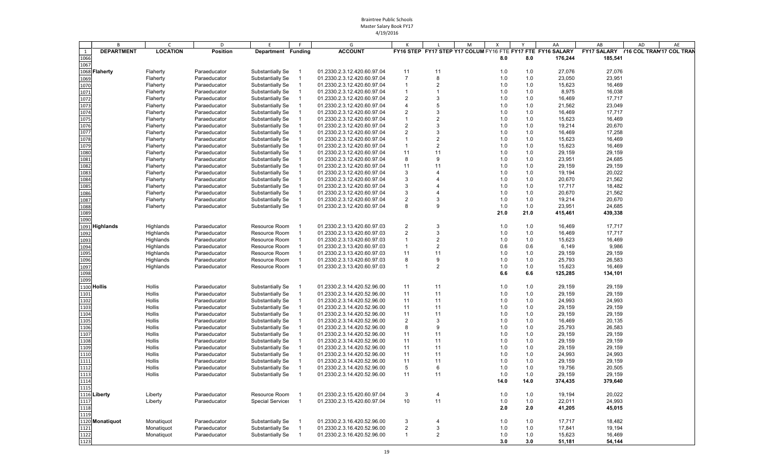|             | B                 | C               | D               | E                  |                            | G                           |                |                         | M | X    |      | AA                                                          | AB      | AD | AE |
|-------------|-------------------|-----------------|-----------------|--------------------|----------------------------|-----------------------------|----------------|-------------------------|---|------|------|-------------------------------------------------------------|---------|----|----|
| 1           | <b>DEPARTMENT</b> | <b>LOCATION</b> | <b>Position</b> | Department Funding |                            | <b>ACCOUNT</b>              |                |                         |   |      |      | FY16 STEP FY17 STEP Y17 COLUM FY16 FTE FY17 FTE FY16 SALARY |         |    |    |
| 1066        |                   |                 |                 |                    |                            |                             |                |                         |   | 8.0  | 8.0  | 176,244                                                     | 185,541 |    |    |
| 1067        |                   |                 |                 |                    |                            |                             |                |                         |   |      |      |                                                             |         |    |    |
|             | 1068 Flaherty     | Flaherty        | Paraeducator    | Substantially Se   |                            | 01.2330.2.3.12.420.60.97.04 | 11             | 11                      |   | 1.0  | 1.0  | 27,076                                                      | 27,076  |    |    |
| 1069        |                   | Flaherty        | Paraeducator    | Substantially Se   |                            | 01.2330.2.3.12.420.60.97.04 | $\overline{7}$ | 8                       |   | 1.0  | 1.0  | 23,050                                                      | 23,951  |    |    |
| 1070        |                   | Flaherty        | Paraeducator    | Substantially Se   |                            | 01.2330.2.3.12.420.60.97.04 | $\overline{1}$ | $\overline{2}$          |   | 1.0  | 1.0  | 15,623                                                      | 16,469  |    |    |
| 1071        |                   | Flaherty        | Paraeducator    | Substantially Se   |                            | 01.2330.2.3.12.420.60.97.04 | -1             | 1                       |   | 1.0  | 1.0  | 8,975                                                       | 16,038  |    |    |
| 1072        |                   | Flaherty        | Paraeducator    | Substantially Se   |                            | 01.2330.2.3.12.420.60.97.04 | $\overline{2}$ | 3                       |   | 1.0  | 1.0  | 16,469                                                      | 17,717  |    |    |
| 1073        |                   | Flaherty        | Paraeducator    | Substantially Se   |                            | 01.2330.2.3.12.420.60.97.04 | $\overline{4}$ | 5                       |   | 1.0  | 1.0  | 21,562                                                      | 23,049  |    |    |
| 1074        |                   | Flaherty        | Paraeducator    | Substantially Se   |                            | 01.2330.2.3.12.420.60.97.04 | $\overline{2}$ | 3                       |   | 1.0  | 1.0  | 16,469                                                      | 17,717  |    |    |
| 1075        |                   | Flaherty        | Paraeducator    | Substantially Se   |                            | 01.2330.2.3.12.420.60.97.04 | $\overline{1}$ | $\overline{\mathbf{c}}$ |   | 1.0  | 1.0  | 15,623                                                      | 16,469  |    |    |
| 1076        |                   | Flaherty        | Paraeducator    | Substantially Se   |                            | 01.2330.2.3.12.420.60.97.04 | $\overline{2}$ | 3                       |   | 1.0  | 1.0  | 19,214                                                      | 20,670  |    |    |
| 1077        |                   | Flaherty        | Paraeducator    | Substantially Se   |                            | 01.2330.2.3.12.420.60.97.04 | $\overline{2}$ | 3                       |   | 1.0  | 1.0  | 16,469                                                      | 17,258  |    |    |
| 1078        |                   | Flaherty        | Paraeducator    | Substantially Se   |                            | 01.2330.2.3.12.420.60.97.04 | $\overline{1}$ | $\overline{2}$          |   | 1.0  | 1.0  | 15,623                                                      | 16,469  |    |    |
| 1079        |                   | Flaherty        | Paraeducator    | Substantially Se   |                            | 01.2330.2.3.12.420.60.97.04 | $\overline{1}$ | $\overline{2}$          |   | 1.0  | 1.0  | 15,623                                                      | 16,469  |    |    |
| 1080        |                   | Flaherty        | Paraeducator    | Substantially Se   |                            | 01.2330.2.3.12.420.60.97.04 | 11             | 11                      |   | 1.0  | 1.0  | 29,159                                                      | 29,159  |    |    |
| 1081        |                   | Flaherty        | Paraeducator    | Substantially Se   |                            | 01.2330.2.3.12.420.60.97.04 | 8              | 9                       |   | 1.0  | 1.0  | 23,951                                                      | 24,685  |    |    |
| 1082        |                   | Flaherty        | Paraeducator    | Substantially Se   |                            | 01.2330.2.3.12.420.60.97.04 | 11             | 11                      |   | 1.0  | 1.0  | 29,159                                                      | 29,159  |    |    |
| 1083        |                   | Flaherty        | Paraeducator    | Substantially Se   | -1                         | 01.2330.2.3.12.420.60.97.04 | 3              | 4                       |   | 1.0  | 1.0  | 19,194                                                      | 20,022  |    |    |
| 1084        |                   | Flaherty        | Paraeducator    | Substantially Se   |                            | 01.2330.2.3.12.420.60.97.04 | 3              |                         |   | 1.0  | 1.0  | 20,670                                                      | 21,562  |    |    |
| 1085        |                   | Flaherty        | Paraeducator    | Substantially Se   |                            | 01.2330.2.3.12.420.60.97.04 | 3              |                         |   | 1.0  | 1.0  | 17,717                                                      | 18,482  |    |    |
| 1086        |                   | Flaherty        | Paraeducator    | Substantially Se   |                            | 01.2330.2.3.12.420.60.97.04 | 3              | 4                       |   | 1.0  | 1.0  | 20,670                                                      | 21,562  |    |    |
| 1087        |                   | Flaherty        | Paraeducator    | Substantially Se   | - 1                        | 01.2330.2.3.12.420.60.97.04 | $\overline{2}$ | 3                       |   | 1.0  | 1.0  | 19,214                                                      | 20,670  |    |    |
| 1088        |                   | Flaherty        | Paraeducator    | Substantially Se   |                            | 01.2330.2.3.12.420.60.97.04 | 8              | 9                       |   | 1.0  | 1.0  | 23,951                                                      | 24,685  |    |    |
| 1089        |                   |                 |                 |                    |                            |                             |                |                         |   | 21.0 | 21.0 | 415,461                                                     | 439,338 |    |    |
| 1090        |                   |                 |                 |                    |                            |                             |                |                         |   |      |      |                                                             |         |    |    |
|             | 1091 Highlands    | Highlands       | Paraeducator    | Resource Room      |                            | 01.2330.2.3.13.420.60.97.03 | $\overline{2}$ | 3                       |   | 1.0  | 1.0  | 16,469                                                      | 17,717  |    |    |
| 1092        |                   | Highlands       | Paraeducator    | Resource Room      |                            | 01.2330.2.3.13.420.60.97.03 | $\overline{2}$ | 3                       |   | 1.0  | 1.0  | 16,469                                                      | 17,717  |    |    |
| 1093        |                   | Highlands       | Paraeducator    | Resource Room      |                            | 01.2330.2.3.13.420.60.97.03 | $\overline{1}$ | $\overline{\mathbf{c}}$ |   | 1.0  | 1.0  | 15,623                                                      | 16,469  |    |    |
| 1094        |                   | Highlands       | Paraeducator    | Resource Room      |                            | 01.2330.2.3.13.420.60.97.03 | $\overline{1}$ | $\overline{2}$          |   | 0.6  | 0.6  | 6,149                                                       | 9,986   |    |    |
| 1095        |                   | Highlands       | Paraeducator    | Resource Room      |                            | 01.2330.2.3.13.420.60.97.03 | 11             | 11                      |   | 1.0  | 1.0  | 29,159                                                      | 29,159  |    |    |
| 1096        |                   | Highlands       | Paraeducator    | Resource Room      |                            | 01.2330.2.3.13.420.60.97.03 | 8              | 9                       |   | 1.0  | 1.0  | 25,793                                                      | 26,583  |    |    |
| 1097        |                   | Highlands       | Paraeducator    | Resource Room      |                            | 01.2330.2.3.13.420.60.97.03 | $\overline{1}$ | $\overline{2}$          |   | 1.0  | 1.0  | 15,623                                                      | 16,469  |    |    |
| 1098        |                   |                 |                 |                    |                            |                             |                |                         |   | 6.6  | 6.6  | 125,285                                                     | 134,101 |    |    |
| 1099        |                   |                 |                 |                    |                            |                             |                |                         |   |      |      |                                                             |         |    |    |
| 1100 Hollis |                   | Hollis          | Paraeducator    | Substantially Se   | - 1                        | 01.2330.2.3.14.420.52.96.00 | 11             | 11                      |   | 1.0  | 1.0  | 29,159                                                      | 29,159  |    |    |
| 1101        |                   | Hollis          | Paraeducator    | Substantially Se   | $\overline{1}$             | 01.2330.2.3.14.420.52.96.00 | 11             | 11                      |   | 1.0  | 1.0  | 29,159                                                      | 29,159  |    |    |
| 1102        |                   | Hollis          | Paraeducator    | Substantially Se   | $\overline{\phantom{0}}$ 1 | 01.2330.2.3.14.420.52.96.00 | 11             | 11                      |   | 1.0  | 1.0  | 24,993                                                      | 24,993  |    |    |
| 1103        |                   | Hollis          | Paraeducator    | Substantially Se   | - 1                        | 01.2330.2.3.14.420.52.96.00 | 11             | 11                      |   | 1.0  | 1.0  | 29,159                                                      | 29,159  |    |    |
| 1104        |                   | Hollis          | Paraeducator    | Substantially Se   | - 1                        | 01.2330.2.3.14.420.52.96.00 | 11             | 11                      |   | 1.0  | 1.0  | 29,159                                                      | 29,159  |    |    |
| 1105        |                   | Hollis          | Paraeducator    | Substantially Se   | -1                         | 01.2330.2.3.14.420.52.96.00 | $\overline{2}$ | 3                       |   | 1.0  | 1.0  | 16,469                                                      | 20,135  |    |    |
| 1106        |                   | Hollis          | Paraeducator    | Substantially Se   | -1                         | 01.2330.2.3.14.420.52.96.00 | 8              | 9                       |   | 1.0  | 1.0  | 25,793                                                      | 26,583  |    |    |
| 1107        |                   | Hollis          | Paraeducator    | Substantially Se   | $\overline{1}$             | 01.2330.2.3.14.420.52.96.00 | 11             | 11                      |   | 1.0  | 1.0  | 29,159                                                      | 29,159  |    |    |
| 1108        |                   | Hollis          | Paraeducator    | Substantially Se   |                            | 01.2330.2.3.14.420.52.96.00 | 11             | 11                      |   | 1.0  | 1.0  | 29,159                                                      | 29,159  |    |    |
| 1109        |                   | Hollis          | Paraeducator    | Substantially Se   | $\overline{1}$             | 01.2330.2.3.14.420.52.96.00 | 11             | 11                      |   | 1.0  | 1.0  | 29,159                                                      | 29,159  |    |    |
| 1110        |                   | Hollis          | Paraeducator    | Substantially Se   |                            | 01.2330.2.3.14.420.52.96.00 | 11             | 11                      |   | 1.0  | 1.0  | 24,993                                                      | 24,993  |    |    |
| 1111        |                   | Hollis          | Paraeducator    | Substantially Se   | $\overline{1}$             | 01.2330.2.3.14.420.52.96.00 | 11             | 11                      |   | 1.0  | 1.0  | 29,159                                                      | 29,159  |    |    |
| 1112        |                   | Hollis          | Paraeducator    | Substantially Se   |                            | 01.2330.2.3.14.420.52.96.00 | 5              | 6                       |   | 1.0  | 1.0  | 19,756                                                      | 20,505  |    |    |
| 1113        |                   | Hollis          | Paraeducator    | Substantially Se   | $\overline{\phantom{0}}$ 1 | 01.2330.2.3.14.420.52.96.00 | 11             | 11                      |   | 1.0  | 1.0  | 29,159                                                      | 29,159  |    |    |
| 1114        |                   |                 |                 |                    |                            |                             |                |                         |   | 14.0 | 14.0 | 374,435                                                     | 379,640 |    |    |
| 1115        |                   |                 |                 |                    |                            |                             |                |                         |   |      |      |                                                             |         |    |    |
|             | 1116 Liberty      | Liberty         | Paraeducator    | Resource Room 1    |                            | 01.2330.2.3.15.420.60.97.04 | 3              | 4                       |   | 1.0  | 1.0  | 19,194                                                      | 20,022  |    |    |
| 1117        |                   | Liberty         | Paraeducator    | Special Services 1 |                            | 01.2330.2.3.15.420.60.97.04 | 10             | 11                      |   | 1.0  | 1.0  | 22,011                                                      | 24,993  |    |    |
| 1118        |                   |                 |                 |                    |                            |                             |                |                         |   | 2.0  | 2.0  | 41,205                                                      | 45,015  |    |    |
| 1119        |                   |                 |                 |                    |                            |                             |                |                         |   |      |      |                                                             |         |    |    |
|             | 1120 Monatiquot   | Monatiquot      | Paraeducator    | Substantially Se   | - 1                        | 01.2330.2.3.16.420.52.96.00 | 3              | $\overline{4}$          |   | 1.0  | 1.0  | 17,717                                                      | 18,482  |    |    |
| 1121        |                   | Monatiquot      | Paraeducator    | Substantially Se   |                            | 01.2330.2.3.16.420.52.96.00 | $\overline{c}$ | 3                       |   | 1.0  | 1.0  | 17,841                                                      | 19,194  |    |    |
| 1122        |                   | Monatiquot      | Paraeducator    | Substantially Se   | -1                         | 01.2330.2.3.16.420.52.96.00 | $\overline{1}$ | $\overline{2}$          |   | 1.0  | 1.0  | 15,623                                                      | 16,469  |    |    |
| 1123        |                   |                 |                 |                    |                            |                             |                |                         |   | 3.0  | 3.0  | 51,181                                                      | 54,144  |    |    |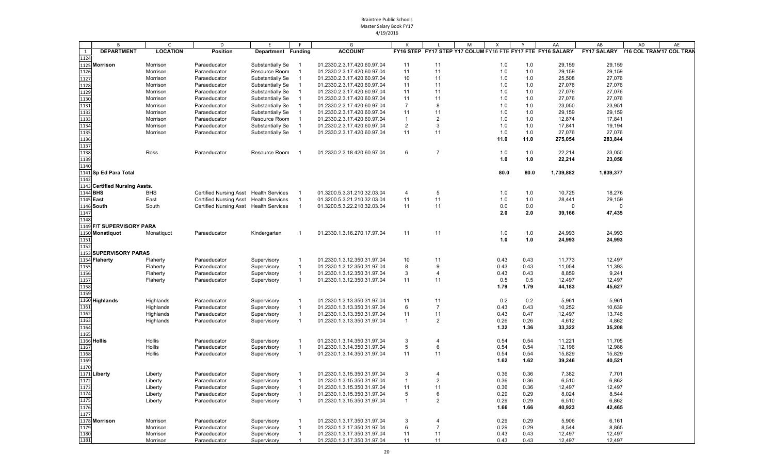|                 | В                             | C               | D                                      | E                  | F.             | G                           | К              |                | M<br>Χ                                                      | Y    | AA          | AB        | AE<br>AD                            |
|-----------------|-------------------------------|-----------------|----------------------------------------|--------------------|----------------|-----------------------------|----------------|----------------|-------------------------------------------------------------|------|-------------|-----------|-------------------------------------|
| 1               | <b>DEPARTMENT</b>             | <b>LOCATION</b> | <b>Position</b>                        | Department Funding |                | <b>ACCOUNT</b>              |                |                | FY16 STEP FY17 STEP Y17 COLUM FY16 FTE FY17 FTE FY16 SALARY |      |             |           | FY17 SALARY Y16 COL TRAM17 COL TRAM |
| 1124            |                               |                 |                                        |                    |                |                             |                |                |                                                             |      |             |           |                                     |
|                 |                               |                 |                                        |                    |                |                             |                |                |                                                             |      |             |           |                                     |
|                 | 1125 Morrison                 | Morrison        | Paraeducator                           | Substantially Se   |                | 01.2330.2.3.17.420.60.97.04 | 11             | 11             | 1.0                                                         | 1.0  | 29,159      | 29,159    |                                     |
| 1126            |                               | Morrison        | Paraeducator                           | Resource Room      | $\overline{1}$ | 01.2330.2.3.17.420.60.97.04 | 11             | 11             | 1.0                                                         | 1.0  | 29,159      | 29,159    |                                     |
| 1127            |                               | Morrison        | Paraeducator                           | Substantially Se   | - 1            | 01.2330.2.3.17.420.60.97.04 | 10             | 11             | 1.0                                                         | 1.0  | 25,508      | 27,076    |                                     |
| 1128            |                               | Morrison        | Paraeducator                           | Substantially Se   | $\overline{1}$ | 01.2330.2.3.17.420.60.97.04 | 11             | 11             | 1.0                                                         | 1.0  | 27,076      | 27,076    |                                     |
| 1129            |                               | Morrison        | Paraeducator                           | Substantially Se   | -1             | 01.2330.2.3.17.420.60.97.04 | 11             | 11             | 1.0                                                         | 1.0  | 27,076      | 27,076    |                                     |
| 1130            |                               | Morrison        | Paraeducator                           | Substantially Se   | $\overline{1}$ | 01.2330.2.3.17.420.60.97.04 | 11             | 11             | 1.0                                                         | 1.0  | 27,076      | 27,076    |                                     |
| 1131            |                               | Morrison        | Paraeducator                           | Substantially Se   | -1             | 01.2330.2.3.17.420.60.97.04 | $\overline{7}$ | 8              | 1.0                                                         | 1.0  | 23,050      | 23,951    |                                     |
|                 |                               |                 |                                        |                    | $\overline{1}$ |                             | 11             | 11             | 1.0                                                         |      | 29,159      | 29,159    |                                     |
| 1132            |                               | Morrison        | Paraeducator                           | Substantially Se   |                | 01.2330.2.3.17.420.60.97.04 |                |                |                                                             | 1.0  |             |           |                                     |
| 1133            |                               | Morrison        | Paraeducator                           | Resource Room      |                | 01.2330.2.3.17.420.60.97.04 | $\overline{1}$ | $\overline{2}$ | 1.0                                                         | 1.0  | 12,874      | 17,841    |                                     |
| 1134            |                               | Morrison        | Paraeducator                           | Substantially Se   | -1             | 01.2330.2.3.17.420.60.97.04 | $\overline{2}$ | 3              | 1.0                                                         | 1.0  | 17,841      | 19,194    |                                     |
| 1135            |                               | Morrison        | Paraeducator                           | Substantially Se   | $\overline{1}$ | 01.2330.2.3.17.420.60.97.04 | 11             | 11             | 1.0                                                         | 1.0  | 27,076      | 27,076    |                                     |
| 1136            |                               |                 |                                        |                    |                |                             |                |                | 11.0                                                        | 11.0 | 275,054     | 283,844   |                                     |
| 1137            |                               |                 |                                        |                    |                |                             |                |                |                                                             |      |             |           |                                     |
| 1138            |                               | Ross            | Paraeducator                           | Resource Room      | - 1            | 01.2330.2.3.18.420.60.97.04 | 6              | $\overline{7}$ | 1.0                                                         | 1.0  | 22,214      | 23,050    |                                     |
| 1139            |                               |                 |                                        |                    |                |                             |                |                | 1.0                                                         | 1.0  | 22,214      | 23,050    |                                     |
|                 |                               |                 |                                        |                    |                |                             |                |                |                                                             |      |             |           |                                     |
| 1140            |                               |                 |                                        |                    |                |                             |                |                |                                                             |      |             |           |                                     |
|                 | 1141 Sp Ed Para Total         |                 |                                        |                    |                |                             |                |                | 80.0                                                        | 80.0 | 1,739,882   | 1,839,377 |                                     |
| 1142            |                               |                 |                                        |                    |                |                             |                |                |                                                             |      |             |           |                                     |
|                 | 1143 Certified Nursing Assts. |                 |                                        |                    |                |                             |                |                |                                                             |      |             |           |                                     |
| 1144 <b>BHS</b> |                               | <b>BHS</b>      | Certified Nursing Asst Health Services |                    |                | 01.3200.5.3.31.210.32.03.04 | $\overline{4}$ | 5              | 1.0                                                         | 1.0  | 10,725      | 18,276    |                                     |
| 1145 East       |                               | East            | Certified Nursing Asst Health Services |                    | $\overline{1}$ | 01.3200.5.3.21.210.32.03.04 | 11             | 11             | 1.0                                                         | 1.0  | 28,441      | 29,159    |                                     |
|                 | 1146 South                    | South           | Certified Nursing Asst Health Services |                    | $\overline{1}$ | 01.3200.5.3.22.210.32.03.04 | 11             | 11             | 0.0                                                         | 0.0  | $\mathbf 0$ | $\Omega$  |                                     |
|                 |                               |                 |                                        |                    |                |                             |                |                |                                                             |      |             |           |                                     |
| 1147            |                               |                 |                                        |                    |                |                             |                |                | 2.0                                                         | 2.0  | 39,166      | 47,435    |                                     |
| 1148            |                               |                 |                                        |                    |                |                             |                |                |                                                             |      |             |           |                                     |
|                 | 1149 F/T SUPERVISORY PARA     |                 |                                        |                    |                |                             |                |                |                                                             |      |             |           |                                     |
|                 | 1150 Monatiquot               | Monatiquot      | Paraeducator                           | Kindergarten       | -1             | 01.2330.1.3.16.270.17.97.04 | 11             | 11             | 1.0                                                         | 1.0  | 24,993      | 24,993    |                                     |
| 1151            |                               |                 |                                        |                    |                |                             |                |                | 1.0                                                         | 1.0  | 24,993      | 24,993    |                                     |
| 1152            |                               |                 |                                        |                    |                |                             |                |                |                                                             |      |             |           |                                     |
|                 | 1153 SUPERVISORY PARAS        |                 |                                        |                    |                |                             |                |                |                                                             |      |             |           |                                     |
|                 |                               |                 |                                        | Supervisory        |                | 01.2330.1.3.12.350.31.97.04 |                |                |                                                             | 0.43 |             |           |                                     |
|                 | 1154 Flaherty                 | Flaherty        | Paraeducator                           |                    | -1             |                             | 10             | 11             | 0.43                                                        |      | 11,773      | 12,497    |                                     |
| 1155            |                               | Flaherty        | Paraeducator                           | Supervisory        | $\mathbf{1}$   | 01.2330.1.3.12.350.31.97.04 | 8              | 9              | 0.43                                                        | 0.43 | 11,054      | 11,393    |                                     |
| 1156            |                               | Flaherty        | Paraeducator                           | Supervisory        | $\overline{1}$ | 01.2330.1.3.12.350.31.97.04 | 3              | $\overline{4}$ | 0.43                                                        | 0.43 | 8,859       | 9,241     |                                     |
| 1157            |                               | Flaherty        | Paraeducator                           | Supervisory        | $\overline{1}$ | 01.2330.1.3.12.350.31.97.04 | 11             | 11             | 0.5                                                         | 0.5  | 12,497      | 12,497    |                                     |
| 1158            |                               |                 |                                        |                    |                |                             |                |                | 1.79                                                        | 1.79 | 44,183      | 45,627    |                                     |
| 1159            |                               |                 |                                        |                    |                |                             |                |                |                                                             |      |             |           |                                     |
|                 | 1160 Highlands                | Highlands       | Paraeducator                           | Supervisory        | $\mathbf{1}$   | 01.2330.1.3.13.350.31.97.04 | 11             | 11             | 0.2                                                         | 0.2  | 5,961       | 5,961     |                                     |
| 1161            |                               | Highlands       | Paraeducator                           | Supervisory        | $\overline{1}$ | 01.2330.1.3.13.350.31.97.04 | 6              | $\overline{7}$ | 0.43                                                        | 0.43 | 10,252      | 10,639    |                                     |
|                 |                               |                 |                                        |                    |                |                             |                |                |                                                             |      |             |           |                                     |
| 1162            |                               | Highlands       | Paraeducator                           | Supervisory        | $\overline{1}$ | 01.2330.1.3.13.350.31.97.04 | 11             | 11             | 0.43                                                        | 0.47 | 12,497      | 13,746    |                                     |
| 1163            |                               | Highlands       | Paraeducator                           | Supervisory        | $\mathbf 1$    | 01.2330.1.3.13.350.31.97.04 | $\overline{1}$ | $\overline{2}$ | 0.26                                                        | 0.26 | 4,612       | 4,862     |                                     |
| 1164            |                               |                 |                                        |                    |                |                             |                |                | 1.32                                                        | 1.36 | 33,322      | 35,208    |                                     |
| 1165            |                               |                 |                                        |                    |                |                             |                |                |                                                             |      |             |           |                                     |
|                 | 1166 Hollis                   | Hollis          | Paraeducator                           | Supervisory        | $\mathbf{1}$   | 01.2330.1.3.14.350.31.97.04 | 3              | $\overline{4}$ | 0.54                                                        | 0.54 | 11,221      | 11,705    |                                     |
| 1167            |                               | Hollis          | Paraeducator                           | Supervisory        | $\mathbf{1}$   | 01.2330.1.3.14.350.31.97.04 | 5              | 6              | 0.54                                                        | 0.54 | 12,196      | 12,986    |                                     |
| 1168            |                               | Hollis          | Paraeducator                           | Supervisory        | $\overline{1}$ | 01.2330.1.3.14.350.31.97.04 | 11             | 11             | 0.54                                                        | 0.54 | 15,829      | 15,829    |                                     |
| 1169            |                               |                 |                                        |                    |                |                             |                |                | 1.62                                                        | 1.62 | 39,246      | 40,521    |                                     |
|                 |                               |                 |                                        |                    |                |                             |                |                |                                                             |      |             |           |                                     |
| 1170            |                               |                 |                                        |                    |                |                             |                |                |                                                             |      |             |           |                                     |
|                 | 1171 Liberty                  | Liberty         | Paraeducator                           | Supervisory        | -1             | 01.2330.1.3.15.350.31.97.04 | 3              | 4              | 0.36                                                        | 0.36 | 7,382       | 7,701     |                                     |
| 1172            |                               | Liberty         | Paraeducator                           | Supervisory        | $\mathbf{1}$   | 01.2330.1.3.15.350.31.97.04 | $\overline{1}$ | $\overline{2}$ | 0.36                                                        | 0.36 | 6,510       | 6,862     |                                     |
| 1173            |                               | Liberty         | Paraeducator                           | Supervisory        | -1             | 01.2330.1.3.15.350.31.97.04 | 11             | 11             | 0.36                                                        | 0.36 | 12,497      | 12,497    |                                     |
| 1174            |                               | Liberty         | Paraeducator                           | Supervisory        | $\mathbf{1}$   | 01.2330.1.3.15.350.31.97.04 | $\sqrt{5}$     | 6              | 0.29                                                        | 0.29 | 8,024       | 8,544     |                                     |
| 1175            |                               | Liberty         | Paraeducator                           | Supervisory        | $\mathbf{1}$   | 01.2330.1.3.15.350.31.97.04 | $\overline{1}$ | $\overline{2}$ | 0.29                                                        | 0.29 | 6,510       | 6,862     |                                     |
| 1176            |                               |                 |                                        |                    |                |                             |                |                | 1.66                                                        | 1.66 | 40,923      | 42,465    |                                     |
| 1177            |                               |                 |                                        |                    |                |                             |                |                |                                                             |      |             |           |                                     |
|                 |                               |                 |                                        |                    |                |                             |                |                |                                                             |      |             |           |                                     |
|                 | 1178 Morrison                 | Morrison        | Paraeducator                           | Supervisory        | -1             | 01.2330.1.3.17.350.31.97.04 | 3              | 4              | 0.29                                                        | 0.29 | 5,906       | 6,161     |                                     |
| 1179            |                               | Morrison        | Paraeducator                           | Supervisory        | $\overline{1}$ | 01.2330.1.3.17.350.31.97.04 | 6              | $\overline{7}$ | 0.29                                                        | 0.29 | 8,544       | 8,865     |                                     |
| 1180            |                               | Morrison        | Paraeducator                           | Supervisory        | $\mathbf{1}$   | 01.2330.1.3.17.350.31.97.04 | 11             | 11             | 0.43                                                        | 0.43 | 12,497      | 12,497    |                                     |
| 1181            |                               | Morrison        | Paraeducator                           | Supervisory        | -1             | 01.2330.1.3.17.350.31.97.04 | 11             | 11             | 0.43                                                        | 0.43 | 12,497      | 12,497    |                                     |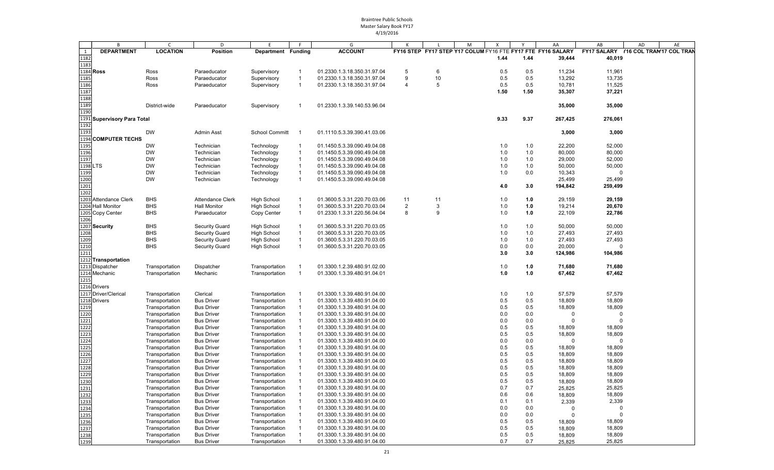|      | B                           | $\mathsf{C}$    | D                       | E                     | F              | G                           |                |    | M | X    | Y    | AA                                                          | AB                                   | AD | AE |
|------|-----------------------------|-----------------|-------------------------|-----------------------|----------------|-----------------------------|----------------|----|---|------|------|-------------------------------------------------------------|--------------------------------------|----|----|
| 1    | <b>DEPARTMENT</b>           | <b>LOCATION</b> | Position                | Department Funding    |                | <b>ACCOUNT</b>              |                |    |   |      |      | FY16 STEP FY17 STEP Y17 COLUM FY16 FTE FY17 FTE FY16 SALARY | FY17 SALARY Y16 COL TRAN'17 COL TRAN |    |    |
| 1182 |                             |                 |                         |                       |                |                             |                |    |   | 1.44 | 1.44 | 39,444                                                      | 40,019                               |    |    |
| 1183 |                             |                 |                         |                       |                |                             |                |    |   |      |      |                                                             |                                      |    |    |
|      | 1184 Ross                   | Ross            | Paraeducator            | Supervisory           | -1             | 01.2330.1.3.18.350.31.97.04 | 5              | 6  |   | 0.5  | 0.5  | 11,234                                                      | 11,961                               |    |    |
| 1185 |                             | Ross            | Paraeducator            | Supervisory           | $\overline{1}$ | 01.2330.1.3.18.350.31.97.04 | 9              | 10 |   | 0.5  | 0.5  | 13,292                                                      | 13,735                               |    |    |
| 1186 |                             | Ross            | Paraeducator            | Supervisory           | $\overline{1}$ | 01.2330.1.3.18.350.31.97.04 | $\overline{4}$ | 5  |   | 0.5  | 0.5  | 10,781                                                      | 11,525                               |    |    |
| 1187 |                             |                 |                         |                       |                |                             |                |    |   | 1.50 | 1.50 | 35,307                                                      | 37,221                               |    |    |
| 1188 |                             |                 |                         |                       |                |                             |                |    |   |      |      |                                                             |                                      |    |    |
| 1189 |                             | District-wide   | Paraeducator            | Supervisory           | -1             | 01.2330.1.3.39.140.53.96.04 |                |    |   |      |      | 35,000                                                      | 35,000                               |    |    |
| 1190 |                             |                 |                         |                       |                |                             |                |    |   |      |      |                                                             |                                      |    |    |
|      | 1191 Supervisory Para Total |                 |                         |                       |                |                             |                |    |   | 9.33 | 9.37 | 267,425                                                     | 276,061                              |    |    |
| 1192 |                             |                 |                         |                       |                |                             |                |    |   |      |      |                                                             |                                      |    |    |
| 1193 |                             | <b>DW</b>       | <b>Admin Asst</b>       | <b>School Committ</b> | - 1            | 01.1110.5.3.39.390.41.03.06 |                |    |   |      |      |                                                             |                                      |    |    |
|      | <b>COMPUTER TECHS</b>       |                 |                         |                       |                |                             |                |    |   |      |      | 3,000                                                       | 3,000                                |    |    |
| 1194 |                             |                 |                         |                       |                |                             |                |    |   |      |      |                                                             |                                      |    |    |
| 1195 |                             | <b>DW</b>       | Technician              | Technology            | -1             | 01.1450.5.3.39.090.49.04.08 |                |    |   | 1.0  | 1.0  | 22,200                                                      | 52,000                               |    |    |
| 1196 |                             | <b>DW</b>       | Technician              | Technology            | $\overline{1}$ | 01.1450.5.3.39.090.49.04.08 |                |    |   | 1.0  | 1.0  | 80,000                                                      | 80,000                               |    |    |
| 1197 |                             | <b>DW</b>       | Technician              | Technology            | $\overline{1}$ | 01.1450.5.3.39.090.49.04.08 |                |    |   | 1.0  | 1.0  | 29,000                                                      | 52,000                               |    |    |
|      | 1198 LTS                    | <b>DW</b>       | Technician              | Technology            |                | 01.1450.5.3.39.090.49.04.08 |                |    |   | 1.0  | 1.0  | 50,000                                                      | 50,000                               |    |    |
| 1199 |                             | <b>DW</b>       | Technician              | Technology            | $\overline{1}$ | 01.1450.5.3.39.090.49.04.08 |                |    |   | 1.0  | 0.0  | 10,343                                                      | $\Omega$                             |    |    |
| 1200 |                             | <b>DW</b>       | Technician              | Technology            | $\overline{1}$ | 01.1450.5.3.39.090.49.04.08 |                |    |   |      |      | 25,499                                                      | 25,499                               |    |    |
| 1201 |                             |                 |                         |                       |                |                             |                |    |   | 4.0  | 3.0  | 194,842                                                     | 259,499                              |    |    |
| 1202 |                             |                 |                         |                       |                |                             |                |    |   |      |      |                                                             |                                      |    |    |
|      | 1203 Attendance Clerk       | <b>BHS</b>      | <b>Attendance Clerk</b> | <b>High School</b>    |                | 01.3600.5.3.31.220.70.03.06 | 11             | 11 |   | 1.0  | 1.0  | 29,159                                                      | 29,159                               |    |    |
|      | 1204 Hall Monitor           | <b>BHS</b>      | <b>Hall Monitor</b>     | <b>High School</b>    |                | 01.3600.5.3.31.220.70.03.04 | $\overline{2}$ | 3  |   | 1.0  | 1.0  | 19,214                                                      | 20,670                               |    |    |
|      | 1205 Copy Center            | <b>BHS</b>      | Paraeducator            | Copy Center           |                | 01.2330.1.3.31.220.56.04.04 | 8              | 9  |   | 1.0  | 1.0  | 22,109                                                      | 22,786                               |    |    |
| 1206 |                             |                 |                         |                       |                |                             |                |    |   |      |      |                                                             |                                      |    |    |
|      | 1207 Security               | BHS             | <b>Security Guard</b>   | <b>High School</b>    |                | 01.3600.5.3.31.220.70.03.05 |                |    |   | 1.0  | 1.0  | 50,000                                                      | 50,000                               |    |    |
| 1208 |                             | <b>BHS</b>      | <b>Security Guard</b>   | <b>High School</b>    | $\overline{1}$ | 01.3600.5.3.31.220.70.03.05 |                |    |   | 1.0  | 1.0  | 27,493                                                      | 27,493                               |    |    |
| 1209 |                             | <b>BHS</b>      | <b>Security Guard</b>   | <b>High School</b>    |                | 01.3600.5.3.31.220.70.03.05 |                |    |   | 1.0  | 1.0  | 27,493                                                      | 27,493                               |    |    |
| 1210 |                             | <b>BHS</b>      | <b>Security Guard</b>   | <b>High School</b>    | -1             | 01.3600.5.3.31.220.70.03.05 |                |    |   | 0.0  | 0.0  | 20,000                                                      | $\Omega$                             |    |    |
| 1211 |                             |                 |                         |                       |                |                             |                |    |   | 3.0  | 3.0  | 124,986                                                     | 104,986                              |    |    |
|      | 1212 Transportation         |                 |                         |                       |                |                             |                |    |   |      |      |                                                             |                                      |    |    |
|      | 1213 Dispatcher             | Transportation  | Dispatcher              | Transportation        |                | 01.3300.1.2.39.480.91.02.00 |                |    |   | 1.0  | 1.0  | 71,680                                                      | 71,680                               |    |    |
|      | 1214 Mechanic               | Transportation  | Mechanic                | Transportation        |                | 01.3300.1.3.39.480.91.04.01 |                |    |   | 1.0  | 1.0  | 67,462                                                      | 67,462                               |    |    |
| 1215 |                             |                 |                         |                       |                |                             |                |    |   |      |      |                                                             |                                      |    |    |
|      | 1216 Drivers                |                 |                         |                       |                |                             |                |    |   |      |      |                                                             |                                      |    |    |
|      |                             |                 |                         |                       |                |                             |                |    |   |      |      |                                                             |                                      |    |    |
|      | 1217 Driver/Clerical        | Transportation  | Clerical                | Transportation        |                | 01.3300.1.3.39.480.91.04.00 |                |    |   | 1.0  | 1.0  | 57,579                                                      | 57,579                               |    |    |
|      | 1218 Drivers                | Transportation  | <b>Bus Driver</b>       | Transportation        |                | 01.3300.1.3.39.480.91.04.00 |                |    |   | 0.5  | 0.5  | 18,809                                                      | 18,809                               |    |    |
| 1219 |                             | Transportation  | <b>Bus Driver</b>       | Transportation        |                | 01.3300.1.3.39.480.91.04.00 |                |    |   | 0.5  | 0.5  | 18,809                                                      | 18,809                               |    |    |
| 1220 |                             | Transportation  | <b>Bus Driver</b>       | Transportation        |                | 01.3300.1.3.39.480.91.04.00 |                |    |   | 0.0  | 0.0  | $\Omega$                                                    | $\Omega$                             |    |    |
| 1221 |                             | Transportation  | <b>Bus Driver</b>       | Transportation        |                | 01.3300.1.3.39.480.91.04.00 |                |    |   | 0.0  | 0.0  | $\Omega$                                                    | $\Omega$                             |    |    |
| 1222 |                             | Transportation  | <b>Bus Driver</b>       | Transportation        |                | 01.3300.1.3.39.480.91.04.00 |                |    |   | 0.5  | 0.5  | 18,809                                                      | 18,809                               |    |    |
| 1223 |                             | Transportation  | <b>Bus Driver</b>       | Transportation        |                | 01.3300.1.3.39.480.91.04.00 |                |    |   | 0.5  | 0.5  | 18,809                                                      | 18,809                               |    |    |
| 1224 |                             | Transportation  | <b>Bus Driver</b>       | Transportation        |                | 01.3300.1.3.39.480.91.04.00 |                |    |   | 0.0  | 0.0  | $\Omega$                                                    | $\Omega$                             |    |    |
| 1225 |                             | Transportation  | <b>Bus Driver</b>       | Transportation        |                | 01.3300.1.3.39.480.91.04.00 |                |    |   | 0.5  | 0.5  | 18,809                                                      | 18,809                               |    |    |
| 1226 |                             | Transportation  | <b>Bus Driver</b>       | Transportation        |                | 01.3300.1.3.39.480.91.04.00 |                |    |   | 0.5  | 0.5  | 18,809                                                      | 18,809                               |    |    |
| 1227 |                             | Transportation  | <b>Bus Driver</b>       | Transportation        |                | 01.3300.1.3.39.480.91.04.00 |                |    |   | 0.5  | 0.5  | 18,809                                                      | 18,809                               |    |    |
| 1228 |                             | Transportation  | <b>Bus Driver</b>       | Transportation        |                | 01.3300.1.3.39.480.91.04.00 |                |    |   | 0.5  | 0.5  | 18,809                                                      | 18,809                               |    |    |
| 1229 |                             | Transportation  | <b>Bus Driver</b>       | Transportation        |                | 01.3300.1.3.39.480.91.04.00 |                |    |   | 0.5  | 0.5  | 18,809                                                      | 18,809                               |    |    |
| 1230 |                             | Transportation  | <b>Bus Driver</b>       | Transportation        |                | 01.3300.1.3.39.480.91.04.00 |                |    |   | 0.5  | 0.5  | 18,809                                                      | 18,809                               |    |    |
| 1231 |                             | Transportation  | <b>Bus Driver</b>       | Transportation        |                | 01.3300.1.3.39.480.91.04.00 |                |    |   | 0.7  | 0.7  | 25,825                                                      | 25,825                               |    |    |
| 1232 |                             | Transportation  | <b>Bus Driver</b>       | Transportation        |                | 01.3300.1.3.39.480.91.04.00 |                |    |   | 0.6  | 0.6  | 18,809                                                      | 18,809                               |    |    |
| 1233 |                             | Transportation  | <b>Bus Driver</b>       | Transportation        |                | 01.3300.1.3.39.480.91.04.00 |                |    |   | 0.1  | 0.1  | 2,339                                                       | 2,339                                |    |    |
| 1234 |                             | Transportation  | <b>Bus Driver</b>       | Transportation        |                | 01.3300.1.3.39.480.91.04.00 |                |    |   | 0.0  | 0.0  | $\Omega$                                                    | $\mathbf 0$                          |    |    |
| 1235 |                             | Transportation  | <b>Bus Driver</b>       | Transportation        |                | 01.3300.1.3.39.480.91.04.00 |                |    |   | 0.0  | 0.0  | $\Omega$                                                    | $\Omega$                             |    |    |
| 1236 |                             | Transportation  | <b>Bus Driver</b>       | Transportation        |                | 01.3300.1.3.39.480.91.04.00 |                |    |   | 0.5  | 0.5  | 18,809                                                      | 18,809                               |    |    |
| 1237 |                             | Transportation  | <b>Bus Driver</b>       | Transportation        |                | 01.3300.1.3.39.480.91.04.00 |                |    |   | 0.5  | 0.5  | 18,809                                                      | 18,809                               |    |    |
| 1238 |                             | Transportation  | <b>Bus Driver</b>       | Transportation        |                | 01.3300.1.3.39.480.91.04.00 |                |    |   | 0.5  | 0.5  | 18,809                                                      | 18,809                               |    |    |
| 1239 |                             | Transportation  |                         |                       |                | 01.3300.1.3.39.480.91.04.00 |                |    |   | 0.7  | 0.7  |                                                             | 25,825                               |    |    |
|      |                             |                 | <b>Bus Driver</b>       | Transportation        |                |                             |                |    |   |      |      | 25,825                                                      |                                      |    |    |